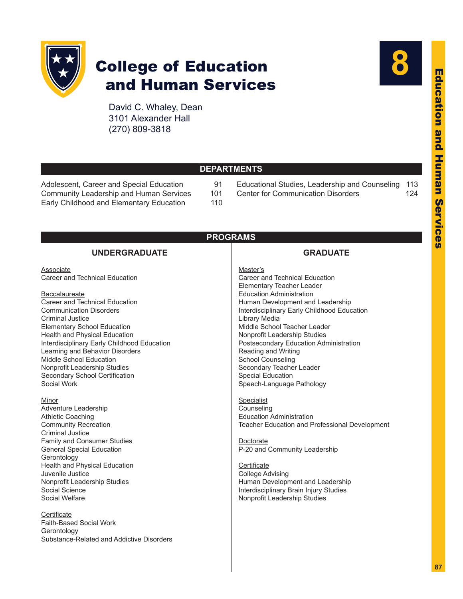

# College of Education and Human Services

David C. Whaley, Dean 3101 Alexander Hall (270) 809-3818

Adolescent, Career and Special Education 91 Community Leadership and Human Services 101<br>Early Childhood and Elementary Education 110

Early Childhood and Elementary Education



Educational Studies, Leadership and Counseling 113 Center for Communication Disorders 124

| <b>PROGRAMS</b>                                                                                                                                                                                                                                                                                                                                                                                                                         |                                                                                                                                                                                                                                                                                                                                                                                                                                                                  |  |  |
|-----------------------------------------------------------------------------------------------------------------------------------------------------------------------------------------------------------------------------------------------------------------------------------------------------------------------------------------------------------------------------------------------------------------------------------------|------------------------------------------------------------------------------------------------------------------------------------------------------------------------------------------------------------------------------------------------------------------------------------------------------------------------------------------------------------------------------------------------------------------------------------------------------------------|--|--|
| <b>UNDERGRADUATE</b>                                                                                                                                                                                                                                                                                                                                                                                                                    | <b>GRADUATE</b>                                                                                                                                                                                                                                                                                                                                                                                                                                                  |  |  |
| Associate<br>Career and Technical Education<br>Baccalaureate<br>Career and Technical Education<br><b>Communication Disorders</b><br><b>Criminal Justice</b><br><b>Elementary School Education</b><br><b>Health and Physical Education</b><br>Interdisciplinary Early Childhood Education<br>Learning and Behavior Disorders<br>Middle School Education<br>Nonprofit Leadership Studies<br>Secondary School Certification<br>Social Work | Master's<br>Career and Technical Education<br>Elementary Teacher Leader<br><b>Education Administration</b><br>Human Development and Leadership<br>Interdisciplinary Early Childhood Education<br>Library Media<br>Middle School Teacher Leader<br>Nonprofit Leadership Studies<br>Postsecondary Education Administration<br>Reading and Writing<br><b>School Counseling</b><br>Secondary Teacher Leader<br><b>Special Education</b><br>Speech-Language Pathology |  |  |
| Minor<br>Adventure Leadership<br><b>Athletic Coaching</b><br><b>Community Recreation</b><br><b>Criminal Justice</b><br>Family and Consumer Studies<br><b>General Special Education</b><br>Gerontology<br>Health and Physical Education<br>Juvenile Justice<br>Nonprofit Leadership Studies<br>Social Science<br>Social Welfare                                                                                                          | <b>Specialist</b><br>Counseling<br><b>Education Administration</b><br>Teacher Education and Professional Development<br>Doctorate<br>P-20 and Community Leadership<br>Certificate<br><b>College Advising</b><br>Human Development and Leadership<br>Interdisciplinary Brain Injury Studies<br>Nonprofit Leadership Studies                                                                                                                                       |  |  |
| Certificate<br>Faith-Based Social Work<br>Gerontology<br>Substance-Related and Addictive Disorders                                                                                                                                                                                                                                                                                                                                      |                                                                                                                                                                                                                                                                                                                                                                                                                                                                  |  |  |

**DEPARTMENTS**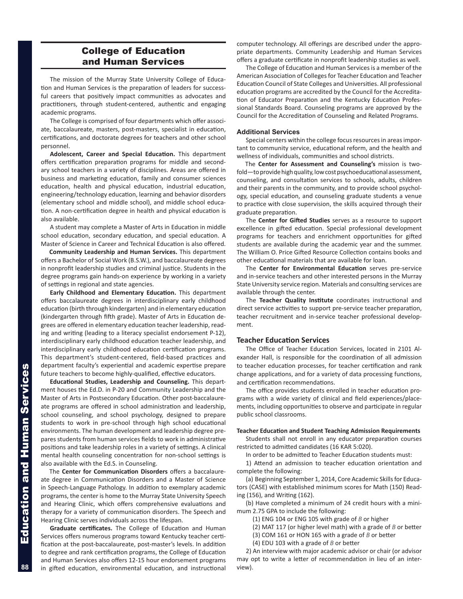# College of Education and Human Services

The mission of the Murray State University College of Education and Human Services is the preparation of leaders for successful careers that positively impact communities as advocates and practitioners, through student-centered, authentic and engaging academic programs.

The College is comprised of four departments which offer associate, baccalaureate, masters, post-masters, specialist in education, certifications, and doctorate degrees for teachers and other school personnel.

**Adolescent, Career and Special Education.** This department offers certification preparation programs for middle and secondary school teachers in a variety of disciplines. Areas are offered in business and marketing education, family and consumer sciences education, health and physical education, industrial education, engineering/technology education, learning and behavior disorders (elementary school and middle school), and middle school education. A non-certification degree in health and physical education is also available.

A student may complete a Master of Arts in Education in middle school education, secondary education, and special education. A Master of Science in Career and Technical Education is also offered.

**Community Leadership and Human Services.** This department offers a Bachelor of Social Work (B.S.W.), and baccalaureate degrees in nonprofit leadership studies and criminal justice. Students in the degree programs gain hands-on experience by working in a variety of settings in regional and state agencies.

**Early Childhood and Elementary Education.** This department offers baccalaureate degrees in interdisciplinary early childhood education (birth through kindergarten) and in elementary education (kindergarten through fifth grade). Master of Arts in Education degrees are offered in elementary education teacher leadership, reading and writing (leading to a literacy specialist endorsement P-12), interdisciplinary early childhood education teacher leadership, and interdisciplinary early childhood education certification programs. This department's student-centered, field-based practices and department faculty's experiential and academic expertise prepare future teachers to become highly-qualified, effective educators.

**Educational Studies, Leadership and Counseling.** This department houses the Ed.D. in P-20 and Community Leadership and the Master of Arts in Postsecondary Education. Other post-baccalaureate programs are offered in school administration and leadership, school counseling, and school psychology, designed to prepare students to work in pre-school through high school educational environments. The human development and leadership degree prepares students from human services fields to work in administrative positions and take leadership roles in a variety of settings. A clinical mental health counseling concentration for non-school settings is also available with the Ed.S. in Counseling.

The **Center for Communication Disorders** offers a baccalaureate degree in Communication Disorders and a Master of Science in Speech-Language Pathology. In addition to exemplary academic programs, the center is home to the Murray State University Speech and Hearing Clinic, which offers comprehensive evaluations and therapy for a variety of communication disorders. The Speech and Hearing Clinic serves individuals across the lifespan.

**Graduate certificates.** The College of Education and Human Services offers numerous programs toward Kentucky teacher certification at the post-baccalaureate, post-master's levels. In addition to degree and rank certification programs, the College of Education and Human Services also offers 12-15 hour endorsement programs in gifted education, environmental education, and instructional computer technology. All offerings are described under the appropriate departments. Community Leadership and Human Services offers a graduate certificate in nonprofit leadership studies as well.

The College of Education and Human Services is a member of the American Association of Colleges for Teacher Education and Teacher Education Council of State Colleges and Universities. All professional education programs are accredited by the Council for the Accreditation of Educator Preparation and the Kentucky Education Professional Standards Board. Counseling programs are approved by the Council for the Accreditation of Counseling and Related Programs.

# **Additional Services**

Special centers within the college focus resources in areas important to community service, educational reform, and the health and wellness of individuals, communities and school districts.

The **Center for Assessment and Counseling's** mission is twofold—to provide high quality, low cost psychoeducational assessment, counseling, and consultation services to schools, adults, children and their parents in the community, and to provide school psychology, special education, and counseling graduate students a venue to practice with close supervision, the skills acquired through their graduate preparation.

The **Center for Gifted Studies** serves as a resource to support excellence in gifted education. Special professional development programs for teachers and enrichment opportunities for gifted students are available during the academic year and the summer. The William O. Price Gifted Resource Collection contains books and other educational materials that are available for loan.

The **Center for Environmental Education** serves pre-service and in-service teachers and other interested persons in the Murray State University service region. Materials and consulting services are available through the center.

The **Teacher Quality Institute** coordinates instructional and direct service activities to support pre-service teacher preparation, teacher recruitment and in-service teacher professional development.

# **Teacher Education Services**

The Office of Teacher Education Services, located in 2101 Alexander Hall, is responsible for the coordination of all admission to teacher education processes, for teacher certification and rank change applications, and for a variety of data processing functions, and certification recommendations.

The office provides students enrolled in teacher education programs with a wide variety of clinical and field experiences/placements, including opportunities to observe and participate in regular public school classrooms.

### **Teacher Education and Student Teaching Admission Requirements**

Students shall not enroll in any educator preparation courses restricted to admitted candidates (16 KAR 5:020).

In order to be admitted to Teacher Education students must:

1) Attend an admission to teacher education orientation and complete the following:

(a) Beginning September 1, 2014, Core Academic Skills for Educators (CASE) with established minimum scores for Math (150) Reading (156), and Writing (162).

(b) Have completed a minimum of 24 credit hours with a minimum 2.75 GPA to include the following:

(1) ENG 104 or ENG 105 with grade of *B* or higher

(2) MAT 117 (or higher level math) with a grade of *B* or better

(3) COM 161 or HON 165 with a grade of *B* or better

(4) EDU 103 with a grade of *B* or better

2) An interview with major academic advisor or chair (or advisor may opt to write a letter of recommendation in lieu of an interview).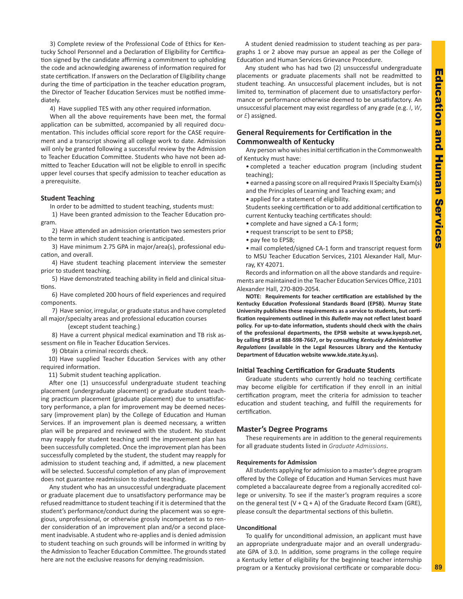3) Complete review of the Professional Code of Ethics for Kentucky School Personnel and a Declaration of Eligibility for Certification signed by the candidate affirming a commitment to upholding the code and acknowledging awareness of information required for state certification. If answers on the Declaration of Eligibility change during the time of participation in the teacher education program, the Director of Teacher Education Services must be notified immediately.

4) Have supplied TES with any other required information.

When all the above requirements have been met, the formal application can be submitted, accompanied by all required documentation. This includes official score report for the CASE requirement and a transcript showing all college work to date. Admission will only be granted following a successful review by the Admission to Teacher Education Committee. Students who have not been admitted to Teacher Education will not be eligible to enroll in specific upper level courses that specify admission to teacher education as a prerequisite.

# **Student Teaching**

In order to be admitted to student teaching, students must:

1) Have been granted admission to the Teacher Education program.

2) Have attended an admission orientation two semesters prior to the term in which student teaching is anticipated.

3) Have minimum 2.75 GPA in major/area(s), professional education, and overall.

4) Have student teaching placement interview the semester prior to student teaching.

5) Have demonstrated teaching ability in field and clinical situations.

6) Have completed 200 hours of field experiences and required components.

7) Have senior, irregular, or graduate status and have completed all major/specialty areas and professional education courses

(except student teaching.)

8) Have a current physical medical examination and TB risk assessment on file in Teacher Education Services.

9) Obtain a criminal records check.

10) Have supplied Teacher Education Services with any other required information.

11) Submit student teaching application.

After one (1) unsuccessful undergraduate student teaching placement (undergraduate placement) or graduate student teaching practicum placement (graduate placement) due to unsatisfactory performance, a plan for improvement may be deemed necessary (improvement plan) by the College of Education and Human Services. If an improvement plan is deemed necessary, a written plan will be prepared and reviewed with the student. No student may reapply for student teaching until the improvement plan has been successfully completed. Once the improvement plan has been successfully completed by the student, the student may reapply for admission to student teaching and, if admitted, a new placement will be selected. Successful completion of any plan of improvement does not guarantee readmission to student teaching.

Any student who has an unsuccessful undergraduate placement or graduate placement due to unsatisfactory performance may be refused readmittance to student teaching if it is determined that the student's performance/conduct during the placement was so egregious, unprofessional, or otherwise grossly incompetent as to render consideration of an improvement plan and/or a second placement inadvisable. A student who re-applies and is denied admission to student teaching on such grounds will be informed in writing by the Admission to Teacher Education Committee. The grounds stated here are not the exclusive reasons for denying readmission.

A student denied readmission to student teaching as per paragraphs 1 or 2 above may pursue an appeal as per the College of Education and Human Services Grievance Procedure.

Any student who has had two (2) unsuccessful undergraduate placements or graduate placements shall not be readmitted to student teaching. An unsuccessful placement includes, but is not limited to, termination of placement due to unsatisfactory performance or performance otherwise deemed to be unsatisfactory. An unsuccessful placement may exist regardless of any grade (e.g. *I*, *W*, or *E*) assigned.

# **General Requirements for Certification in the Commonwealth of Kentucky**

Any person who wishes initial certification in the Commonwealth of Kentucky must have:

• completed a teacher education program (including student teaching);

• earned a passing score on all required Praxis II Specialty Exam(s) and the Principles of Learning and Teaching exam; and

• applied for a statement of eligibility.

Students seeking certification or to add additional certification to current Kentucky teaching certificates should:

- complete and have signed a CA-1 form;
- request transcript to be sent to EPSB;
- pay fee to EPSB;

• mail completed/signed CA-1 form and transcript request form to MSU Teacher Education Services, 2101 Alexander Hall, Murray, KY 42071.

Records and information on all the above standards and requirements are maintained in the Teacher Education Services Office, 2101 Alexander Hall, 270-809-2054.

**NOTE: Requirements for teacher certification are established by the Kentucky Education Professional Standards Board (EPSB). Murray State University publishes these requirements as a service to students, but certification requirements outlined in this** *Bulletin* **may not reflect latest board policy. For up-to-date information, students should check with the chairs of the professional departments, the EPSB website at www.kyepsb.net, by calling EPSB at 888-598-7667, or by consulting** *Kentucky Administrative Regulations* **(available in the Legal Resources Library and the Kentucky Department of Education website www.kde.state.ky.us).**

# **Initial Teaching Certification for Graduate Students**

Graduate students who currently hold no teaching certificate may become eligible for certification if they enroll in an initial certification program, meet the criteria for admission to teacher education and student teaching, and fulfill the requirements for certification.

# **Master's Degree Programs**

These requirements are in addition to the general requirements for all graduate students listed in *Graduate Admissions*.

### **Requirements for Admission**

All students applying for admission to a master's degree program offered by the College of Education and Human Services must have completed a baccalaureate degree from a regionally accredited college or university. To see if the master's program requires a score on the general test  $(V + Q + A)$  of the Graduate Record Exam (GRE), please consult the departmental sections of this bulletin.

# **Unconditional**

To qualify for unconditional admission, an applicant must have an appropriate undergraduate major and an overall undergraduate GPA of 3.0. In addition, some programs in the college require a Kentucky letter of eligibility for the beginning teacher internship program or a Kentucky provisional certificate or comparable docu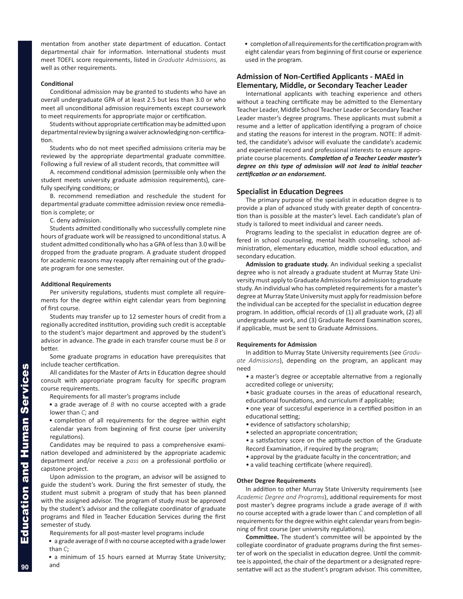mentation from another state department of education. Contact departmental chair for information. International students must meet TOEFL score requirements, listed in *Graduate Admissions,* as well as other requirements.

# **Conditional**

Conditional admission may be granted to students who have an overall undergraduate GPA of at least 2.5 but less than 3.0 or who meet all unconditional admission requirements except coursework to meet requirements for appropriate major or certification.

Students without appropriate certification may be admitted upon departmental review by signing a waiver acknowledging non-certification.

Students who do not meet specified admissions criteria may be reviewed by the appropriate departmental graduate committee. Following a full review of all student records, that committee will

A. recommend conditional admission (permissible only when the student meets university graduate admission requirements), carefully specifying conditions; or

B. recommend remediation and reschedule the student for departmental graduate committee admission review once remediation is complete; or

C. deny admission.

Students admitted conditionally who successfully complete nine hours of graduate work will be reassigned to unconditional status. A student admitted conditionally who has a GPA of less than 3.0 will be dropped from the graduate program. A graduate student dropped for academic reasons may reapply after remaining out of the graduate program for one semester.

### **Additional Requirements**

Per university regulations, students must complete all requirements for the degree within eight calendar years from beginning of first course.

Students may transfer up to 12 semester hours of credit from a regionally accredited institution, providing such credit is acceptable to the student's major department and approved by the student's advisor in advance. The grade in each transfer course must be *B* or better.

Some graduate programs in education have prerequisites that include teacher certification.

All candidates for the Master of Arts in Education degree should consult with appropriate program faculty for specific program course requirements.

Requirements for all master's programs include

• a grade average of *B* with no course accepted with a grade lower than *C*; and

• completion of all requirements for the degree within eight calendar years from beginning of first course (per university regulations).

Candidates may be required to pass a comprehensive examination developed and administered by the appropriate academic department and/or receive a *pass* on a professional portfolio or capstone project.

Upon admission to the program, an advisor will be assigned to guide the student's work. During the first semester of study, the student must submit a program of study that has been planned with the assigned advisor. The program of study must be approved by the student's advisor and the collegiate coordinator of graduate programs and filed in Teacher Education Services during the first semester of study.

Requirements for all post-master level programs include

• a grade average of *B* with no course accepted with a grade lower than *C*;

• a minimum of 15 hours earned at Murray State University; and

• completion of all requirements for the certification program with eight calendar years from beginning of first course or experience used in the program.

# **Admission of Non-Certified Applicants - MAEd in Elementary, Middle, or Secondary Teacher Leader**

International applicants with teaching experience and others without a teaching certificate may be admitted to the Elementary Teacher Leader, Middle School Teacher Leader or Secondary Teacher Leader master's degree programs. These applicants must submit a resume and a letter of application identifying a program of choice and stating the reasons for interest in the program. NOTE: If admitted, the candidate's advisor will evaluate the candidate's academic and experiential record and professional interests to ensure appropriate course placements. *Completion of a Teacher Leader master's degree on this type of admission will not lead to initial teacher certification or an endorsement.*

# **Specialist in Education Degrees**

The primary purpose of the specialist in education degree is to provide a plan of advanced study with greater depth of concentration than is possible at the master's level. Each candidate's plan of study is tailored to meet individual and career needs.

Programs leading to the specialist in education degree are offered in school counseling, mental health counseling, school administration, elementary education, middle school education, and secondary education.

**Admission to graduate study.** An individual seeking a specialist degree who is not already a graduate student at Murray State University must apply to Graduate Admissions for admission to graduate study. An individual who has completed requirements for a master's degree at Murray State University must apply for readmission before the individual can be accepted for the specialist in education degree program. In addition, official records of (1) all graduate work, (2) all undergraduate work, and (3) Graduate Record Examination scores, if applicable, must be sent to Graduate Admissions.

### **Requirements for Admission**

In addition to Murray State University requirements (see *Graduate Admissions*), depending on the program, an applicant may need

- a master's degree or acceptable alternative from a regionally accredited college or university;
- basic graduate courses in the areas of educational research, educational foundations, and curriculum if applicable;

• one year of successful experience in a certified position in an educational setting;

- evidence of satisfactory scholarship;
- selected an appropriate concentration;
- a satisfactory score on the aptitude section of the Graduate Record Examination, if required by the program;
- approval by the graduate faculty in the concentration; and
- a valid teaching certificate (where required).

# **Other Degree Requirements**

In addition to other Murray State University requirements (see *Academic Degree and Programs*), additional requirements for most post master's degree programs include a grade average of *B* with no course accepted with a grade lower than *C* and completion of all requirements for the degree within eight calendar years from beginning of first course (per university regulations).

**Committee.** The student's committee will be appointed by the collegiate coordinator of graduate programs during the first semester of work on the specialist in education degree. Until the committee is appointed, the chair of the department or a designated representative will act as the student's program advisor. This committee,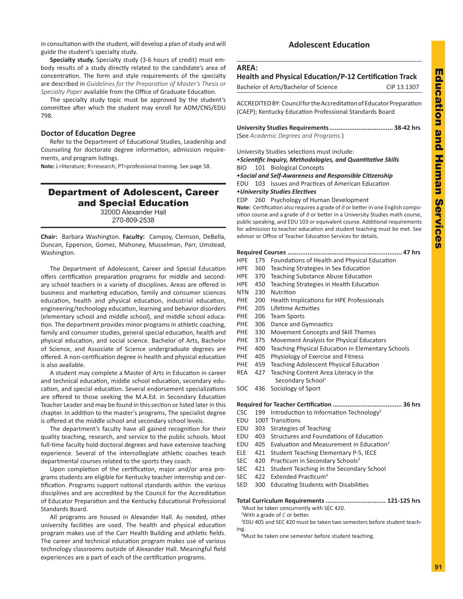in consultation with the student, will develop a plan of study and will guide the student's specialty study.

**Specialty study.** Specialty study (3-6 hours of credit) must embody results of a study directly related to the candidate's area of concentration. The form and style requirements of the specialty are described in *Guidelines for the Preparation of Master's Thesis or Specialty Paper* available from the Office of Graduate Education.

The specialty study topic must be approved by the student's committee after which the student may enroll for ADM/CNS/EDU 798.

# **Doctor of Education Degree**

Refer to the Department of Educational Studies, Leadership and Counseling for doctorate degree information, admission requirements, and program listings.

**Note:** L=literature; R=research; PT=professional training. See page 58.

# Department of Adolescent, Career and Special Education

3200D Alexander Hall 270-809-2538

**Chair:** Barbara Washington. **Faculty:** Campoy, Clemson, DeBella, Duncan, Epperson, Gomez, Mahoney, Musselman, Parr, Umstead, Washington.

The Department of Adolescent, Career and Special Education offers certification preparation programs for middle and secondary school teachers in a variety of disciplines. Areas are offered in business and marketing education, family and consumer sciences education, health and physical education, industrial education, engineering/technology education, learning and behavior disorders (elementary school and middle school), and middle school education. The department provides minor programs in athletic coaching, family and consumer studies, general special education, health and physical education, and social science. Bachelor of Arts, Bachelor of Science, and Associate of Science undergraduate degrees are offered. A non-certification degree in health and physical education is also available.

A student may complete a Master of Arts in Education in career and technical education, middle school education, secondary education, and special education. Several endorsement specializations are offered to those seeking the M.A.Ed. in Secondary Education Teacher Leader and may be found in this section or listed later in this chapter. In addition to the master's programs, The specialist degree is offered at the middle school and secondary school levels.

The department's faculty have all gained recognition for their quality teaching, research, and service to the public schools. Most full-time faculty hold doctoral degrees and have extensive teaching experience. Several of the intercollegiate athletic coaches teach departmental courses related to the sports they coach.

Upon completion of the certification, major and/or area programs students are eligible for Kentucky teacher internship and certification. Programs support national standards within the various disciplines and are accredited by the Council for the Accreditation of Educator Preparation and the Kentucky Educational Professional Standards Board.

All programs are housed in Alexander Hall. As needed, other university facilities are used. The health and physical education program makes use of the Carr Health Building and athletic fields. The career and technical education program makes use of various technology classrooms outside of Alexander Hall. Meaningful field experiences are a part of each of the certification programs.

# **Adolescent Education**

# **Health and Physical Education/P-12 Certification Track** Bachelor of Arts/Bachelor of Science CIP 13.1307

| ACCREDITED BY: Council for the Accreditation of Educator Preparation<br>(CAEP); Kentucky Education Professional Standards Board<br>(See Academic Degrees and Programs.)<br>University Studies selections must include:<br>• Scientific Inquiry, Methodologies, and Quantitative Skills<br>BIO 101 Biological Concepts<br>• Social and Self-Awareness and Responsible Citizenship<br>EDU 103 Issues and Practices of American Education<br>• University Studies Electives<br>EDP 260 Psychology of Human Development<br>Note: Certification also requires a grade of B or better in one English compo-<br>sition course and a grade of $B$ or better in a University Studies math course,<br>public speaking, and EDU 103 or equivalent course. Additional requirements<br>for admission to teacher education and student teaching must be met. See<br>advisor or Office of Teacher Education Services for details. | Dachelor of Attal Dachelor of Science | ----------- |
|--------------------------------------------------------------------------------------------------------------------------------------------------------------------------------------------------------------------------------------------------------------------------------------------------------------------------------------------------------------------------------------------------------------------------------------------------------------------------------------------------------------------------------------------------------------------------------------------------------------------------------------------------------------------------------------------------------------------------------------------------------------------------------------------------------------------------------------------------------------------------------------------------------------------|---------------------------------------|-------------|
|                                                                                                                                                                                                                                                                                                                                                                                                                                                                                                                                                                                                                                                                                                                                                                                                                                                                                                                    |                                       |             |
|                                                                                                                                                                                                                                                                                                                                                                                                                                                                                                                                                                                                                                                                                                                                                                                                                                                                                                                    |                                       |             |
|                                                                                                                                                                                                                                                                                                                                                                                                                                                                                                                                                                                                                                                                                                                                                                                                                                                                                                                    |                                       |             |
|                                                                                                                                                                                                                                                                                                                                                                                                                                                                                                                                                                                                                                                                                                                                                                                                                                                                                                                    |                                       |             |
|                                                                                                                                                                                                                                                                                                                                                                                                                                                                                                                                                                                                                                                                                                                                                                                                                                                                                                                    |                                       |             |

|  | HPE 175 Foundations of Health and Physical Education |
|--|------------------------------------------------------|

- HPE 360 Teaching Strategies in Sex Education
- HPE 370 Teaching Substance Abuse Education
- HPE 450 Teaching Strategies in Health Education
- NTN 230 Nutrition
- PHE 200 Health Implications for HPE Professionals
- PHE 205 Lifetime Activities
- PHE 206 Team Sports
- PHE 306 Dance and Gymnastics
- PHE 330 Movement Concepts and Skill Themes
- PHE 375 Movement Analysis for Physical Educators
- PHE 400 Teaching Physical Education in Elementary Schools
- PHE 405 Physiology of Exercise and Fitness
- PHE 459 Teaching Adolescent Physical Education
- REA 427 Teaching Content Area Literacy in the Secondary School<sup>1</sup>
- SOC 436 Sociology of Sport

# **Required for Teacher Certification ...................................... 36 hrs**

- CSC 199 Introduction to Information Technology<sup>2</sup>
- EDU 100T Transitions
- EDU 303 Strategies of Teaching
- EDU 403 Structures and Foundations of Education
- EDU 405 Evaluation and Measurement in Education<sup>3</sup>
- ELE 421 Student Teaching Elementary P-5, IECE
- SEC 420 Practicum in Secondary Schools<sup>3</sup>
- SEC 421 Student Teaching in the Secondary School
- SEC 422 Extended Practicum<sup>4</sup>
- SED 300 Educating Students with Disabilities

# **Total Curriculum Requirements ................................. 121-125 hrs**

1 Must be taken concurrently with SEC 420. 2 With a grade of *C* or better.

3 EDU 405 and SEC 420 must be taken two semesters before student teaching.

4 Must be taken one semester before student teaching.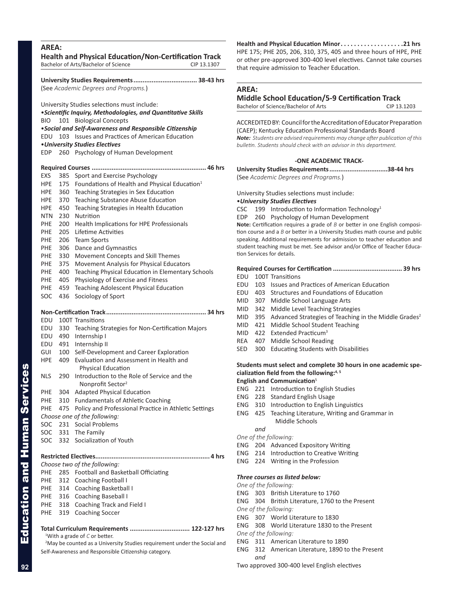|             |            | (See Academic Degrees and Programs.)                                      |
|-------------|------------|---------------------------------------------------------------------------|
|             |            | University Studies selections must include:                               |
|             |            | <i><b>•Scientific Inquiry, Methodologies, and Quantitative Skills</b></i> |
| BIO         |            | 101 Biological Concepts                                                   |
|             |            | •Social and Self-Awareness and Responsible Citizenship                    |
| edu         |            | 103 Issues and Practices of American Education                            |
| EDP         |            | • University Studies Electives<br>260 Psychology of Human Development     |
|             |            |                                                                           |
|             |            |                                                                           |
| <b>EXS</b>  | 385        | Sport and Exercise Psychology                                             |
| HPE         | 175        | Foundations of Health and Physical Education <sup>1</sup>                 |
| HPE         | 360        | Teaching Strategies in Sex Education                                      |
| HPE.        | 370        | <b>Teaching Substance Abuse Education</b>                                 |
| HPE         | 450        | Teaching Strategies in Health Education                                   |
| NTN         | 230        | Nutrition                                                                 |
| PHE<br>PHE. | 200<br>205 | Health Implications for HPE Professionals<br>Lifetime Activities          |
| PHE.        | 206        | <b>Team Sports</b>                                                        |
| PHE         | 306        | Dance and Gymnastics                                                      |
| PHE         | 330        | Movement Concepts and Skill Themes                                        |
| PHE         | 375        | Movement Analysis for Physical Educators                                  |
| PHE         | 400        | Teaching Physical Education in Elementary Schools                         |
| PHE         | 405        | Physiology of Exercise and Fitness                                        |
| PHE.        | 459        | <b>Teaching Adolescent Physical Education</b>                             |
| SOC         | 436        | Sociology of Sport                                                        |
|             |            |                                                                           |
| EDU         |            | 100T Transitions                                                          |
| EDU         |            | 330 Teaching Strategies for Non-Certification Majors                      |
| EDU         | 490        | Internship I                                                              |
| EDU         |            | 491 Internship II                                                         |
| GUI         | 100        | Self-Development and Career Exploration                                   |
| <b>HPE</b>  | 409        | Evaluation and Assessment in Health and                                   |
|             |            | <b>Physical Education</b>                                                 |
| NLS         | 290        | Introduction to the Role of Service and the                               |
|             |            | Nonprofit Sector <sup>2</sup>                                             |
| PHE         | 304        | <b>Adapted Physical Education</b>                                         |
| PHE         | 310        | <b>Fundamentals of Athletic Coaching</b>                                  |
| PHE         | 475        | Policy and Professional Practice in Athletic Settings                     |
|             |            | Choose one of the following:                                              |
| SOC         | 231        | <b>Social Problems</b>                                                    |
| SOC         | 331        | The Family                                                                |
| SOC         | 332        | Socialization of Youth                                                    |
|             |            |                                                                           |
|             |            | Choose two of the following:                                              |
| PHE         |            | 285 Football and Basketball Officiating                                   |
| <b>PHE</b>  |            | 312 Coaching Football I                                                   |
| PHE         |            | 314 Coaching Basketball I                                                 |
| PHE         | 316        | <b>Coaching Baseball I</b>                                                |
| PHE         | 318        | Coaching Track and Field I                                                |
|             | 319        | <b>Coaching Soccer</b>                                                    |

<sup>2</sup>May be counted as a University Studies requirement under the Social and Self-Awareness and Responsible Citizenship category.

**Health and Physical Education Minor. . 21 hrs** HPE 175; PHE 205, 206, 310, 375, 405 and three hours of HPE, PHE or other pre-approved 300-400 level electives. Cannot take courses that require admission to Teacher Education.

# **AREA:**

# **Middle School Education/5-9 Certification Track**

| Bachelor of Science/Bachelor of Arts | CIP 13.1203 |
|--------------------------------------|-------------|
|                                      |             |

ACCREDITED BY: Council for the Accreditation of Educator Preparation (CAEP); Kentucky Education Professional Standards Board *Note: Students are advised requirements may change after publication of this bulletin. Students should check with an advisor in this department.*

# **-ONE ACADEMIC TRACK-**

**University Studies Requirements................................38-44 hrs** (See *Academic Degrees and Programs.*)

University Studies selections must include:

# •*University Studies Electives*

CSC 199 Introduction to Information Technology<sup>1</sup>

EDP 260 Psychology of Human Development

**Note:** Certification requires a grade of *B* or better in one English composition course and a *B* or better in a University Studies math course and public speaking. Additional requirements for admission to teacher education and student teaching must be met. See advisor and/or Office of Teacher Education Services for details.

# **Required Courses for Certification ...................................... 39 hrs**

- EDU 100T Transitions
- EDU 103 Issues and Practices of American Education
- EDU 403 Structures and Foundations of Education
- MID 307 Middle School Language Arts
- MID 342 Middle Level Teaching Strategies
- MID 395 Advanced Strategies of Teaching in the Middle Grades<sup>2</sup>
- MID 421 Middle School Student Teaching
- MID 422 Extended Practicum<sup>3</sup>
- REA 407 Middle School Reading
- SED 300 Educating Students with Disabilities

# **Students must select and complete 30 hours in one academic specialization field from the following:4, 5**

# **English and Communication**<sup>5</sup>

- ENG 221 Introduction to English Studies
- ENG 228 Standard English Usage
- ENG 310 Introduction to English Linguistics
- ENG 425 Teaching Literature, Writing and Grammar in Middle Schools

# *and*

- *One of the following:* ENG 204 Advanced Expository Writing
- ENG 214 Introduction to Creative Writing
- ENG 224 Writing in the Profession

# *Three courses as listed below:*

- *One of the following:*
- ENG 303 British Literature to 1760
- ENG 304 British Literature, 1760 to the Present
- *One of the following:*
- ENG 307 World Literature to 1830
- ENG 308 World Literature 1830 to the Present
- *One of the following:*
- ENG 311 American Literature to 1890
- ENG 312 American Literature, 1890 to the Present *and*

Two approved 300-400 level English electives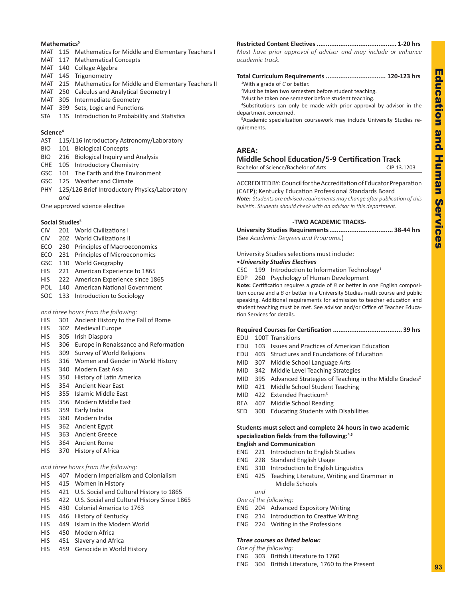# Education Education and Human Services pue Human Service **in**

**93**

# Mathematics<sup>5</sup>

- MAT 115 Mathematics for Middle and Elementary Teachers I
- MAT 117 Mathematical Concepts
- MAT 140 College Algebra
- MAT 145 Trigonometry
- MAT 215 Mathematics for Middle and Elementary Teachers II
- MAT 250 Calculus and Analytical Geometry I
- MAT 305 Intermediate Geometry
- MAT 399 Sets, Logic and Functions
- STA 135 Introduction to Probability and Statistics

# **Science<sup>4</sup>**

- AST 115/116 Introductory Astronomy/Laboratory
- BIO 101 Biological Concepts
- BIO 216 Biological Inquiry and Analysis
- CHE 105 Introductory Chemistry
- GSC 101 The Earth and the Environment
- GSC 125 Weather and Climate
- PHY 125/126 Brief Introductory Physics/Laboratory *and*

One approved science elective

# **Social Studies<sup>5</sup>**

- CIV 201 World Civilizations I
- CIV 202 World Civilizations II
- ECO 230 Principles of Macroeconomics
- ECO 231 Principles of Microeconomics
- GSC 110 World Geography
- HIS 221 American Experience to 1865
- HIS 222 American Experience since 1865
- POL 140 American National Government
- SOC 133 Introduction to Sociology

# *and three hours from the following:*

- HIS 301 Ancient History to the Fall of Rome
- HIS 302 Medieval Europe
- HIS 305 Irish Diaspora
- HIS 306 Europe in Renaissance and Reformation
- HIS 309 Survey of World Religions
- HIS 316 Women and Gender in World History
- HIS 340 Modern East Asia
- HIS 350 History of Latin America
- HIS 354 Ancient Near East
- HIS 355 Islamic Middle East
- HIS 356 Modern Middle East
- HIS 359 Early India
- HIS 360 Modern India
- HIS 362 Ancient Egypt
- HIS 363 Ancient Greece
- HIS 364 Ancient Rome
- HIS 370 History of Africa

# *and three hours from the following:*

- HIS 407 Modern Imperialism and Colonialism
- HIS 415 Women in History
- HIS 421 U.S. Social and Cultural History to 1865
- HIS 422 U.S. Social and Cultural History Since 1865
- HIS 430 Colonial America to 1763
- HIS 446 History of Kentucky
- HIS 449 Islam in the Modern World
- HIS 450 Modern Africa
- HIS 451 Slavery and Africa
- HIS 459 Genocide in World History

**Restricted Content Electives ............................................ 1-20 hrs** *Must have prior approval of advisor and may include or enhance academic track.*

**Total Curriculum Requirements ................................. 120-123 hrs** 1 With a grade of *C* or better. <sup>2</sup>Must be taken two semesters before student teaching. <sup>3</sup>Must be taken one semester before student teaching.

4 Substitutions can only be made with prior approval by advisor in the department concerned.

5 Academic specialization coursework may include University Studies requirements.

# **AREA:**

# **Middle School Education/5-9 Certification Track**

Bachelor of Science/Bachelor of Arts CIP 13.1203

ACCREDITED BY: Council for the Accreditation of Educator Preparation (CAEP); Kentucky Education Professional Standards Board

*Note: Students are advised requirements may change after publication of this bulletin. Students should check with an advisor in this department.*

# **-TWO ACADEMIC TRACKS-**

**University Studies Requirements................................... 38-44 hrs** (See *Academic Degrees and Programs.*)

# University Studies selections must include:

# •*University Studies Electives*

- CSC 199 Introduction to Information Technology<sup>1</sup>
- EDP 260 Psychology of Human Development

**Note:** Certification requires a grade of *B* or better in one English composition course and a *B* or better in a University Studies math course and public speaking. Additional requirements for admission to teacher education and student teaching must be met. See advisor and/or Office of Teacher Education Services for details.

# **Required Courses for Certification ...................................... 39 hrs**

- EDU 100T Transitions
- EDU 103 Issues and Practices of American Education
- EDU 403 Structures and Foundations of Education
- MID 307 Middle School Language Arts
- MID 342 Middle Level Teaching Strategies
- MID 395 Advanced Strategies of Teaching in the Middle Grades<sup>2</sup>
- MID 421 Middle School Student Teaching
- MID 422 Extended Practicum<sup>3</sup>
- REA 407 Middle School Reading
- SED 300 Educating Students with Disabilities

# **Students must select and complete 24 hours in two academic specialization fields from the following:4,5**

# **English and Communication**

- ENG 221 Introduction to English Studies
- ENG 228 Standard English Usage
- ENG 310 Introduction to English Linguistics
- ENG 425 Teaching Literature, Writing and Grammar in Middle Schools

*and*

# *One of the following:*

- ENG 204 Advanced Expository Writing
- ENG 214 Introduction to Creative Writing

ENG 304 British Literature, 1760 to the Present

ENG 224 Writing in the Professions

# *Three courses as listed below:*

*One of the following:*

ENG 303 British Literature to 1760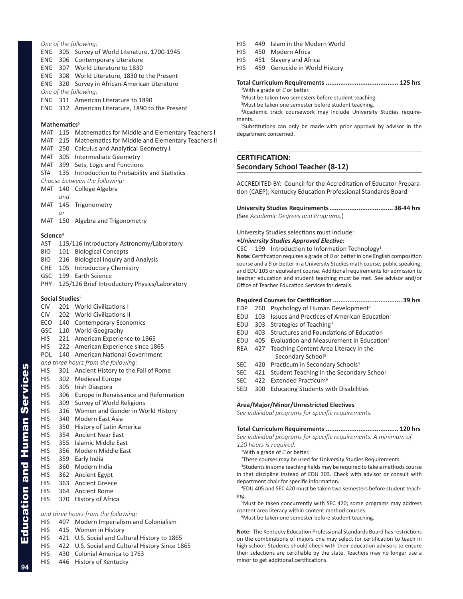# *One of the following:*

- ENG 305 Survey of World Literature, 1700-1945
- ENG 306 Contemporary Literature
- ENG 307 World Literature to 1830
- ENG 308 World Literature, 1830 to the Present
- ENG 320 Survey in African-American Literature

*One of the following:*

ENG 311 American Literature to 1890

ENG 312 American Literature, 1890 to the Present

# **Mathematics**<sup>5</sup>

- MAT 115 Mathematics for Middle and Elementary Teachers I
- MAT 215 Mathematics for Middle and Elementary Teachers II
- MAT 250 Calculus and Analytical Geometry I
- MAT 305 Intermediate Geometry
- MAT 399 Sets, Logic and Functions
- STA 135 Introduction to Probability and Statistics
- *Choose between the following:*
- MAT 140 College Algebra
	- *and*
- MAT 145 Trigonometry
	- *or*

MAT 150 Algebra and Trigonometry

### **Science<sup>4</sup>**

- AST 115/116 Introductory Astronomy/Laboratory
- BIO 101 Biological Concepts
- BIO 216 Biological Inquiry and Analysis
- CHE 105 Introductory Chemistry
- GSC 199 Earth Science
- PHY 125/126 Brief Introductory Physics/Laboratory

### **Social Studies<sup>5</sup>**

- CIV 201 World Civilizations I
- CIV 202 World Civilizations II
- ECO 140 Contemporary Economics
- GSC 110 World Geography
- HIS 221 American Experience to 1865
- HIS 222 American Experience since 1865
- POL 140 American National Government
- *and three hours from the following:*
- HIS 301 Ancient History to the Fall of Rome
- HIS 302 Medieval Europe
- HIS 305 Irish Diaspora
- HIS 306 Europe in Renaissance and Reformation
- HIS 309 Survey of World Religions
- HIS 316 Women and Gender in World History
- HIS 340 Modern East Asia
- HIS 350 History of Latin America
- HIS 354 Ancient Near East
- HIS 355 Islamic Middle East
- HIS 356 Modern Middle East
- HIS 359 Early India
- HIS 360 Modern India

Education and Human Services

**Education and Human Services** 

**94**

- HIS 362 Ancient Egypt
- HIS 363 Ancient Greece
- HIS 364 Ancient Rome
- HIS 370 History of Africa

# *and three hours from the following:*

- HIS 407 Modern Imperialism and Colonialism
- HIS 415 Women in History
- HIS 421 U.S. Social and Cultural History to 1865
- HIS 422 U.S. Social and Cultural History Since 1865
- HIS 430 Colonial America to 1763
- HIS 446 History of Kentucky
- HIS 449 Islam in the Modern World
- HIS 450 Modern Africa
- HIS 451 Slavery and Africa
- HIS 459 Genocide in World History

### **Total Curriculum Requirements ........................................ 125 hrs**

1 With a grade of *C* or better.

<sup>2</sup>Must be taken two semesters before student teaching.

<sup>3</sup>Must be taken one semester before student teaching.

4 Academic track coursework may include University Studies requirements.

5 Substitutions can only be made with prior approval by advisor in the department concerned.

# **CERTIFICATION: Secondary School Teacher (8-12)**

ACCREDITED BY: Council for the Accreditation of Educator Preparation (CAEP); Kentucky Education Professional Standards Board

**University Studies Requirements................................... 38-44 hrs** (See *Academic Degrees and Programs.*)

University Studies selections must include:

### *•University Studies Approved Elective:*

CSC 199 Introduction to Information Technology<sup>1</sup> **Note:** Certification requires a grade of *B* or better in one English composition course and a *B* or better in a University Studies math course, public speaking, and EDU 103 or equivalent course. Additional requirements for admission to teacher education and student teaching must be met. See advisor and/or Office of Teacher Education Services for details.

# **Required Courses for Certification ...................................... 39 hrs**

- EDP 260 Psychology of Human Development<sup>2</sup>
- EDU 103 Issues and Practices of American Education<sup>2</sup>
- EDU 303 Strategies of Teaching<sup>3</sup>
- EDU 403 Structures and Foundations of Education
- EDU 405 Evaluation and Measurement in Education<sup>4</sup>
- REA 427 Teaching Content Area Literacy in the Secondary School<sup>5</sup>
- SEC 420 Practicum in Secondary Schools<sup>4</sup>
- SEC 421 Student Teaching in the Secondary School
- SEC 422 Extended Practicum<sup>6</sup>
- SED 300 Educating Students with Disabilities

# **Area/Major/Minor/Unrestricted Electives**

*See individual programs for specific requirements.*

# **Total Curriculum Requirements ........................................ 120 hrs**

*See individual programs for specific requirements. A minimum of 120 hours is required.* 

- 1 With a grade of *C* or better.
- <sup>2</sup>These courses may be used for University Studies Requirements.

<sup>3</sup>Students in some teaching fields may be required to take a methods course in that discipline instead of EDU 303. Check with advisor or consult with department chair for specific information.

4 EDU 405 and SEC 420 must be taken two semesters before student teaching.

5 Must be taken concurrently with SEC 420; some programs may address content area literacy within content method courses.

6 Must be taken one semester before student teaching.

**Note:** The Kentucky Education Professional Standards Board has restrictions on the combinations of majors one may select for certification to teach in high school. Students should check with their education advisors to ensure their selections are certifiable by the state. Teachers may no longer use a minor to get additional certifications.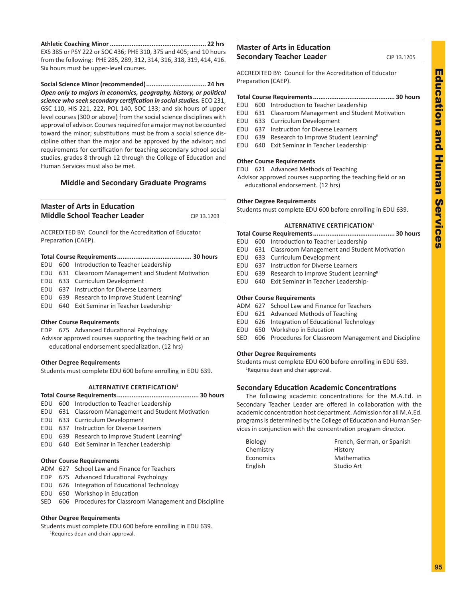**Athletic Coaching Minor..................................................... 22 hrs** EXS 385 or PSY 222 or SOC 436; PHE 310, 375 and 405; and 10 hours from the following: PHE 285, 289, 312, 314, 316, 318, 319, 414, 416. Six hours must be upper-level courses.

**Social Science Minor (recommended)................................. 24 hrs** *Open only to majors in economics, geography, history, or political science who seek secondary certification in social studies.* ECO 231, GSC 110, HIS 221, 222, POL 140, SOC 133; and six hours of upper level courses (300 or above) from the social science disciplines with approval of advisor. Courses required for a major may not be counted toward the minor; substitutions must be from a social science discipline other than the major and be approved by the advisor; and requirements for certification for teaching secondary school social studies, grades 8 through 12 through the College of Education and Human Services must also be met.

# **Middle and Secondary Graduate Programs**

| <b>Master of Arts in Education</b>  |             |
|-------------------------------------|-------------|
| <b>Middle School Teacher Leader</b> | CIP 13.1203 |

ACCREDITED BY: Council for the Accreditation of Educator Preparation (CAEP).

|--|--|--|

- EDU 600 Introduction to Teacher Leadership
- EDU 631 Classroom Management and Student Motivation
- EDU 633 Curriculum Development
- EDU 637 Instruction for Diverse Learners
- EDU 639 Research to Improve Student Learning<sup>R</sup>
- EDU 640 Exit Seminar in Teacher Leadership<sup>L</sup>

# **Other Course Requirements**

EDP 675 Advanced Educational Psychology Advisor approved courses supporting the teaching field or an educational endorsement specialization. (12 hrs)

# **Other Degree Requirements**

Students must complete EDU 600 before enrolling in EDU 639.

# **ALTERNATIVE CERTIFICATION1**

- **Total Course Requirements............................................. 30 hours**
- EDU 600 Introduction to Teacher Leadership
- EDU 631 Classroom Management and Student Motivation
- EDU 633 Curriculum Development
- EDU 637 Instruction for Diverse Learners
- EDU 639 Research to Improve Student Learning<sup>R</sup>
- EDU 640 Exit Seminar in Teacher LeadershipL

# **Other Course Requirements**

- ADM 627 School Law and Finance for Teachers
- EDP 675 Advanced Educational Psychology
- EDU 626 Integration of Educational Technology
- EDU 650 Workshop in Education
- SED 606 Procedures for Classroom Management and Discipline

# **Other Degree Requirements**

Students must complete EDU 600 before enrolling in EDU 639. 1 Requires dean and chair approval.

# **Master of Arts in Education Secondary Teacher Leader** CIP 13.1205

ACCREDITED BY: Council for the Accreditation of Educator Preparation (CAEP).

# **Total Course Requirements............................................. 30 hours**

- EDU 600 Introduction to Teacher Leadership EDU 631 Classroom Management and Student Motivation
- EDU 633 Curriculum Development
- EDU 637 Instruction for Diverse Learners
- EDU 639 Research to Improve Student Learning<sup>R</sup>
- EDU 640 Exit Seminar in Teacher LeadershipL

# **Other Course Requirements**

- EDU 621 Advanced Methods of Teaching
- Advisor approved courses supporting the teaching field or an educational endorsement. (12 hrs)

# **Other Degree Requirements**

Students must complete EDU 600 before enrolling in EDU 639.

# **ALTERNATIVE CERTIFICATION1**

- **Total Course Requirements............................................. 30 hours**
- EDU 600 Introduction to Teacher Leadership EDU 631 Classroom Management and Student Motivation
- EDU 633 Curriculum Development
- EDU 637 Instruction for Diverse Learners
- EDU 639 Research to Improve Student Learning<sup>R</sup>
- EDU 640 Exit Seminar in Teacher Leadership
- 

# **Other Course Requirements**

- ADM 627 School Law and Finance for Teachers
- EDU 621 Advanced Methods of Teaching
- EDU 626 Integration of Educational Technology
- EDU 650 Workshop in Education
- SED 606 Procedures for Classroom Management and Discipline

# **Other Degree Requirements**

Students must complete EDU 600 before enrolling in EDU 639. 1 Requires dean and chair approval.

# **Secondary Education Academic Concentrations**

The following academic concentrations for the M.A.Ed. in Secondary Teacher Leader are offered in collaboration with the academic concentration host department. Admission for all M.A.Ed. programs is determined by the College of Education and Human Services in conjunction with the concentration program director.

Chemistry History English Studio Art

Biology French, German, or Spanish Economics Mathematics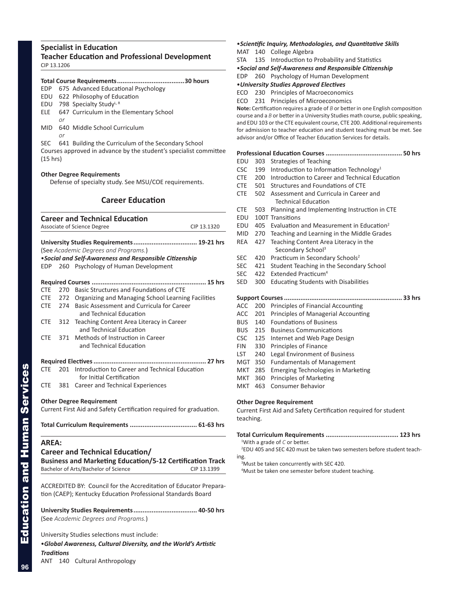# **Specialist in Education Teacher Education and Professional Development** CIP 13.1206

# **Total Course Requirements.....................................30 hours** EDP 675 Advanced Educational Psychology EDU 622 Philosophy of Education EDU 798 Specialty StudyL, R ELE 647 Curriculum in the Elementary School *or* MID 640 Middle School Curriculum *or*

SEC 641 Building the Curriculum of the Secondary School Courses approved in advance by the student's specialist committee (15 hrs)

# **Other Degree Requirements**

Defense of specialty study. See MSU/COE requirements.

# **Career Education**

|              |         | <b>Career and Technical Education</b><br>Associate of Science Degree                                                                         | CIP 13.1320 |
|--------------|---------|----------------------------------------------------------------------------------------------------------------------------------------------|-------------|
|              |         | University Studies Requirements 19-21 hrs<br>(See Academic Degrees and Programs.)<br>. Social and Self-Awareness and Responsible Citizenship |             |
| <b>EDP</b>   |         | 260 Psychology of Human Development                                                                                                          |             |
|              |         |                                                                                                                                              |             |
| <b>CTE</b>   |         | 270 Basic Structures and Foundations of CTE                                                                                                  |             |
|              | CTE 272 | Organizing and Managing School Learning Facilities                                                                                           |             |
| <b>CTE</b>   | 274     | Basic Assessment and Curricula for Career<br>and Technical Education                                                                         |             |
| <b>CTE</b>   | 312     | Teaching Content Area Literacy in Career<br>and Technical Education                                                                          |             |
| CTE          |         | 371 Methods of Instruction in Career<br>and Technical Education                                                                              |             |
| <b>CTE</b>   | 201     | Introduction to Career and Technical Education                                                                                               |             |
|              |         | for Initial Certification                                                                                                                    |             |
| CTE.         | 381     | Career and Technical Experiences                                                                                                             |             |
|              |         | <b>Other Degree Requirement</b>                                                                                                              |             |
|              |         | Current First Aid and Safety Certification required for graduation.                                                                          |             |
|              |         |                                                                                                                                              |             |
| <b>AREA:</b> |         |                                                                                                                                              |             |
|              |         | <b>Career and Technical Education/</b>                                                                                                       |             |
|              |         | <b>Business and Marketing Education/5-12 Certification Track</b>                                                                             |             |
|              |         | Bachelor of Arts/Bachelor of Science                                                                                                         | CIP 13.1399 |
|              |         |                                                                                                                                              |             |
|              |         | ACCREDITED BY: Council for the Accreditation of Educator Prepara-                                                                            |             |
|              |         | tion (CAEP); Kentucky Education Professional Standards Board                                                                                 |             |

**University Studies Requirements................................... 40-50 hrs** (See *Academic Degrees and Programs.*)

University Studies selections must include:

•*Global Awareness, Cultural Diversity, and the World's Artistic Traditions*

ANT 140 Cultural Anthropology

# •*Scientific Inquiry, Methodologies, and Quantitative Skills*

MAT 140 College Algebra

STA 135 Introduction to Probability and Statistics

•*Social and Self-Awareness and Responsible Citizenship*

EDP 260 Psychology of Human Development

•*University Studies Approved Electives*

ECO 230 Principles of Macroeconomics

ECO 231 Principles of Microeconomics

**Note:** Certification requires a grade of *B* or better in one English composition course and a *B* or better in a University Studies math course, public speaking, and EDU 103 or the CTE equivalent course, CTE 200. Additional requirements for admission to teacher education and student teaching must be met. See advisor and/or Office of Teacher Education Services for details.

# **Professional Education Courses .......................................... 50 hrs**

- EDU 303 Strategies of Teaching
- CSC 199 Introduction to Information Technology<sup>1</sup>
- CTE 200 Introduction to Career and Technical Education
- CTE 501 Structures and Foundations of CTE
- CTE 502 Assessment and Curricula in Career and Technical Education
- CTE 503 Planning and Implementing Instruction in CTE
- EDU 100T Transitions
- EDU 405 Evaluation and Measurement in Education<sup>2</sup>
- MID 270 Teaching and Learning in the Middle Grades
- REA 427 Teaching Content Area Literacy in the Secondary School<sup>3</sup>
- SEC 420 Practicum in Secondary Schools<sup>2</sup>
- SEC 421 Student Teaching in the Secondary School
- SEC 422 Extended Practicum<sup>4</sup>
- SED 300 Educating Students with Disabilities

# **Support Courses................................................................. 33 hrs** ACC 200 Principles of Financial Accounting ACC 201 Principles of Managerial Accounting

- BUS 140 Foundations of Business
- BUS 215 Business Communications
- CSC 125 Internet and Web Page Design
- FIN 330 Principles of Finance
- LST 240 Legal Environment of Business
- MGT 350 Fundamentals of Management
- MKT 285 Emerging Technologies in Marketing
- MKT 360 Principles of Marketing
- MKT 463 Consumer Behavior

# **Other Degree Requirement**

Current First Aid and Safety Certification required for student teaching.

# **Total Curriculum Requirements ........................................ 123 hrs**

1 With a grade of *C* or better.

2 EDU 405 and SEC 420 must be taken two semesters before student teaching.

<sup>3</sup>Must be taken concurrently with SEC 420.

4 Must be taken one semester before student teaching.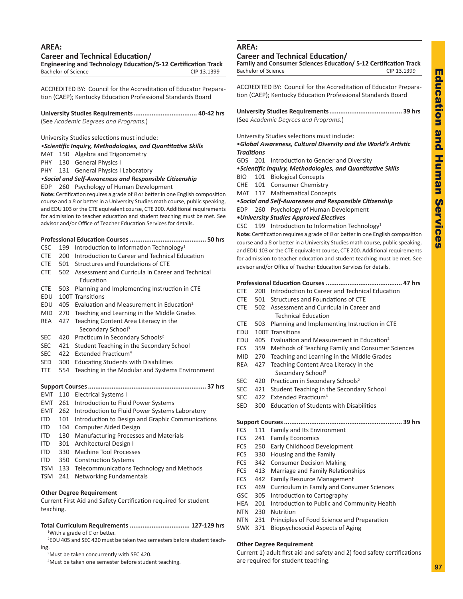# **AREA:**

**Career and Technical Education/**

**Engineering and Technology Education/5-12 Certification Track** Bachelor of Science CIP 13.1399

ACCREDITED BY: Council for the Accreditation of Educator Preparation (CAEP); Kentucky Education Professional Standards Board

**University Studies Requirements................................... 40-42 hrs** (See *Academic Degrees and Programs.*)

University Studies selections must include:

*•Scientific Inquiry, Methodologies, and Quantitative Skills*

MAT 150 Algebra and Trigonometry

PHY 130 General Physics I

PHY 131 General Physics I Laboratory

*•Social and Self-Awareness and Responsible Citizenship* EDP 260 Psychology of Human Development

**Note:** Certification requires a grade of *B* or better in one English composition course and a *B* or better in a University Studies math course, public speaking, and EDU 103 or the CTE equivalent course, CTE 200. Additional requirements for admission to teacher education and student teaching must be met. See advisor and/or Office of Teacher Education Services for details.

# **Professional Education Courses .......................................... 50 hrs**

- CSC 199 Introduction to Information Technology<sup>1</sup>
- CTE 200 Introduction to Career and Technical Education
- CTE 501 Structures and Foundations of CTE
- CTE 502 Assessment and Curricula in Career and Technical Education
- CTE 503 Planning and Implementing Instruction in CTE
- EDU 100T Transitions
- EDU 405 Evaluation and Measurement in Education<sup>2</sup>
- MID 270 Teaching and Learning in the Middle Grades REA 427 Teaching Content Area Literacy in the
- Secondary School<sup>3</sup>
- SEC 420 Practicum in Secondary Schools<sup>2</sup>
- SEC 421 Student Teaching in the Secondary School
- SEC 422 Extended Practicum<sup>4</sup>
- SED 300 Educating Students with Disabilities
- TTE 554 Teaching in the Modular and Systems Environment

# **Support Courses................................................................. 37 hrs**

- EMT 110 Electrical Systems I
- EMT 261 Introduction to Fluid Power Systems
- EMT 262 Introduction to Fluid Power Systems Laboratory
- ITD 101 Introduction to Design and Graphic Communications
- ITD 104 Computer Aided Design
- ITD 130 Manufacturing Processes and Materials
- ITD 301 Architectural Design I
- ITD 330 Machine Tool Processes
- ITD 350 Construction Systems
- TSM 133 Telecommunications Technology and Methods
- TSM 241 Networking Fundamentals

# **Other Degree Requirement**

Current First Aid and Safety Certification required for student teaching.

**Total Curriculum Requirements ................................. 127-129 hrs** 1 With a grade of *C* or better.

2 EDU 405 and SEC 420 must be taken two semesters before student teaching.

<sup>3</sup>Must be taken concurrently with SEC 420.

4 Must be taken one semester before student teaching.

# **AREA:**

# **Career and Technical Education/**

**Family and Consumer Sciences Education/ 5-12 Certification Track** Bachelor of Science CIP 13.1399

ACCREDITED BY: Council for the Accreditation of Educator Preparation (CAEP); Kentucky Education Professional Standards Board

**University Studies Requirements........................................ 39 hrs** (See *Academic Degrees and Programs.*)

University Studies selections must include:

# •*Global Awareness, Cultural Diversity and the World's Artistic Traditions*

- GDS 201 Introduction to Gender and Diversity
- •*Scientific Inquiry, Methodologies, and Quantitative Skills*
- BIO 101 Biological Concepts
- CHE 101 Consumer Chemistry
- MAT 117 Mathematical Concepts

•*Social and Self-Awareness and Responsible Citizenship*

EDP 260 Psychology of Human Development

# *•University Studies Approved Electives*

CSC 199 Introduction to Information Technology<sup>1</sup>

**Note:** Certification requires a grade of *B* or better in one English composition course and a *B* or better in a University Studies math course, public speaking, and EDU 103 or the CTE equivalent course, CTE 200. Additional requirements for admission to teacher education and student teaching must be met. See advisor and/or Office of Teacher Education Services for details.

# **Professional Education Courses .......................................... 47 hrs**

- CTE 200 Introduction to Career and Technical Education
- CTE 501 Structures and Foundations of CTE
- CTE 502 Assessment and Curricula in Career and Technical Education
- CTE 503 Planning and Implementing Instruction in CTE
- EDU 100T Transitions
- EDU 405 Evaluation and Measurement in Education<sup>2</sup>
- FCS 359 Methods of Teaching Family and Consumer Sciences
- MID 270 Teaching and Learning in the Middle Grades
- REA 427 Teaching Content Area Literacy in the Secondary School<sup>3</sup>
- SEC 420 Practicum in Secondary Schools<sup>2</sup>
- SEC 421 Student Teaching in the Secondary School
- SEC 422 Extended Practicum<sup>4</sup>
- SED 300 Education of Students with Disabilities

# **Support Courses................................................................. 39 hrs**

- FCS 111 Family and Its Environment
- FCS 241 Family Economics
- FCS 250 Early Childhood Development
- FCS 330 Housing and the Family
- FCS 342 Consumer Decision Making
- FCS 413 Marriage and Family Relationships
- FCS 442 Family Resource Management
- FCS 469 Curriculum in Family and Consumer Sciences
- GSC 305 Introduction to Cartography
- HEA 201 Introduction to Public and Community Health
- NTN 230 Nutrition
- NTN 231 Principles of Food Science and Preparation
- SWK 371 Biopsychosocial Aspects of Aging

# **Other Degree Requirement**

Current 1) adult first aid and safety and 2) food safety certifications are required for student teaching.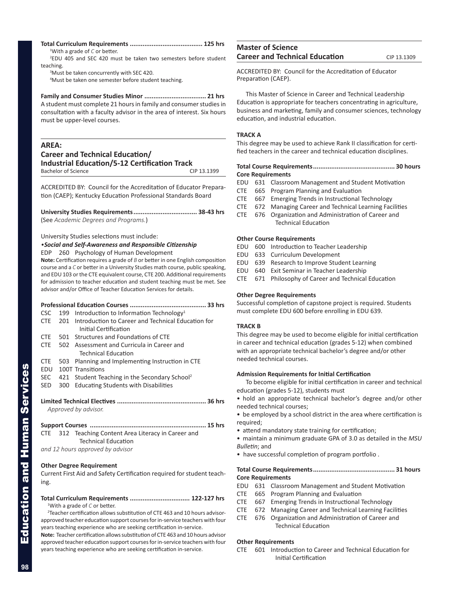# **Total Curriculum Requirements ........................................ 125 hrs**

1 With a grade of *C* or better. 2 EDU 405 and SEC 420 must be taken two semesters before student

teaching. <sup>3</sup>Must be taken concurrently with SEC 420.

4 Must be taken one semester before student teaching.

# **Family and Consumer Studies Minor .................................. 21 hrs**

A student must complete 21 hours in family and consumer studies in consultation with a faculty advisor in the area of interest. Six hours must be upper-level courses.

# **AREA:**

# **Career and Technical Education/ Industrial Education/5-12 Certification Track** Bachelor of Science CIP 13.1399

ACCREDITED BY: Council for the Accreditation of Educator Preparation (CAEP); Kentucky Education Professional Standards Board

**University Studies Requirements................................... 38-43 hrs** (See *Academic Degrees and Programs.*)

University Studies selections must include:

*•Social and Self-Awareness and Responsible Citizenship*

EDP 260 Psychology of Human Development

**Note:** Certification requires a grade of *B* or better in one English composition course and a *C* or better in a University Studies math course, public speaking, and EDU 103 or the CTE equivalent course, CTE 200. Additional requirements for admission to teacher education and student teaching must be met. See advisor and/or Office of Teacher Education Services for details.

| CSC                  |     | 199 Introduction to Information Technology <sup>1</sup>                         |
|----------------------|-----|---------------------------------------------------------------------------------|
| <b>CTE</b>           |     | 201 Introduction to Career and Technical Education for<br>Initial Certification |
| <b>CTE</b>           |     | 501 Structures and Foundations of CTE                                           |
| <b>CTE</b>           |     | 502 Assessment and Curricula in Career and                                      |
|                      |     | Technical Education                                                             |
| <b>CTE</b>           |     | 503 Planning and Implementing Instruction in CTE                                |
| EDU                  |     | 100T Transitions                                                                |
| SEC                  |     | 421 Student Teaching in the Secondary School <sup>2</sup>                       |
| SED                  | 300 | <b>Educating Students with Disabilities</b>                                     |
| Approved by advisor. |     |                                                                                 |
|                      |     |                                                                                 |
| CTE                  |     | 312 Teaching Content Area Literacy in Career and<br><b>Technical Education</b>  |

*and 12 hours approved by advisor*

# **Other Degree Requirement**

Current First Aid and Safety Certification required for student teaching.

### **Total Curriculum Requirements ................................. 122-127 hrs** 1 With a grade of *C* or better.

<sup>2</sup> Teacher certification allows substitution of CTE 463 and 10 hours advisorapproved teacher education support courses for in-service teachers with four years teaching experience who are seeking certification in-service.

**Note:** Teacher certification allows substitution of CTE 463 and 10 hours advisor approved teacher education support courses for in-service teachers with four years teaching experience who are seeking certification in-service.

# **Master of Science Career and Technical Education** CIP 13.1309

ACCREDITED BY: Council for the Accreditation of Educator Preparation (CAEP).

This Master of Science in Career and Technical Leadership Education is appropriate for teachers concentrating in agriculture, business and marketing, family and consumer sciences, technology education, and industrial education.

# **TRACK A**

This degree may be used to achieve Rank II classification for certified teachers in the career and technical education disciplines.

# **Total Course Requirements............................................. 30 hours Core Requirements**

- EDU 631 Classroom Management and Student Motivation
- CTE 665 Program Planning and Evaluation
- CTE 667 Emerging Trends in Instructional Technology
- CTE 672 Managing Career and Technical Learning Facilities
- CTE 676 Organization and Administration of Career and Technical Education

# **Other Course Requirements**

- EDU 600 Introduction to Teacher Leadership
- EDU 633 Curriculum Development
- EDU 639 Research to Improve Student Learning
- EDU 640 Exit Seminar in Teacher Leadership
- CTE 671 Philosophy of Career and Technical Education

# **Other Degree Requirements**

Successful completion of capstone project is required. Students must complete EDU 600 before enrolling in EDU 639.

# **TRACK B**

This degree may be used to become eligible for initial certification in career and technical education (grades 5-12) when combined with an appropriate technical bachelor's degree and/or other needed technical courses.

# **Admission Requirements for Initial Certification**

To become eligible for initial certification in career and technical education (grades 5-12), students must

• hold an appropriate technical bachelor's degree and/or other needed technical courses;

- be employed by a school district in the area where certification is required;
- attend mandatory state training for certification;
- maintain a minimum graduate GPA of 3.0 as detailed in the *MSU Bulletin*; and
- have successful completion of program portfolio .

# **Total Course Requirements............................................. 31 hours**

# **Core Requirements**

- EDU 631 Classroom Management and Student Motivation
- CTE 665 Program Planning and Evaluation

Technical Education

- CTE 667 Emerging Trends in Instructional Technology
- CTE 672 Managing Career and Technical Learning Facilities CTE 676 Organization and Administration of Career and

# **Other Requirements**

CTE 601 Introduction to Career and Technical Education for Initial Certification

Education and Human Services

**Education and Human Services**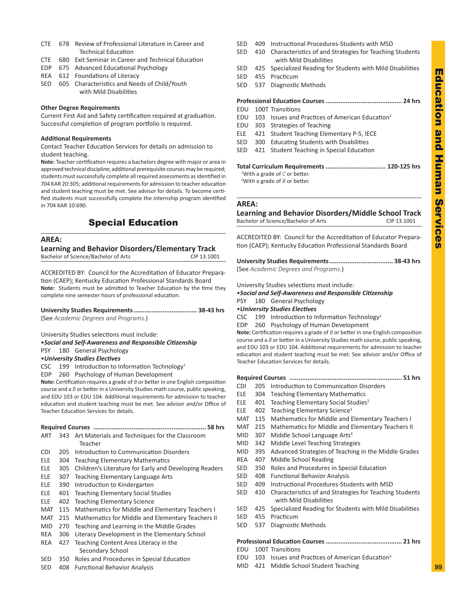- CTE 678 Review of Professional Literature in Career and Technical Education
- CTE 680 Exit Seminar in Career and Technical Education
- EDP 675 Advanced Educational Psychology
- REA 612 Foundations of Literacy
- SED 605 Characteristics and Needs of Child/Youth with Mild Disabilities

# **Other Degree Requirements**

Current First Aid and Safety certification required at graduation. Successful completion of program portfolio is required.

# **Additional Requirements**

Contact Teacher Education Services for details on admission to student teaching.

**Note:** Teacher certification requires a bachelors degree with major or area in approved technical discipline; additional prerequisite courses may be required; students must successfully complete all required assessments as identified in 704 KAR 20:305; additional requirements for admission to teacher education and student teaching must be met. See advisor for details. To become certified students must successfully complete the internship program identified in 704 KAR 10:690.

# Special Education

# **AREA:**

| <b>Learning and Behavior Disorders/Elementary Track</b> |             |
|---------------------------------------------------------|-------------|
| Bachelor of Science/Bachelor of Arts                    | CIP 13.1001 |

ACCREDITED BY: Council for the Accreditation of Educator Preparation (CAEP); Kentucky Education Professional Standards Board **Note:** Students must be admitted to Teacher Education by the time they complete nine semester hours of professional education.

**University Studies Requirements................................... 38-43 hrs** (See *Academic Degrees and Programs.*)

University Studies selections must include:

•*Social and Self-Awareness and Responsible Citizenship*

PSY 180 General Psychology

•*University Studies Electives*

CSC  $199$  Introduction to Information Technology<sup>1</sup>

EDP 260 Psychology of Human Development

**Note:** Certification requires a grade of *B* or better in one English composition course and a *B* or better in a University Studies math course, public speaking, and EDU 103 or EDU 104. Additional requirements for admission to teacher education and student teaching must be met. See advisor and/or Office of Teacher Education Services for details.

| ART        |  | 343 Art Materials and Techniques for the Classroom         |  |
|------------|--|------------------------------------------------------------|--|
|            |  | Teacher                                                    |  |
| <b>CDI</b> |  | 205 Introduction to Communication Disorders                |  |
| <b>ELE</b> |  | 304 Teaching Elementary Mathematics                        |  |
| <b>ELE</b> |  | 305 Children's Literature for Early and Developing Readers |  |
| <b>ELE</b> |  | 307 Teaching Elementary Language Arts                      |  |
| ELE.       |  | 390 Introduction to Kindergarten                           |  |
| <b>ELE</b> |  | 401 Teaching Elementary Social Studies                     |  |
| <b>ELE</b> |  | 402 Teaching Elementary Science                            |  |
| MAT        |  | 115 Mathematics for Middle and Elementary Teachers I       |  |

- MAT 215 Mathematics for Middle and Elementary Teachers II
- MID 270 Teaching and Learning in the Middle Grades
- REA 306 Literacy Development in the Elementary School
- REA 427 Teaching Content Area Literacy in the Secondary School
- SED 350 Roles and Procedures in Special Education
- SED 408 Functional Behavior Analysis
- SED 409 Instructional Procedures-Students with MSD
- SED 410 Characteristics of and Strategies for Teaching Students with Mild Disabilities
- SED 425 Specialized Reading for Students with Mild Disabilities
- SED 455 Practicum
- SED 537 Diagnostic Methods

# **Professional Education Courses .......................................... 24 hrs**

- EDU 100T Transitions
- EDU 103 Issues and Practices of American Education<sup>2</sup>
- EDU 303 Strategies of Teaching
- ELE 421 Student Teaching Elementary P-5, IECE
- SED 300 Educating Students with Disabilities
- SED 421 Student Teaching in Special Education

# **Total Curriculum Requirements ................................. 120-125 hrs**

1 With a grade of *C* or better. 2 With a grade of *B* or better.

# **AREA:**

**Learning and Behavior Disorders/Middle School Track** Bachelor of Science/Bachelor of Arts CIP 13.1001

ACCREDITED BY: Council for the Accreditation of Educator Preparation (CAEP); Kentucky Education Professional Standards Board

**University Studies Requirements................................... 38-43 hrs** (See *Academic Degrees and Programs.*)

University Studies selections must include:

# •*Social and Self-Awareness and Responsible Citizenship* PSY 180 General Psychology

# •*University Studies Electives*

- 
- CSC 199 Introduction to Information Technology<sup>1</sup>
- EDP 260 Psychology of Human Development

**Note:** Certification requires a grade of *B* or better in one English composition course and a *B* or better in a University Studies math course, public speaking, and EDU 103 or EDU 104. Additional requirements for admission to teacher education and student teaching must be met. See advisor and/or Office of Teacher Education Services for details.

# **Required Courses .............................................................. 51 hrs**

- CDI 205 Introduction to Communication Disorders
- ELE 304 Teaching Elementary Mathematics
- ELE 401 Teaching Elementary Social Studies<sup>2</sup>
- ELE 402 Teaching Elementary Science<sup>3</sup>
- MAT 115 Mathematics for Middle and Elementary Teachers I
- MAT 215 Mathematics for Middle and Elementary Teachers II
- MID 307 Middle School Language Arts<sup>4</sup>
- MID 342 Middle Level Teaching Strategies
- MID 395 Advanced Strategies of Teaching in the Middle Grades
- REA 407 Middle School Reading
- SED 350 Roles and Procedures in Special Education
- SED 408 Functional Behavior Analysis
- SED 409 Instructional Procedures-Students with MSD
- SED 410 Characteristics of and Strategies for Teaching Students with Mild Disabilities
- SED 425 Specialized Reading for Students with Mild Disabilities
- SED 455 Practicum
- SED 537 Diagnostic Methods

# **Professional Education Courses .......................................... 21 hrs**

- EDU 100T Transitions
- EDU 103 Issues and Practices of American Education<sup>5</sup>
- MID 421 Middle School Student Teaching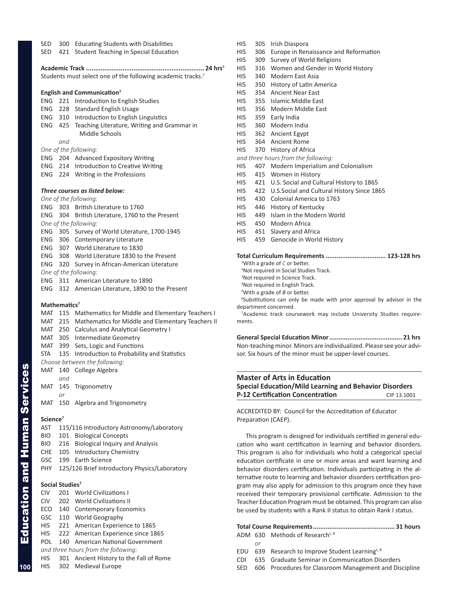| SED<br>SED               | 421 | 300 Educating Students with Disabilities<br>Student Teaching in Special Education |
|--------------------------|-----|-----------------------------------------------------------------------------------|
|                          |     | Students must select one of the following academic tracks. <sup>7</sup>           |
|                          |     | English and Communication <sup>7</sup>                                            |
|                          |     | <b>ENG</b> 221 Introduction to English Studies                                    |
|                          |     | ENG 228 Standard English Usage                                                    |
|                          |     | ENG 310 Introduction to English Linguistics                                       |
| ENG 425                  |     | Teaching Literature, Writing and Grammar in<br>Middle Schools                     |
|                          | and |                                                                                   |
|                          |     | One of the following:                                                             |
|                          |     | ENG 204 Advanced Expository Writing                                               |
|                          |     | ENG 214 Introduction to Creative Writing                                          |
|                          |     | ENG 224 Writing in the Professions                                                |
|                          |     | Three courses as listed below:                                                    |
|                          |     | One of the following:                                                             |
|                          |     | ENG 303 British Literature to 1760                                                |
| ENG                      |     | 304 British Literature, 1760 to the Present                                       |
|                          |     | One of the following:                                                             |
|                          |     | ENG 305 Survey of World Literature, 1700-1945                                     |
|                          |     | ENG 306 Contemporary Literature                                                   |
|                          |     | ENG 307 World Literature to 1830                                                  |
|                          |     | ENG 308 World Literature 1830 to the Present                                      |
| ENG                      |     | 320 Survey in African-American Literature                                         |
|                          |     | One of the following:                                                             |
|                          |     | ENG 311 American Literature to 1890                                               |
| ENG                      |     | 312 American Literature, 1890 to the Present                                      |
| Mathematics <sup>7</sup> |     |                                                                                   |
|                          |     | MAT 115 Mathematics for Middle and Elementary Teachers I                          |
| MAT 215                  |     | Mathematics for Middle and Elementary Teachers II                                 |
| MAT                      |     | 250 Calculus and Analytical Geometry I                                            |
| MAT 305                  |     | Intermediate Geometry                                                             |
| MAT                      | 399 | Sets, Logic and Functions                                                         |
| STA                      | 135 | Introduction to Probability and Statistics                                        |
|                          |     | Choose between the following:                                                     |
|                          |     | MAT 140 College Algebra                                                           |
|                          | and |                                                                                   |
| MAT                      | 145 | Trigonometry                                                                      |
|                          | or  |                                                                                   |
| MAT                      | 150 | Algebra and Trigonometry                                                          |
|                          |     |                                                                                   |

- **Science<sup>7</sup>**
- AST 115/116 Introductory Astronomy/Laboratory BIO 101 Biological Concepts BIO 216 Biological Inquiry and Analysis CHE 105 Introductory Chemistry GSC 199 Earth Science PHY 125/126 Brief Introductory Physics/Laboratory

# **Social Studies<sup>7</sup>**

- CIV 201 World Civilizations I
- CIV 202 World Civilizations II
- ECO 140 Contemporary Economics
- GSC 110 World Geography
- HIS 221 American Experience to 1865
- HIS 222 American Experience since 1865
- POL 140 American National Government
- *and three hours from the following:*
- HIS 301 Ancient History to the Fall of Rome
- HIS 302 Medieval Europe
- HIS 305 Irish Diaspora
- HIS 306 Europe in Renaissance and Reformation
- HIS 309 Survey of World Religions
- HIS 316 Women and Gender in World History
- HIS 340 Modern East Asia
- HIS 350 History of Latin America
- HIS 354 Ancient Near East
- HIS 355 Islamic Middle East
- HIS 356 Modern Middle East
- HIS 359 Early India
- HIS 360 Modern India
- HIS 362 Ancient Egypt
- HIS 364 Ancient Rome
- HIS 370 History of Africa
- *and three hours from the following:*
- HIS 407 Modern Imperialism and Colonialism
- HIS 415 Women in History
- HIS 421 U.S. Social and Cultural History to 1865
- HIS 422 U.S.Social and Cultural History Since 1865
- HIS 430 Colonial America to 1763
- HIS 446 History of Kentucky
- HIS 449 Islam in the Modern World
- HIS 450 Modern Africa
- HIS 451 Slavery and Africa
- HIS 459 Genocide in World History

**Total Curriculum Requirements ................................. 123-128 hrs**

- 1 With a grade of *C* or better.
- 2 Not required in Social Studies Track.
- <sup>3</sup>Not required in Science Track.
- 4 Not required in English Track.
- 5 With a grade of *B* or better.

6 Substitutions can only be made with prior approval by advisor in the department concerned.

<sup>7</sup> Academic track coursework may include University Studies requirements.

**General Special Education Minor........................................ 21 hrs** Non-teaching minor. Minors are individualized. Please see your advisor. Six hours of the minor must be upper-level courses.

# **Master of Arts in Education Special Education/Mild Learning and Behavior Disorders P-12 Certification Concentration** CIP 13.1001

ACCREDITED BY: Council for the Accreditation of Educator Preparation (CAEP).

This program is designed for individuals certified in general education who want certification in learning and behavior disorders. This program is also for individuals who hold a categorical special education certificate in one or more areas and want learning and behavior disorders certification. Individuals participating in the alternative route to learning and behavior disorders certification program may also apply for admission to this program once they have received their temporary provisional certificate. Admission to the Teacher Education Program must be obtained. This program can also be used by students with a Rank II status to obtain Rank I status.

|  |    | ADM 630 Methods of Research <sup>u, R</sup> |  |  |
|--|----|---------------------------------------------|--|--|
|  | nr |                                             |  |  |

- EDU 639 Research to Improve Student Learning<sup>L, R</sup>
- CDI 635 Graduate Seminar in Communication Disorders
- SED 606 Procedures for Classroom Management and Discipline

**100**

Education and Human Services

**Education and Human Services**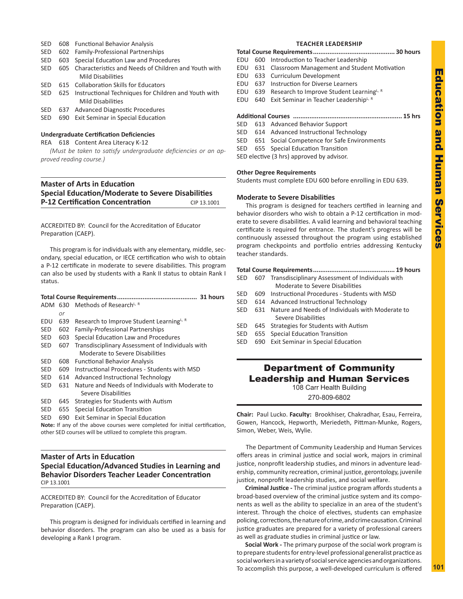- SED 608 Functional Behavior Analysis
- SED 602 Family-Professional Partnerships
- SED 603 Special Education Law and Procedures
- SED 605 Characteristics and Needs of Children and Youth with Mild Disabilities
- SED 615 Collaboration Skills for Educators
- SED 625 Instructional Techniques for Children and Youth with Mild Disabilities SED 637 Advanced Diagnostic Procedures
- SED 690 Exit Seminar in Special Education
- 

# **Undergraduate Certification Deficiencies**

REA 618 Content Area Literacy K-12

*(Must be taken to satisfy undergraduate deficiencies or an approved reading course.)*

# **Master of Arts in Education Special Education/Moderate to Severe Disabilities P-12 Certification Concentration** CIP 13.1001

# ACCREDITED BY: Council for the Accreditation of Educator Preparation (CAEP).

This program is for individuals with any elementary, middle, secondary, special education, or IECE certification who wish to obtain a P-12 certificate in moderate to severe disabilities. This program can also be used by students with a Rank II status to obtain Rank I status.

|            |     | ADM 630 Methods of Research <sup>L, R</sup>          |  |  |  |
|------------|-----|------------------------------------------------------|--|--|--|
|            | or  |                                                      |  |  |  |
| EDU        | 639 | Research to Improve Student Learning <sup>L, R</sup> |  |  |  |
| SED        | 602 | <b>Family-Professional Partnerships</b>              |  |  |  |
| <b>SED</b> | 603 | Special Education Law and Procedures                 |  |  |  |
| <b>SED</b> | 607 | Transdisciplinary Assessment of Individuals with     |  |  |  |
|            |     | Moderate to Severe Disabilities                      |  |  |  |
| SED        | 608 | <b>Functional Behavior Analysis</b>                  |  |  |  |
| SED        | 609 | Instructional Procedures - Students with MSD         |  |  |  |
| SED.       | 614 | Advanced Instructional Technology                    |  |  |  |
| SED        | 631 | Nature and Needs of Individuals with Moderate to     |  |  |  |
|            |     | Severe Disabilities                                  |  |  |  |
| SED        | 645 | Strategies for Students with Autism                  |  |  |  |
| SED        | 655 | Special Education Transition                         |  |  |  |
| SED        | 690 | <b>Exit Seminar in Special Education</b>             |  |  |  |

**Note:** If any of the above courses were completed for initial certification, other SED courses will be utilized to complete this program.

# **Master of Arts in Education Special Education/Advanced Studies in Learning and Behavior Disorders Teacher Leader Concentration** CIP 13.1001

ACCREDITED BY: Council for the Accreditation of Educator Preparation (CAEP).

This program is designed for individuals certified in learning and behavior disorders. The program can also be used as a basis for developing a Rank I program.

# **TEACHER LEADERSHIP**

|  | EDU 600 Introduction to Teacher Leadership |  |
|--|--------------------------------------------|--|

- EDU 631 Classroom Management and Student Motivation
- EDU 633 Curriculum Development
- EDU 637 Instruction for Diverse Learners
- EDU 639 Research to Improve Student Learning<sup>L, R</sup>
- EDU 640 Exit Seminar in Teacher Leadership<sup>L, R</sup>

# **Additional Courses ............................................................ 15 hrs**

- SED 613 Advanced Behavior Support
- SED 614 Advanced Instructional Technology
- SED 651 Social Competence for Safe Environments

SED 655 Special Education Transition

SED elective (3 hrs) approved by advisor.

# **Other Degree Requirements**

Students must complete EDU 600 before enrolling in EDU 639.

# **Moderate to Severe Disabilities**

This program is designed for teachers certified in learning and behavior disorders who wish to obtain a P-12 certification in moderate to severe disabilities. A valid learning and behavioral teaching certificate is required for entrance. The student's progress will be continuously assessed throughout the program using established program checkpoints and portfolio entries addressing Kentucky teacher standards.

# **Total Course Requirements............................................. 19 hours**

- SED 607 Transdisciplinary Assessment of Individuals with Moderate to Severe Disabilities
- SED 609 Instructional Procedures Students with MSD
- SED 614 Advanced Instructional Technology
- SED 631 Nature and Needs of Individuals with Moderate to Severe Disabilities
- SED 645 Strategies for Students with Autism
- SED 655 Special Education Transition
- SED 690 Exit Seminar in Special Education

# Department of Community Leadership and Human Services

108 Carr Health Building

270-809-6802

**Chair:** Paul Lucko. **Faculty:** Brookhiser, Chakradhar, Esau, Ferreira, Gowen, Hancock, Hepworth, Meriedeth, Pittman-Munke, Rogers, Simon, Weber, Weis, Wylie.

The Department of Community Leadership and Human Services offers areas in criminal justice and social work, majors in criminal justice, nonprofit leadership studies, and minors in adventure leadership, community recreation, criminal justice, gerontology, juvenile justice, nonprofit leadership studies, and social welfare.

**Criminal Justice -** The criminal justice program affords students a broad-based overview of the criminal justice system and its components as well as the ability to specialize in an area of the student's interest. Through the choice of electives, students can emphasize policing, corrections, the nature of crime, and crime causation. Criminal justice graduates are prepared for a variety of professional careers as well as graduate studies in criminal justice or law.

**Social Work -** The primary purpose of the social work program is to prepare students for entry-level professional generalist practice as social workers in a variety of social service agencies and organizations. To accomplish this purpose, a well-developed curriculum is offered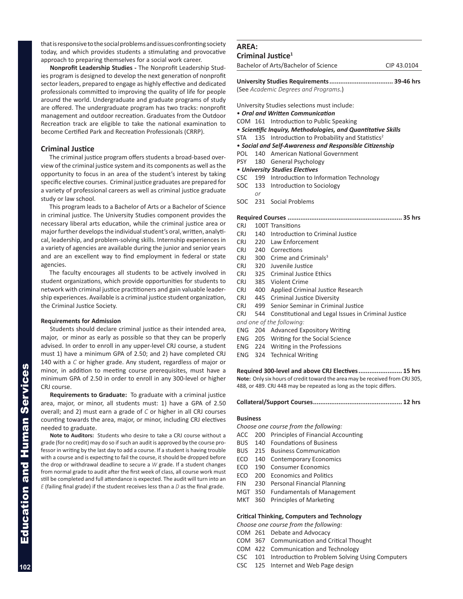that is responsive to the social problems and issues confronting society today, and which provides students a stimulating and provocative approach to preparing themselves for a social work career.

**Nonprofit Leadership Studies -** The Nonprofit Leadership Studies program is designed to develop the next generation of nonprofit sector leaders, prepared to engage as highly effective and dedicated professionals committed to improving the quality of life for people around the world. Undergraduate and graduate programs of study are offered. The undergraduate program has two tracks: nonprofit management and outdoor recreation. Graduates from the Outdoor Recreation track are eligible to take the national examination to become Certified Park and Recreation Professionals (CRRP).

# **Criminal Justice**

The criminal justice program offers students a broad-based overview of the criminal justice system and its components as well as the opportunity to focus in an area of the student's interest by taking specific elective courses. Criminal justice graduates are prepared for a variety of professional careers as well as criminal justice graduate study or law school.

This program leads to a Bachelor of Arts or a Bachelor of Science in criminal justice. The University Studies component provides the necessary liberal arts education, while the criminal justice area or major further develops the individual student's oral, written, analytical, leadership, and problem-solving skills. Internship experiences in a variety of agencies are available during the junior and senior years and are an excellent way to find employment in federal or state agencies.

The faculty encourages all students to be actively involved in student organizations, which provide opportunities for students to network with criminal justice practitioners and gain valuable leadership experiences. Available is a criminal justice student organization, the Criminal Justice Society.

# **Requirements for Admission**

Students should declare criminal justice as their intended area, major, or minor as early as possible so that they can be properly advised. In order to enroll in any upper-level CRJ course, a student must 1) have a minimum GPA of 2.50; and 2) have completed CRJ 140 with a *C* or higher grade. Any student, regardless of major or minor, in addition to meeting course prerequisites, must have a minimum GPA of 2.50 in order to enroll in any 300-level or higher CRJ course.

**Requirements to Graduate:** To graduate with a criminal justice area, major, or minor, all students must: 1) have a GPA of 2.50 overall; and 2) must earn a grade of *C* or higher in all CRJ courses counting towards the area, major, or minor, including CRJ electives needed to graduate.

**Note to Auditors:** Students who desire to take a CRJ course without a grade (for no credit) may do so if such an audit is approved by the course professor in writing by the last day to add a course. If a student is having trouble with a course and is expecting to fail the course, it should be dropped before the drop or withdrawal deadline to secure a *W* grade. If a student changes from normal grade to audit after the first week of class, all course work must still be completed and full attendance is expected. The audit will turn into an *E* (failing final grade) if the student receives less than a *D* as the final grade.

# **AREA: Criminal Justice1**

Bachelor of Arts/Bachelor of Science CIP 43.0104

**University Studies Requirements................................... 39-46 hrs** (See *Academic Degrees and Programs*.)

University Studies selections must include:

- *Oral and Written Communication*
- COM 161 Introduction to Public Speaking
- *Scientific Inquiry, Methodologies, and Quantitative Skills*
- STA 135 Introduction to Probability and Statistics<sup>2</sup>
- *Social and Self-Awareness and Responsible Citizenship*
- POL 140 American National Government
- PSY 180 General Psychology
- *University Studies Electives*
- CSC 199 Introduction to Information Technology
- SOC 133 Introduction to Sociology
- SOC 231 Social Problems

*or*

**Required Courses ............................................................... 35 hrs**

- CRJ 100T Transitions
- CRJ 140 Introduction to Criminal Justice
- CRJ 220 Law Enforcement CRI 240 Corrections
- 
- CRJ 300 Crime and Criminals<sup>3</sup>
- CRJ 320 Juvenile Justice
- CRJ 325 Criminal Justice Ethics
- CRJ 385 Violent Crime
- CRJ 400 Applied Criminal Justice Research
- CRJ 445 Criminal Justice Diversity
- CRJ 499 Senior Seminar in Criminal Justice
- CRJ 544 Constitutional and Legal Issues in Criminal Justice
- *and one of the following:*
- ENG 204 Advanced Expository Writing
- ENG 205 Writing for the Social Science
- ENG 224 Writing in the Professions
- ENG 324 Technical Writing

**Required 300-level and above CRJ Electives........................ 15 hrs Note:** Only six hours of credit toward the area may be received from CRJ 305, 488, or 489. CRJ 448 may be repeated as long as the topic differs.

### **Collateral/Support Courses................................................. 12 hrs**

### **Business**

- *Choose one course from the following:*
- ACC 200 Principles of Financial Accounting
- BUS 140 Foundations of Business
- BUS 215 Business Communication
- 
- 
- ECO 200 Economics and Politics
- FIN 230 Personal Financial Planning
- MGT 350 Fundamentals of Management
- MKT 360 Principles of Marketing

### **Critical Thinking, Computers and Technology**

*Choose one course from the following:*

- COM 261 Debate and Advocacy
- COM 367 Communication and Critical Thought
- COM 422 Communication and Technology
- CSC 101 Introduction to Problem Solving Using Computers
- CSC 125 Internet and Web Page design

ECO 140 Contemporary Economics ECO 190 Consumer Economics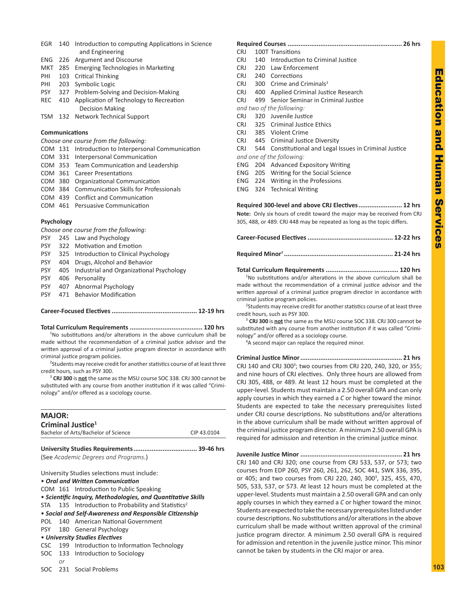| EGR | 140 Introduction to computing Applications in Science |
|-----|-------------------------------------------------------|
|     | and Engineering                                       |

- ENG 226 Argument and Discourse
- MKT 285 Emerging Technologies in Marketing
- PHI 103 Critical Thinking
- PHI 203 Symbolic Logic
- PSY 327 Problem-Solving and Decision-Making
- REC 410 Application of Technology to Recreation Decision Making
- TSM 132 Network Technical Support

### **Communications**

*Choose one course from the following:*

COM 131 Introduction to Interpersonal Communication

- COM 331 Interpersonal Communication
- COM 353 Team Communication and Leadership
- COM 361 Career Presentations
- COM 380 Organizational Communication
- COM 384 Communication Skills for Professionals
- COM 439 Conflict and Communication
- COM 461 Persuasive Communication

# **Psychology**

*Choose one course from the following:*

- PSY 245 Law and Psychology
- PSY 322 Motivation and Emotion
- PSY 325 Introduction to Clinical Psychology
- PSY 404 Drugs, Alcohol and Behavior
- PSY 405 Industrial and Organizational Psychology
- PSY 406 Personality
- PSY 407 Abnormal Psychology
- PSY 471 Behavior Modification

# **Career-Focused Electives............................................... 12-19 hrs**

### **Total Curriculum Requirements ........................................ 120 hrs**

<sup>1</sup>No substitutions and/or alterations in the above curriculum shall be made without the recommendation of a criminal justice advisor and the written approval of a criminal justice program director in accordance with criminal justice program policies.

<sup>2</sup>Students may receive credit for another statistics course of at least three credit hours, such as PSY 300.

<sup>3</sup> **CRJ 300** is **not** the same as the MSU course SOC 338. CRJ 300 cannot be substituted with any course from another institution if it was called "Criminology" and/or offered as a sociology course.

| <b>MAJOR:</b> |                                                                   |                                                              |             |  |  |  |
|---------------|-------------------------------------------------------------------|--------------------------------------------------------------|-------------|--|--|--|
|               |                                                                   | Criminal Justice <sup>1</sup>                                |             |  |  |  |
|               |                                                                   | Bachelor of Arts/Bachelor of Science                         | CIP 43.0104 |  |  |  |
|               |                                                                   |                                                              |             |  |  |  |
|               |                                                                   |                                                              |             |  |  |  |
|               |                                                                   | (See Academic Degrees and Programs.)                         |             |  |  |  |
|               |                                                                   | University Studies selections must include:                  |             |  |  |  |
|               |                                                                   | • Oral and Written Communication                             |             |  |  |  |
|               |                                                                   | COM 161 Introduction to Public Speaking                      |             |  |  |  |
|               |                                                                   | • Scientific Inquiry, Methodologies, and Quantitative Skills |             |  |  |  |
|               | $STA$ 135 Introduction to Probability and Statistics <sup>2</sup> |                                                              |             |  |  |  |
|               |                                                                   | • Social and Self-Awareness and Responsible Citizenship      |             |  |  |  |
|               |                                                                   | POL 140 American National Government                         |             |  |  |  |
|               |                                                                   | PSY 180 General Psychology                                   |             |  |  |  |
|               |                                                                   | • University Studies Electives                               |             |  |  |  |
|               | CSC 199 Introduction to Information Technology                    |                                                              |             |  |  |  |
|               | SOC 133 Introduction to Sociology                                 |                                                              |             |  |  |  |
|               | or                                                                |                                                              |             |  |  |  |

SOC 231 Social Problems

| CRJ        |     | 100T Transitions                                        |
|------------|-----|---------------------------------------------------------|
| CRJ        |     | 140 Introduction to Criminal Justice                    |
| <b>CRJ</b> |     | 220 Law Enforcement                                     |
| CRJ        |     | 240 Corrections                                         |
| <b>CRJ</b> |     | 300 Crime and Criminals <sup>3</sup>                    |
| <b>CRJ</b> | 400 | Applied Criminal Justice Research                       |
| CRJ        |     | 499 Senior Seminar in Criminal Justice                  |
|            |     | and two of the following:                               |
| CRJ        |     | 320 Juvenile Justice                                    |
|            |     | CRJ 325 Criminal Justice Ethics                         |
| CRJ        |     | 385 Violent Crime                                       |
|            |     | CRJ 445 Criminal Justice Diversity                      |
| <b>CRJ</b> |     | 544 Constitutional and Legal Issues in Criminal Justice |
|            |     | and one of the following:                               |
| ENG.       |     | 204 Advanced Expository Writing                         |
|            |     | ENG 205 Writing for the Social Science                  |
|            |     | ENG 224 Writing in the Professions                      |
|            |     | <b>ENG</b> 324 Technical Writing                        |
|            |     |                                                         |

**Required 300-level and above CRJ Electives........................ 12 hrs Note:** Only six hours of credit toward the major may be received from CRJ 305, 488, or 489. CRJ 448 may be repeated as long as the topic differs.

**Total Curriculum Requirements ........................................ 120 hrs** <sup>1</sup>No substitutions and/or alterations in the above curriculum shall be made without the recommendation of a criminal justice advisor and the written approval of a criminal justice program director in accordance with

criminal justice program policies. <sup>2</sup>Students may receive credit for another statistics course of at least three

credit hours, such as PSY 300. <sup>3</sup> **CRJ 300** is **not** the same as the MSU course SOC 338. CRJ 300 cannot be substituted with any course from another institution if it was called "Crimi-

nology" and/or offered as a sociology course. <sup>4</sup>A second major can replace the required minor.

**Criminal Justice Minor........................................................ 21 hrs** CRJ 140 and CRJ 300<sup>3</sup>; two courses from CRJ 220, 240, 320, or 355; and nine hours of CRJ electives. Only three hours are allowed from CRJ 305, 488, or 489. At least 12 hours must be completed at the upper-level. Students must maintain a 2.50 overall GPA and can only apply courses in which they earned a *C* or higher toward the minor. Students are expected to take the necessary prerequisites listed under CRJ course descriptions. No substitutions and/or alterations in the above curriculum shall be made without written approval of the criminal justice program director. A minimum 2.50 overall GPA is required for admission and retention in the criminal justice minor.

**Juvenile Justice Minor ........................................................ 21 hrs** CRJ 140 and CRJ 320; one course from CRJ 533, 537, or 573; two courses from EDP 260, PSY 260, 261, 262, SOC 441, SWK 336, 395, or 405; and two courses from CRJ 220, 240, 300<sup>3</sup>, 325, 455, 470, 505, 533, 537, or 573. At least 12 hours must be completed at the upper-level. Students must maintain a 2.50 overall GPA and can only apply courses in which they earned a *C* or higher toward the minor. Students are expected to take the necessary prerequisites listed under course descriptions. No substitutions and/or alterations in the above curriculum shall be made without written approval of the criminal justice program director. A minimum 2.50 overall GPA is required for admission and retention in the juvenile justice minor. This minor cannot be taken by students in the CRJ major or area.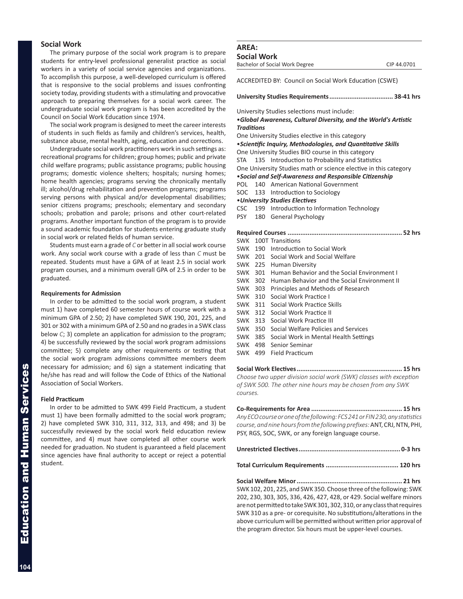# **Social Work**

The primary purpose of the social work program is to prepare students for entry-level professional generalist practice as social workers in a variety of social service agencies and organizations. To accomplish this purpose, a well-developed curriculum is offered that is responsive to the social problems and issues confronting society today, providing students with a stimulating and provocative approach to preparing themselves for a social work career. The undergraduate social work program is has been accredited by the Council on Social Work Education since 1974.

The social work program is designed to meet the career interests of students in such fields as family and children's services, health, substance abuse, mental health, aging, education and corrections.

Undergraduate social work practitioners work in such settings as: recreational programs for children; group homes; public and private child welfare programs; public assistance programs; public housing programs; domestic violence shelters; hospitals; nursing homes; home health agencies; programs serving the chronically mentally ill; alcohol/drug rehabilitation and prevention programs; programs serving persons with physical and/or developmental disabilities; senior citizens programs; preschools; elementary and secondary schools; probation and parole; prisons and other court-related programs. Another important function of the program is to provide a sound academic foundation for students entering graduate study in social work or related fields of human service.

Students must earn a grade of *C* or better in all social work course work. Any social work course with a grade of less than *C* must be repeated. Students must have a GPA of at least 2.5 in social work program courses, and a minimum overall GPA of 2.5 in order to be graduated.

# **Requirements for Admission**

In order to be admitted to the social work program, a student must 1) have completed 60 semester hours of course work with a minimum GPA of 2.50; 2) have completed SWK 190, 201, 225, and 301 or 302 with a minimum GPA of 2.50 and no grades in a SWK class below *C*; 3) complete an application for admission to the program; 4) be successfully reviewed by the social work program admissions committee; 5) complete any other requirements or testing that the social work program admissions committee members deem necessary for admission; and 6) sign a statement indicating that he/she has read and will follow the Code of Ethics of the National Association of Social Workers.

### **Field Practicum**

In order to be admitted to SWK 499 Field Practicum, a student must 1) have been formally admitted to the social work program; 2) have completed SWK 310, 311, 312, 313, and 498; and 3) be successfully reviewed by the social work field education review committee, and 4) must have completed all other course work needed for graduation. No student is guaranteed a field placement since agencies have final authority to accept or reject a potential student.

# **AREA:**

**Social Work** Bachelor of Social Work Degree CIP 44.0701

ACCREDITED BY: Council on Social Work Education (CSWE)

University Studies selections must include:

# •*Global Awareness, Cultural Diversity, and the World's Artistic Traditions*

One University Studies elective in this category

•*Scientific Inquiry, Methodologies, and Quantitative Skills*

One University Studies BIO course in this category

STA 135 Introduction to Probability and Statistics

One University Studies math or science elective in this category

•*Social and Self-Awareness and Responsible Citizenship*

- POL 140 American National Government
- SOC 133 Introduction to Sociology

•*University Studies Electives*

- CSC 199 Introduction to Information Technology
- PSY 180 General Psychology

|         |  | SWK 100T Transitions                                 |  |  |  |
|---------|--|------------------------------------------------------|--|--|--|
|         |  | SWK 190 Introduction to Social Work                  |  |  |  |
|         |  | SWK 201 Social Work and Social Welfare               |  |  |  |
|         |  | SWK 225 Human Diversity                              |  |  |  |
|         |  | SWK 301 Human Behavior and the Social Environment I  |  |  |  |
|         |  | SWK 302 Human Behavior and the Social Environment II |  |  |  |
| SWK 303 |  | Principles and Methods of Research                   |  |  |  |
|         |  | SWK 310 Social Work Practice I                       |  |  |  |
|         |  | SWK 311 Social Work Practice Skills                  |  |  |  |
|         |  | SWK 312 Social Work Practice II                      |  |  |  |
|         |  | SWK 313 Social Work Practice III                     |  |  |  |
|         |  | SWK 350 Social Welfare Policies and Services         |  |  |  |
|         |  | SWK 385 Social Work in Mental Health Settings        |  |  |  |
|         |  | SWK 498 Senior Seminar                               |  |  |  |

SWK 499 Field Practicum

**Social Work Electives.......................................................... 15 hrs** *Choose two upper division social work (SWK) classes with exception of SWK 500. The other nine hours may be chosen from any SWK courses.*

**Co-Requirements for Area .................................................. 15 hrs** *Any ECO course or one of the following: FCS 241 or FIN 230, any statistics course, and nine hours from the following prefixes:* ANT, CRJ, NTN, PHI, PSY, RGS, SOC, SWK, or any foreign language course.

**Total Curriculum Requirements ........................................ 120 hrs**

**Social Welfare Minor.......................................................... 21 hrs** SWK 102, 201, 225, and SWK 350. Choose three of the following: SWK 202, 230, 303, 305, 336, 426, 427, 428, or 429. Social welfare minors are not permitted to take SWK 301, 302, 310, or any class that requires SWK 310 as a pre- or corequisite. No substitutions/alterations in the above curriculum will be permitted without written prior approval of the program director. Six hours must be upper-level courses.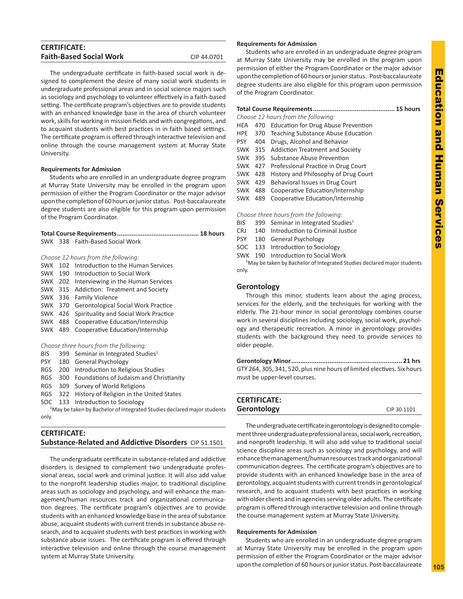| <b>CERTIFICATE:</b>            |             |
|--------------------------------|-------------|
| <b>Faith-Based Social Work</b> | CIP 44.0701 |

The undergraduate certificate in faith-based social work is designed to complement the desire of many social work students in undergraduate professional areas and in social science majors such as sociology and psychology to volunteer effectively in a faith-based setting. The certificate program's objectives are to provide students with an enhanced knowledge base in the area of church volunteer work, skills for working in mission fields and with congregations, and to acquaint students with best practices in in faith based settings. The certificate program is offered through interactive television and online through the course management system at Murray State University.

# **Requirements for Admission**

Students who are enrolled in an undergraduate degree program at Murray State University may be enrolled in the program upon permission of either the Program Coordinator or the major advisor upon the completion of 60 hours or junior status. Post-baccalaureate degree students are also eligible for this program upon permission of the Program Coordinator.

|  | SWK 338 Faith-Based Social Work |  |
|--|---------------------------------|--|

*Choose 12 hours from the following:*

|                | SWK 102 Introduction to the Human Services  |
|----------------|---------------------------------------------|
| <b>SWK</b>     | 190 Introduction to Social Work             |
| SWK 202        | Interviewing in the Human Services          |
|                | SWK 315 Addiction: Treatment and Society    |
|                | SWK 336 Family Violence                     |
|                | SWK 370 Gerontological Social Work Practice |
| SWK 426        | Spirituality and Social Work Practice       |
| <b>SWK 488</b> | Cooperative Education/Internship            |
| <b>SWK 489</b> | Cooperative Education/Internship            |
|                |                                             |

|  | Choose three hours from the following: |  |  |  |  |  |  |
|--|----------------------------------------|--|--|--|--|--|--|
|--|----------------------------------------|--|--|--|--|--|--|

| BIS     | 399 Seminar in Integrated Studies <sup>1</sup>  |
|---------|-------------------------------------------------|
|         | PSY 180 General Psychology                      |
|         | RGS 200 Introduction to Religious Studies       |
|         | RGS 300 Foundations of Judaism and Christianity |
| $-\sim$ |                                                 |

- RGS 309 Survey of World Religions
- RGS 322 History of Religion in the United States
- SOC 133 Introduction to Sociology

<sup>1</sup>May be taken by Bachelor of Integrated Studies declared major students only.

# **CERTIFICATE: Substance-Related and Addictive Disorders** CIP 51.1501

The undergraduate certificate in substance-related and addictive disorders is designed to complement two undergraduate professional areas, social work and criminal justice. It will also add value to the nonprofit leadership studies major, to traditional discipline areas such as sociology and psychology, and will enhance the management/human resources track and organizational communication degrees. The certificate program's objectives are to provide students with an enhanced knowledge base in the area of substance abuse, acquaint students with current trends in substance abuse research, and to acquaint students with best practices in working with substance abuse issues. The certificate program is offered through interactive television and online through the course management system at Murray State University.

# **Requirements for Admission**

Students who are enrolled in an undergraduate degree program at Murray State University may be enrolled in the program upon permission of either the Program Coordinator or the major advisor upon the completion of 60 hours or junior status. Post-baccalaureate degree students are also eligible for this program upon permission of the Program Coordinator.

|  | Choose 12 hours from the following:          |  |
|--|----------------------------------------------|--|
|  | HEA 470 Education for Drug Abuse Prevention  |  |
|  | HPE 370 Teaching Substance Abuse Education   |  |
|  | PSY 404 Drugs, Alcohol and Behavior          |  |
|  | SWK 315 Addiction Treatment and Society      |  |
|  | SWK 395 Substance Abuse Prevention           |  |
|  | SWK 427 Professional Practice in Drug Court  |  |
|  | SWK 428 History and Philosophy of Drug Court |  |
|  | SMK 429 Rehavioral Issues in Drug Court      |  |

- Behavioral issues in Drug Court
- SWK 488 Cooperative Education/Internship
- SWK 489 Cooperative Education/Internship

*Choose three hours from the following:*

- BIS 399 Seminar in Integrated Studies<sup>1</sup>
- CRJ 140 Introduction to Criminal Justice
- PSY 180 General Psychology
- SOC 133 Introduction to Sociology
- SWK 190 Introduction to Social Work

<sup>1</sup>May be taken by Bachelor of Integrated Studies declared major students only.

# **Gerontology**

Through this minor, students learn about the aging process, services for the elderly, and the techniques for working with the elderly. The 21-hour minor in social gerontology combines course work in several disciplines including sociology, social work, psychology and therapeutic recreation. A minor in gerontology provides students with the background they need to provide services to older people.

**Gerontology Minor............................................................. 21 hrs** GTY 264, 305, 341, 520, plus nine hours of limited electives. Six hours must be upper-level courses.

| <b>CERTIFICATE:</b> |             |
|---------------------|-------------|
| Gerontology         | CIP 30.1101 |

The undergraduate certificate in gerontology is designed to complement three undergraduate professional areas, social work, recreation, and nonprofit leadership. It will also add value to traditional social science discipline areas such as sociology and psychology, and will enhance the management/human resources track and organizational communication degrees. The certificate program's objectives are to provide students with an enhanced knowledge base in the area of gerontology, acquaint students with current trends in gerontological research, and to acquaint students with best practices in working with older clients and in agencies serving older adults. The certificate program is offered through interactive television and online through the course management system at Murray State University.

# **Requirements for Admission**

Students who are enrolled in an undergraduate degree program at Murray State University may be enrolled in the program upon permission of either the Program Coordinator or the major advisor upon the completion of 60 hours or junior status. Post-baccalaureate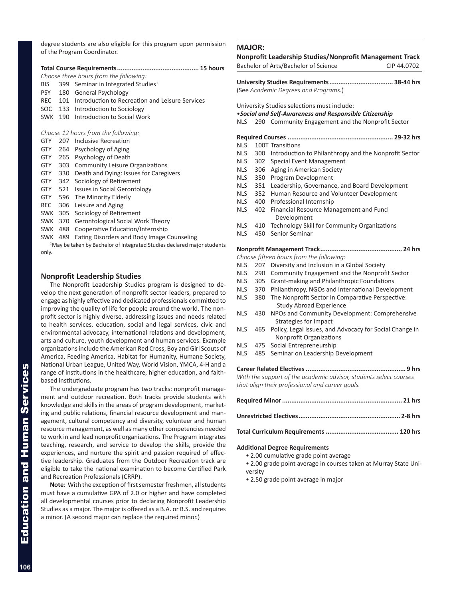degree students are also eligible for this program upon permission of the Program Coordinator.

|                                                                                     |     | Choose three hours from the following:          |  |
|-------------------------------------------------------------------------------------|-----|-------------------------------------------------|--|
| <b>BIS</b>                                                                          | 399 | Seminar in Integrated Studies <sup>1</sup>      |  |
| <b>PSY</b>                                                                          | 180 | <b>General Psychology</b>                       |  |
| REC.                                                                                | 101 | Introduction to Recreation and Leisure Services |  |
| SOC.                                                                                | 133 | Introduction to Sociology                       |  |
| SWK                                                                                 | 190 | Introduction to Social Work                     |  |
|                                                                                     |     |                                                 |  |
|                                                                                     |     | Choose 12 hours from the following:             |  |
| GTY                                                                                 | 207 | Inclusive Recreation                            |  |
| <b>GTY</b>                                                                          |     | 264 Psychology of Aging                         |  |
| GTY                                                                                 |     | 265 Psychology of Death                         |  |
| <b>GTY</b>                                                                          | 303 | <b>Community Leisure Organizations</b>          |  |
| <b>GTY</b>                                                                          | 330 | Death and Dying: Issues for Caregivers          |  |
| <b>GTY</b>                                                                          | 342 | Sociology of Retirement                         |  |
| <b>GTY</b>                                                                          | 521 | <b>Issues in Social Gerontology</b>             |  |
| GTY                                                                                 | 596 | The Minority Elderly                            |  |
| REC.                                                                                | 306 | Leisure and Aging                               |  |
| SWK                                                                                 | 305 | Sociology of Retirement                         |  |
| SWK                                                                                 | 370 | Gerontological Social Work Theory               |  |
| <b>SWK</b>                                                                          | 488 | Cooperative Education/Internship                |  |
| <b>SWK</b>                                                                          | 489 | Eating Disorders and Body Image Counseling      |  |
| <sup>1</sup> May be taken by Bachelor of Integrated Studies declared major students |     |                                                 |  |
| only.                                                                               |     |                                                 |  |

# **Nonprofit Leadership Studies**

The Nonprofit Leadership Studies program is designed to develop the next generation of nonprofit sector leaders, prepared to engage as highly effective and dedicated professionals committed to improving the quality of life for people around the world. The nonprofit sector is highly diverse, addressing issues and needs related to health services, education, social and legal services, civic and environmental advocacy, international relations and development, arts and culture, youth development and human services. Example organizations include the American Red Cross, Boy and Girl Scouts of America, Feeding America, Habitat for Humanity, Humane Society, National Urban League, United Way, World Vision, YMCA, 4-H and a range of institutions in the healthcare, higher education, and faithbased institutions.

The undergraduate program has two tracks: nonprofit management and outdoor recreation. Both tracks provide students with knowledge and skills in the areas of program development, marketing and public relations, financial resource development and management, cultural competency and diversity, volunteer and human resource management, as well as many other competencies needed to work in and lead nonprofit organizations. The Program integrates teaching, research, and service to develop the skills, provide the experiences, and nurture the spirit and passion required of effective leadership. Graduates from the Outdoor Recreation track are eligible to take the national examination to become Certified Park and Recreation Professionals (CRRP).

**Note**: With the exception of first semester freshmen, all students must have a cumulative GPA of 2.0 or higher and have completed all developmental courses prior to declaring Nonprofit Leadership Studies as a major. The major is offered as a B.A. or B.S. and requires a minor. (A second major can replace the required minor.)

# **MAJOR: Nonprofit Leadership Studies/Nonprofit Management Track** Bachelor of Arts/Bachelor of Science CIP 44.0702 **University Studies Requirements................................... 38-44 hrs** (See *Academic Degrees and Programs*.) University Studies selections must include: •*Social and Self-Awareness and Responsible Citizenship* NLS 290 Community Engagement and the Nonprofit Sector **Required Courses .......................................................... 29-32 hrs** NLS 100T Transitions NLS 300 Introduction to Philanthropy and the Nonprofit Sector NLS 302 Special Event Management NLS 306 Aging in American Society NLS 350 Program Development NLS 351 Leadership, Governance, and Board Development NLS 352 Human Resource and Volunteer Development NLS 400 Professional Internship NLS 402 Financial Resource Management and Fund Development NLS 410 Technology Skill for Community Organizations NLS 450 Senior Seminar **Nonprofit Management Track............................................. 24 hrs** *Choose fifteen hours from the following:* NLS 207 Diversity and Inclusion in a Global Society NLS 290 Community Engagement and the Nonprofit Sector NLS 305 Grant-making and Philanthropic Foundations NLS 370 Philanthropy, NGOs and International Development NLS 380 The Nonprofit Sector in Comparative Perspective: Study Abroad Experience NLS 430 NPOs and Community Development: Comprehensive Strategies for Impact NLS 465 Policy, Legal Issues, and Advocacy for Social Change in Nonprofit Organizations NLS 475 Social Entrepreneurship NLS 485 Seminar on Leadership Development **Career Related Electives ....................................................... 9 hrs** *With the support of the academic advisor, students select courses that align their professional and career goals.*  **Required Minor.................................................................. 21 hrs Unrestricted Electives........................................................ 2-8 hrs**

**Total Curriculum Requirements ........................................ 120 hrs**

# **Additional Degree Requirements**

- 2.00 cumulative grade point average
- 2.00 grade point average in courses taken at Murray State University
- 2.50 grade point average in major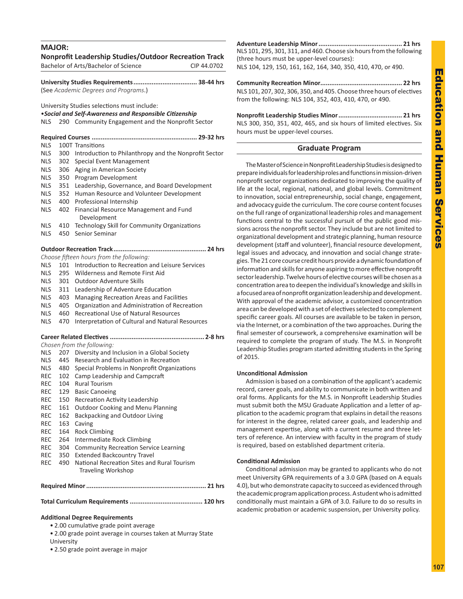# **MAJOR: Nonprofit Leadership Studies/Outdoor Recreation Track** Bachelor of Arts/Bachelor of Science CIP 44.0702 **University Studies Requirements................................... 38-44 hrs** (See *Academic Degrees and Programs*.) University Studies selections must include: •*Social and Self-Awareness and Responsible Citizenship* NLS 290 Community Engagement and the Nonprofit Sector **Required Courses .......................................................... 29-32 hrs** NLS 100T Transitions NLS 300 Introduction to Philanthropy and the Nonprofit Sector NLS 302 Special Event Management NLS 306 Aging in American Society NLS 350 Program Development NLS 351 Leadership, Governance, and Board Development NLS 352 Human Resource and Volunteer Development NLS 400 Professional Internship NLS 402 Financial Resource Management and Fund Development NLS 410 Technology Skill for Community Organizations NLS 450 Senior Seminar **Outdoor Recreation Track................................................... 24 hrs** *Choose fifteen hours from the following:* NLS 101 Introduction to Recreation and Leisure Services NLS 295 Wilderness and Remote First Aid NLS 301 Outdoor Adventure Skills NLS 311 Leadership of Adventure Education NLS 403 Managing Recreation Areas and Facilities NLS 405 Organization and Administration of Recreation NLS 460 Recreational Use of Natural Resources NLS 470 Interpretation of Cultural and Natural Resources **Career Related Electives .................................................... 2-8 hrs** *Chosen from the following:*  NLS 207 Diversity and Inclusion in a Global Society NLS 445 Research and Evaluation in Recreation NLS 480 Special Problems in Nonprofit Organizations REC 102 Camp Leadership and Campcraft REC 104 Rural Tourism REC 129 Basic Canoeing REC 150 Recreation Activity Leadership REC 161 Outdoor Cooking and Menu Planning REC 162 Backpacking and Outdoor Living REC 163 Caving REC 164 Rock Climbing REC 264 Intermediate Rock Climbing REC 304 Community Recreation Service Learning REC 350 Extended Backcountry Travel REC 490 National Recreation Sites and Rural Tourism Traveling Workshop **Required Minor.................................................................. 21 hrs**

**Total Curriculum Requirements ........................................ 120 hrs**

# **Additional Degree Requirements**

• 2.00 cumulative grade point average

• 2.00 grade point average in courses taken at Murray State University

• 2.50 grade point average in major

**Adventure Leadership Minor.............................................. 21 hrs** NLS 101, 295, 301, 311, and 460. Choose six hours from the following (three hours must be upper-level courses): NLS 104, 129, 150, 161, 162, 164, 340, 350, 410, 470, or 490.

**Community Recreation Minor............................................. 22 hrs** NLS 101, 207, 302, 306, 350, and 405. Choose three hours of electives from the following: NLS 104, 352, 403, 410, 470, or 490.

**Nonprofit Leadership Studies Minor................................... 21 hrs** NLS 300, 350, 351, 402, 465, and six hours of limited electives. Six hours must be upper-level courses.

# **Graduate Program**

The Master of Science in Nonprofit Leadership Studies is designed to prepare individuals for leadership roles and functions in mission-driven nonprofit sector organizations dedicated to improving the quality of life at the local, regional, national, and global levels. Commitment to innovation, social entrepreneurship, social change, engagement, and advocacy guide the curriculum. The core course content focuses on the full range of organizational leadership roles and management functions central to the successful pursuit of the public good missions across the nonprofit sector. They include but are not limited to organizational development and strategic planning, human resource development (staff and volunteer), financial resource development, legal issues and advocacy, and innovation and social change strategies. The 21 core course credit hours provide a dynamic foundation of information and skills for anyone aspiring to more effective nonprofit sector leadership. Twelve hours of elective courses will be chosen as a concentration area to deepen the individual's knowledge and skills in a focused area of nonprofit organization leadership and development. With approval of the academic advisor, a customized concentration area can be developed with a set of electives selected to complement specific career goals. All courses are available to be taken in person, via the Internet, or a combination of the two approaches. During the final semester of coursework, a comprehensive examination will be required to complete the program of study. The M.S. in Nonprofit Leadership Studies program started admitting students in the Spring of 2015.

# **Unconditional Admission**

Admission is based on a combination of the applicant's academic record, career goals, and ability to communicate in both written and oral forms. Applicants for the M.S. in Nonprofit Leadership Studies must submit both the MSU Graduate Application and a letter of application to the academic program that explains in detail the reasons for interest in the degree, related career goals, and leadership and management expertise, along with a current resume and three letters of reference. An interview with faculty in the program of study is required, based on established department criteria.

# **Conditional Admission**

Conditional admission may be granted to applicants who do not meet University GPA requirements of a 3.0 GPA (based on A equals 4.0), but who demonstrate capacity to succeed as evidenced through the academic program application process. A student who is admitted conditionally must maintain a GPA of 3.0. Failure to do so results in academic probation or academic suspension, per University policy.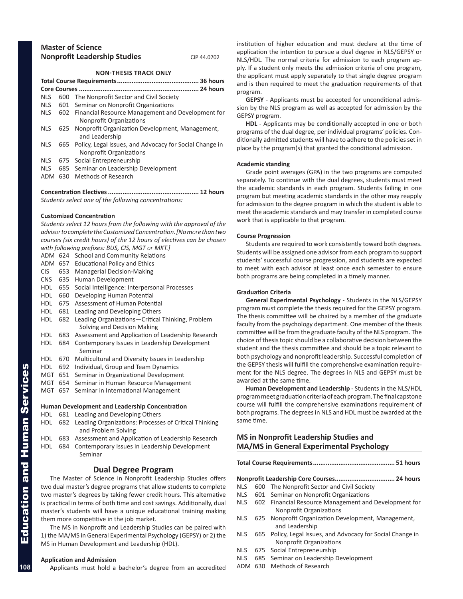| <b>Master of Science</b>            |             |
|-------------------------------------|-------------|
| <b>Nonprofit Leadership Studies</b> | CIP 44.0702 |

# **NON-THESIS TRACK ONLY**

|            | . 24 hours |                                                                                        |  |  |  |  |
|------------|------------|----------------------------------------------------------------------------------------|--|--|--|--|
| <b>NLS</b> |            | 600 The Nonprofit Sector and Civil Society                                             |  |  |  |  |
| <b>NLS</b> | 601        | Seminar on Nonprofit Organizations                                                     |  |  |  |  |
| <b>NLS</b> | 602        | Financial Resource Management and Development for<br>Nonprofit Organizations           |  |  |  |  |
| <b>NLS</b> |            | 625 Nonprofit Organization Development, Management,<br>and Leadership                  |  |  |  |  |
| <b>NLS</b> |            | 665 Policy, Legal Issues, and Advocacy for Social Change in<br>Nonprofit Organizations |  |  |  |  |
| <b>NLS</b> |            | 675 Social Entrepreneurship                                                            |  |  |  |  |
| <b>NLS</b> | 685        | Seminar on Leadership Development                                                      |  |  |  |  |
| ADM        | 630.       | Methods of Research                                                                    |  |  |  |  |

# **Concentration Electives.................................................. 12 hours**

*Students select one of the following concentrations:*

# **Customized Concentration**

*Students select 12 hours from the following with the approval of the advisor to complete the Customized Concentration. [No more than two courses (six credit hours) of the 12 hours of electives can be chosen with following prefixes: BUS, CIS, MGT or MKT.]*

ADM 624 School and Community Relations

- ADM 657 Educational Policy and Ethics
- CIS 653 Managerial Decision-Making
- CNS 635 Human Development
- HDL 655 Social Intelligence: Interpersonal Processes
- HDL 660 Developing Human Potential
- HDL 675 Assessment of Human Potential
- HDL 681 Leading and Developing Others
- HDL 682 Leading Organizations—Critical Thinking, Problem Solving and Decision Making
- HDL 683 Assessment and Application of Leadership Research
- HDL 684 Contemporary Issues in Leadership Development Seminar
- HDL 670 Multicultural and Diversity Issues in Leadership
- HDL 692 Individual, Group and Team Dynamics
- MGT 651 Seminar in Organizational Development
- MGT 654 Seminar in Human Resource Management
- MGT 657 Seminar in International Management

# **Human Development and Leadership Concentration**

- HDL 681 Leading and Developing Others
- HDL 682 Leading Organizations: Processes of Critical Thinking and Problem Solving
- HDL 683 Assessment and Application of Leadership Research
- HDL 684 Contemporary Issues in Leadership Development Seminar

# **Dual Degree Program**

The Master of Science in Nonprofit Leadership Studies offers two dual master's degree programs that allow students to complete two master's degrees by taking fewer credit hours. This alternative is practical in terms of both time and cost savings. Additionally, dual master's students will have a unique educational training making them more competitive in the job market.

The MS in Nonprofit and Leadership Studies can be paired with 1) the MA/MS in General Experimental Psychology (GEPSY) or 2) the MS in Human Development and Leadership (HDL).

# **Application and Admission**

Applicants must hold a bachelor's degree from an accredited

institution of higher education and must declare at the time of application the intention to pursue a dual degree in NLS/GEPSY or NLS/HDL. The normal criteria for admission to each program apply. If a student only meets the admission criteria of one program, the applicant must apply separately to that single degree program and is then required to meet the graduation requirements of that program.

**GEPSY** - Applicants must be accepted for unconditional admission by the NLS program as well as accepted for admission by the GEPSY program.

**HDL** - Applicants may be conditionally accepted in one or both programs of the dual degree, per individual programs' policies. Conditionally admitted students will have to adhere to the policies set in place by the program(s) that granted the conditional admission.

### **Academic standing**

Grade point averages (GPA) in the two programs are computed separately. To continue with the dual degrees, students must meet the academic standards in each program. Students failing in one program but meeting academic standards in the other may reapply for admission to the degree program in which the student is able to meet the academic standards and may transfer in completed course work that is applicable to that program.

# **Course Progression**

Students are required to work consistently toward both degrees. Students will be assigned one advisor from each program to support students' successful course progression, and students are expected to meet with each advisor at least once each semester to ensure both programs are being completed in a timely manner.

# **Graduation Criteria**

**General Experimental Psychology** - Students in the NLS/GEPSY program must complete the thesis required for the GEPSY program. The thesis committee will be chaired by a member of the graduate faculty from the psychology department. One member of the thesis committee will be from the graduate faculty of the NLS program. The choice of thesis topic should be a collaborative decision between the student and the thesis committee and should be a topic relevant to both psychology and nonprofit leadership. Successful completion of the GEPSY thesis will fulfill the comprehensive examination requirement for the NLS degree. The degrees in NLS and GEPSY must be awarded at the same time.

**Human Development and Leadership** - Students in the NLS/HDL program meet graduation criteria of each program. The final capstone course will fulfill the comprehensive examinations requirement of both programs. The degrees in NLS and HDL must be awarded at the same time.

# **MS in Nonprofit Leadership Studies and MA/MS in General Experimental Psychology**

**Total Course Requirements............................................. 51 hours**

# **Nonprofit Leadership Core Courses................................. 24 hours**

- NLS 600 The Nonprofit Sector and Civil Society
- NLS 601 Seminar on Nonprofit Organizations
- NLS 602 Financial Resource Management and Development for Nonprofit Organizations
- NLS 625 Nonprofit Organization Development, Management, and Leadership
- NLS 665 Policy, Legal Issues, and Advocacy for Social Change in Nonprofit Organizations
- NLS 675 Social Entrepreneurship
- NLS 685 Seminar on Leadership Development
- ADM 630 Methods of Research

**108**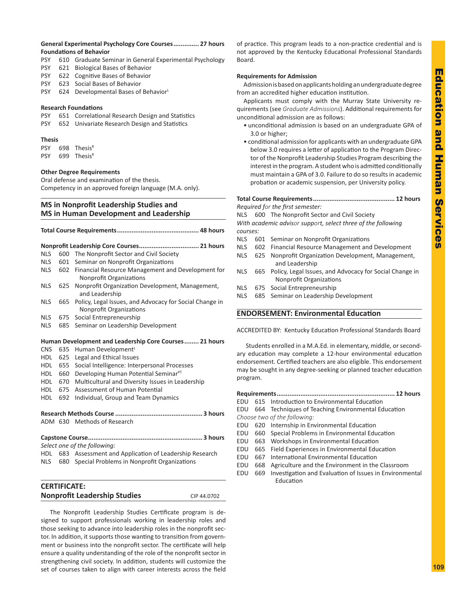# **General Experimental Psychology Core Courses.............. 27 hours Foundations of Behavior**

- PSY 610 Graduate Seminar in General Experimental Psychology
- PSY 621 Biological Bases of Behavior
- PSY 622 Cognitive Bases of Behavior
- PSY 623 Social Bases of Behavior
- PSY 624 Developmental Bases of Behavior

# **Research Foundations**

- PSY 651 Correlational Research Design and Statistics
- PSY 652 Univariate Research Design and Statistics

# **Thesis**

PSY 698 Thesis<sup>R</sup> PSY 699 Thesis<sup>R</sup>

# **Other Degree Requirements**

Oral defense and examination of the thesis. Competency in an approved foreign language (M.A. only).

# **MS in Nonprofit Leadership Studies and MS in Human Development and Leadership**

| <b>NLS</b> | 600 | The Nonprofit Sector and Civil Society                                                    |  |  |  |
|------------|-----|-------------------------------------------------------------------------------------------|--|--|--|
| <b>NLS</b> | 601 | Seminar on Nonprofit Organizations                                                        |  |  |  |
| <b>NLS</b> | 602 | Financial Resource Management and Development for<br>Nonprofit Organizations              |  |  |  |
| <b>NLS</b> | 625 | Nonprofit Organization Development, Management,<br>and Leadership                         |  |  |  |
| <b>NLS</b> | 665 | Policy, Legal Issues, and Advocacy for Social Change in<br><b>Nonprofit Organizations</b> |  |  |  |
| <b>NLS</b> | 675 | Social Entrepreneurship                                                                   |  |  |  |
| <b>NLS</b> | 685 | Seminar on Leadership Development                                                         |  |  |  |
|            |     |                                                                                           |  |  |  |
|            |     | Human Development and Leadership Core Courses 21 hours                                    |  |  |  |
| <b>CNS</b> | 635 | Human Development <sup>L</sup>                                                            |  |  |  |
| <b>HDL</b> | 625 | Legal and Ethical Issues                                                                  |  |  |  |
| <b>HDL</b> | 655 | Social Intelligence: Interpersonal Processes                                              |  |  |  |
| <b>HDL</b> | 660 | Developing Human Potential Seminar <sup>PT</sup>                                          |  |  |  |
| <b>HDL</b> | 670 | Multicultural and Diversity Issues in Leadership                                          |  |  |  |
| <b>HDL</b> | 675 | Assessment of Human Potential                                                             |  |  |  |
| <b>HDL</b> | 692 | Individual, Group and Team Dynamics                                                       |  |  |  |
|            |     |                                                                                           |  |  |  |
|            |     |                                                                                           |  |  |  |
|            |     | ADM 630 Methods of Research                                                               |  |  |  |
|            |     |                                                                                           |  |  |  |
|            |     | Select one of the following:                                                              |  |  |  |
|            |     | HDL 683 Assessment and Application of Leadership Research                                 |  |  |  |

NLS 680 Special Problems in Nonprofit Organizations

| <b>CERTIFICATE:</b>                 |             |
|-------------------------------------|-------------|
| <b>Nonprofit Leadership Studies</b> | CIP 44.0702 |

The Nonprofit Leadership Studies Certificate program is designed to support professionals working in leadership roles and those seeking to advance into leadership roles in the nonprofit sector. In addition, it supports those wanting to transition from government or business into the nonprofit sector. The certificate will help ensure a quality understanding of the role of the nonprofit sector in strengthening civil society. In addition, students will customize the set of courses taken to align with career interests across the field of practice. This program leads to a non-practice credential and is not approved by the Kentucky Educational Professional Standards Board.

# **Requirements for Admission**

Admission is based on applicants holding an undergraduate degree from an accredited higher education institution.

Applicants must comply with the Murray State University requirements (see *Graduate Admissions*). Additional requirements for unconditional admission are as follows:

- unconditional admission is based on an undergraduate GPA of 3.0 or higher;
- conditional admission for applicants with an undergraduate GPA below 3.0 requires a letter of application to the Program Director of the Nonprofit Leadership Studies Program describing the interest in the program. A student who is admitted conditionally must maintain a GPA of 3.0. Failure to do so results in academic probation or academic suspension, per University policy.

# **Total Course Requirements............................................. 12 hours**

*Required for the first semester:*

- NLS 600 The Nonprofit Sector and Civil Society *With academic advisor support, select three of the following courses:*
- NLS 601 Seminar on Nonprofit Organizations
- NLS 602 Financial Resource Management and Development
- NLS 625 Nonprofit Organization Development, Management, and Leadership
- NLS 665 Policy, Legal Issues, and Advocacy for Social Change in Nonprofit Organizations
- NLS 675 Social Entrepreneurship
- NLS 685 Seminar on Leadership Development

# **ENDORSEMENT: Environmental Education**

ACCREDITED BY: Kentucky Education Professional Standards Board

Students enrolled in a M.A.Ed. in elementary, middle, or secondary education may complete a 12-hour environmental education endorsement. Certified teachers are also eligible. This endorsement may be sought in any degree-seeking or planned teacher education program.

# **Requirements................................................................. 12 hours**

EDU 615 Introduction to Environmental Education

- EDU 664 Techniques of Teaching Environmental Education *Choose two of the following:*
- EDU 620 Internship in Environmental Education
- EDU 660 Special Problems in Environmental Education
- EDU 663 Workshops in Environmental Education
- EDU 665 Field Experiences in Environmental Education
- EDU 667 International Environmental Education
- EDU 668 Agriculture and the Environment in the Classroom
- EDU 669 Investigation and Evaluation of Issues in Environmental Education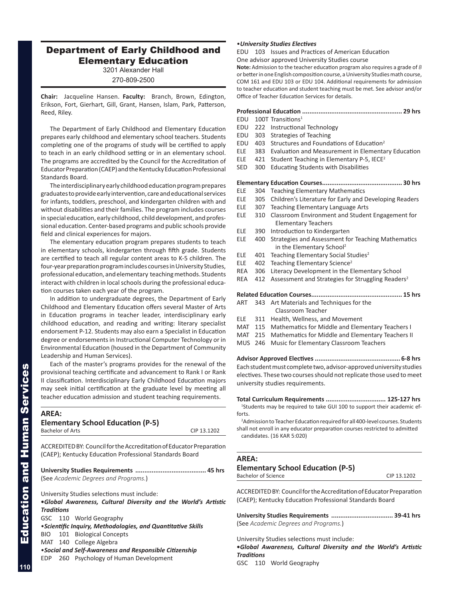# Department of Early Childhood and Elementary Education

3201 Alexander Hall

270-809-2500

**Chair:** Jacqueline Hansen. **Faculty:** Branch, Brown, Edington, Erikson, Fort, Gierhart, Gill, Grant, Hansen, Islam, Park, Patterson, Reed, Riley.

The Department of Early Childhood and Elementary Education prepares early childhood and elementary school teachers. Students completing one of the programs of study will be certified to apply to teach in an early childhood setting or in an elementary school. The programs are accredited by the Council for the Accreditation of Educator Preparation (CAEP) and the Kentucky Education Professional Standards Board.

The interdisciplinary early childhood education program prepares graduates to provide early intervention, care and educational services for infants, toddlers, preschool, and kindergarten children with and without disabilities and their families. The program includes courses in special education, early childhood, child development, and professional education. Center-based programs and public schools provide field and clinical experiences for majors.

The elementary education program prepares students to teach in elementary schools, kindergarten through fifth grade. Students are certified to teach all regular content areas to K-5 children. The four-year preparation program includes courses in University Studies, professional education, and elementary teaching methods. Students interact with children in local schools during the professional education courses taken each year of the program.

In addition to undergraduate degrees, the Department of Early Childhood and Elementary Education offers several Master of Arts in Education programs in teacher leader, interdisciplinary early childhood education, and reading and writing: literary specialist endorsement P-12. Students may also earn a Specialist in Education degree or endorsements in Instructional Computer Technology or in Environmental Education (housed in the Department of Community Leadership and Human Services).

Each of the master's programs provides for the renewal of the provisional teaching certificate and advancement to Rank I or Rank II classification. Interdisciplinary Early Childhood Education majors may seek initial certification at the graduate level by meeting all teacher education admission and student teaching requirements.

| <b>AREA:</b>      |                         |                                                                      |             |
|-------------------|-------------------------|----------------------------------------------------------------------|-------------|
|                   | <b>Bachelor of Arts</b> | <b>Elementary School Education (P-5)</b>                             | CIP 13.1202 |
|                   |                         | ACCREDITED BY: Council for the Accreditation of Educator Preparation |             |
|                   |                         | (CAEP); Kentucky Education Professional Standards Board              |             |
|                   |                         |                                                                      |             |
|                   |                         | (See Academic Degrees and Programs.)                                 |             |
|                   |                         | University Studies selections must include:                          |             |
|                   |                         | •Global Awareness, Cultural Diversity and the World's Artistic       |             |
| <b>Traditions</b> |                         |                                                                      |             |
|                   |                         | GSC 110 World Geography                                              |             |
|                   |                         | • Scientific Inquiry, Methodologies, and Quantitative Skills         |             |
|                   |                         | BIO 101 Biological Concepts                                          |             |
|                   |                         | MAT 140 College Algebra                                              |             |
|                   |                         | • Social and Self-Awareness and Responsible Citizenship              |             |
| EDP               |                         | 260 Psychology of Human Development                                  |             |

# •*University Studies Electives*

EDU 103 Issues and Practices of American Education

One advisor approved University Studies course

**Note:** Admission to the teacher education program also requires a grade of *B* or better in one English composition course, a University Studies math course, COM 161 and EDU 103 or EDU 104. Additional requirements for admission to teacher education and student teaching must be met. See advisor and/or Office of Teacher Education Services for details.

# **Professional Education ....................................................... 29 hrs**

- EDU 100T Transitions1
- EDU 222 Instructional Technology
- EDU 303 Strategies of Teaching
- EDU 403 Structures and Foundations of Education<sup>2</sup>
- ELE 383 Evaluation and Measurement in Elementary Education
- ELE 421 Student Teaching in Elementary P-5, IECE2
- SED 300 Educating Students with Disabilities

# **Elementary Education Courses............................................ 30 hrs**

- ELE 304 Teaching Elementary Mathematics
- ELE 305 Children's Literature for Early and Developing Readers
- ELE 307 Teaching Elementary Language Arts
- ELE 310 Classroom Environment and Student Engagement for Elementary Teachers
- ELE 390 Introduction to Kindergarten
- ELE 400 Strategies and Assessment for Teaching Mathematics in the Elementary School<sup>2</sup>
- ELE  $401$  Teaching Elementary Social Studies<sup>2</sup>
- ELE 402 Teaching Elementary Science<sup>2</sup>
- REA 306 Literacy Development in the Elementary School
- REA 412 Assessment and Strategies for Struggling Readers<sup>2</sup>

# **Related Education Courses.................................................. 15 hrs**

- ART 343 Art Materials and Techniques for the Classroom Teacher
- ELE 311 Health, Wellness, and Movement
- MAT 115 Mathematics for Middle and Elementary Teachers I
- MAT 215 Mathematics for Middle and Elementary Teachers II
- MUS 246 Music for Elementary Classroom Teachers

**Advisor Approved Electives ............................................... 6-8 hrs** Each student must complete two, advisor-approved university studies electives. These two courses should not replicate those used to meet university studies requirements.

# **Total Curriculum Requirements ................................. 125-127 hrs**

<sup>1</sup>Students may be required to take GUI 100 to support their academic efforts. 2 Admission to Teacher Education required for all 400-level courses. Students

shall not enroll in any educator preparation courses restricted to admitted candidates. (16 KAR 5:020)

### **AREA:**

# **Elementary School Education (P-5)**

Bachelor of Science CIP 13.1202

ACCREDITED BY: Council for the Accreditation of Educator Preparation (CAEP); Kentucky Education Professional Standards Board

**University Studies Requirements .................................. 39-41 hrs** (See *Academic Degrees and Programs.*)

University Studies selections must include: **•***Global Awareness, Cultural Diversity and the World's Artistic Traditions*

GSC 110 World Geography

Education and Human Services

**Education and Human Services**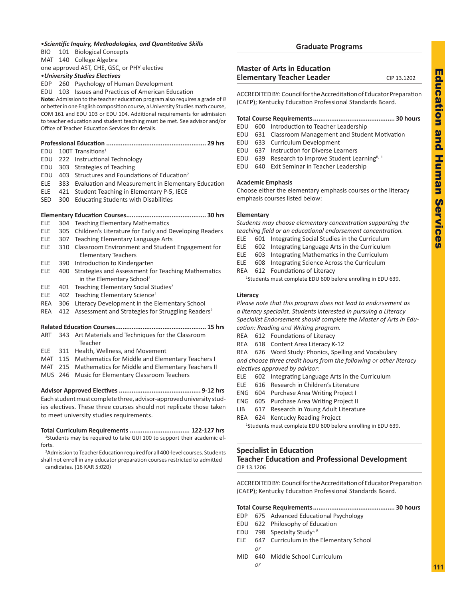# •*Scientific Inquiry, Methodologies, and Quantitative Skills*

BIO 101 Biological Concepts

MAT 140 College Algebra one approved AST, CHE, GSC, or PHY elective

# •*University Studies Electives*

EDP 260 Psychology of Human Development

EDU 103 Issues and Practices of American Education

**Note:** Admission to the teacher education program also requires a grade of *B* or better in one English composition course, a University Studies math course, COM 161 and EDU 103 or EDU 104. Additional requirements for admission to teacher education and student teaching must be met. See advisor and/or Office of Teacher Education Services for details.

- $EDU$  100T Transitions<sup>1</sup>
- EDU 222 Instructional Technology
- EDU 303 Strategies of Teaching
- EDU 403 Structures and Foundations of Education<sup>2</sup>
- ELE 383 Evaluation and Measurement in Elementary Education
- ELE 421 Student Teaching in Elementary P-5, IECE
- SED 300 Educating Students with Disabilities

# **Elementary Education Courses............................................ 30 hrs**

- ELE 304 Teaching Elementary Mathematics
- ELE 305 Children's Literature for Early and Developing Readers
- ELE 307 Teaching Elementary Language Arts
- ELE 310 Classroom Environment and Student Engagement for Elementary Teachers
- ELE 390 Introduction to Kindergarten
- ELE 400 Strategies and Assessment for Teaching Mathematics in the Elementary School<sup>2</sup>
- ELE 401 Teaching Elementary Social Studies<sup>2</sup>
- ELE 402 Teaching Elementary Science<sup>2</sup>
- REA 306 Literacy Development in the Elementary School
- REA 412 Assessment and Strategies for Struggling Readers<sup>2</sup>

# **Related Education Courses.................................................. 15 hrs**

- ART 343 Art Materials and Techniques for the Classroom Teacher
- ELE 311 Health, Wellness, and Movement
- MAT 115 Mathematics for Middle and Elementary Teachers I
- MAT 215 Mathematics for Middle and Elementary Teachers II
- MUS 246 Music for Elementary Classroom Teachers

**Advisor Approved Electives ............................................. 9-12 hrs** Each student must complete three, advisor-approved university studies electives. These three courses should not replicate those taken to meet university studies requirements.

# **Total Curriculum Requirements ................................. 122-127 hrs**

<sup>1</sup>Students may be required to take GUI 100 to support their academic efforts.

<sup>2</sup> Admission to Teacher Education required for all 400-level courses. Students shall not enroll in any educator preparation courses restricted to admitted candidates. (16 KAR 5:020)

# **Graduate Programs**

# **Master of Arts in Education Elementary Teacher Leader** CIP 13.1202

ACCREDITED BY: Council for the Accreditation of Educator Preparation (CAEP); Kentucky Education Professional Standards Board.

# **Total Course Requirements............................................. 30 hours**

- EDU 600 Introduction to Teacher Leadership
- EDU 631 Classroom Management and Student Motivation
- EDU 633 Curriculum Development
- EDU 637 Instruction for Diverse Learners
- EDU 639 Research to Improve Student Learning<sup>R, 1</sup>
- EDU 640 Exit Seminar in Teacher LeadershipL

# **Academic Emphasis**

Choose either the elementary emphasis courses or the literacy emphasis courses listed below:

# **Elementary**

*Students may choose elementary concentration supporting the teaching field or an educational endorsement concentration.*

- ELE 601 Integrating Social Studies in the Curriculum
- ELE 602 Integrating Language Arts in the Curriculum
- ELE 603 Integrating Mathematics in the Curriculum
- ELE 608 Integrating Science Across the Curriculum
- REA 612 Foundations of Literacy

1 Students must complete EDU 600 before enrolling in EDU 639.

# **Literacy**

*Please note that this program does not lead to endorsement as a literacy specialist. Students interested in pursuing a Literacy Specialist Endorsement should complete the Master of Arts in Education: Reading and Writing program.*

- REA 612 Foundations of Literacy
- REA 618 Content Area Literacy K-12
- REA 626 Word Study: Phonics, Spelling and Vocabulary

*and choose three credit hours from the following or other literacy electives approved by advisor:*

- ELE 602 Integrating Language Arts in the Curriculum
- ELE 616 Research in Children's Literature
- ENG 604 Purchase Area Writing Project I
- ENG 605 Purchase Area Writing Project II
- LIB 617 Research in Young Adult Literature
- REA 624 Kentucky Reading Project <sup>1</sup>Students must complete EDU 600 before enrolling in EDU 639.

# **Specialist in Education Teacher Education and Professional Development** CIP 13.1206

ACCREDITED BY: Council for the Accreditation of Educator Preparation (CAEP); Kentucky Education Professional Standards Board.

|--|--|

- EDP 675 Advanced Educational Psychology
- EDU 622 Philosophy of Education
- EDU 798 Specialty Study<sup>L, R</sup>
- ELE 647 Curriculum in the Elementary School
- *or* MID 640 Middle School Curriculum *or*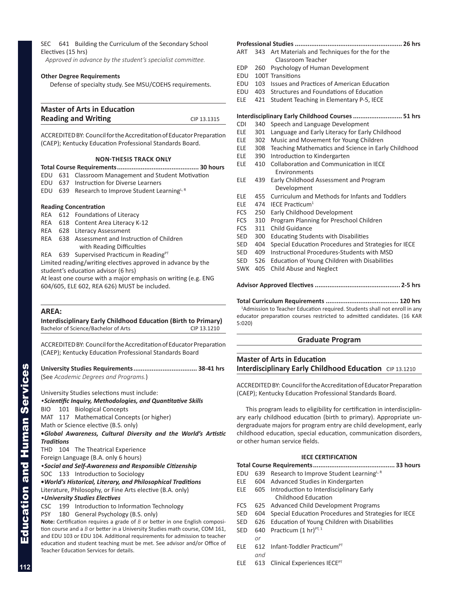SEC 641 Building the Curriculum of the Secondary School Electives (15 hrs)

 *Approved in advance by the student's specialist committee.*

### **Other Degree Requirements**

Defense of specialty study. See MSU/COEHS requirements.

| <b>Master of Arts in Education</b> |             |
|------------------------------------|-------------|
| <b>Reading and Writing</b>         | CIP 13.1315 |

ACCREDITED BY: Council for the Accreditation of Educator Preparation (CAEP); Kentucky Education Professional Standards Board.

# **NON-THESIS TRACK ONLY**

|  |  | EDU 631 Classroom Management and Student Motivation          |  |
|--|--|--------------------------------------------------------------|--|
|  |  | EDU 637 Instruction for Diverse Learners                     |  |
|  |  | EDU 639 Research to Improve Student Learning <sup>L, R</sup> |  |

# **Reading Concentration**

REA 612 Foundations of Literacy REA 618 Content Area Literacy K-12 REA 628 Literacy Assessment REA 638 Assessment and Instruction of Children with Reading Difficulties

REA 639 Supervised Practicum in Reading<sup>PT</sup> Limited reading/writing electives approved in advance by the student's education advisor (6 hrs)

At least one course with a major emphasis on writing (e.g. ENG 604/605, ELE 602, REA 626) MUST be included.

# **AREA:**

### **Interdisciplinary Early Childhood Education (Birth to Primary)** Bachelor of Science/Bachelor of Arts CIP 13.1210

ACCREDITED BY: Council for the Accreditation of Educator Preparation (CAEP); Kentucky Education Professional Standards Board

**University Studies Requirements................................... 38-41 hrs** (See *Academic Degrees and Programs.*)

University Studies selections must include:

*•Scientific Inquiry, Methodologies, and Quantitative Skills*

BIO 101 Biological Concepts

MAT 117 Mathematical Concepts (or higher)

Math or Science elective (B.S. only)

**•***Global Awareness, Cultural Diversity and the World's Artistic Traditions*

THD 104 The Theatrical Experience

Foreign Language (B.A. only 6 hours)

*•Social and Self-Awareness and Responsible Citizenship*

SOC 133 Introduction to Sociology

**•***World's Historical, Literary, and Philosophical Traditions*

Literature, Philosophy, or Fine Arts elective (B.A. only)

*•University Studies Electives*

CSC 199 Introduction to Information Technology

PSY 180 General Psychology (B.S. only)

**Note:** Certification requires a grade of *B* or better in one English composition course and a *B* or better in a University Studies math course, COM 161, and EDU 103 or EDU 104. Additional requirements for admission to teacher education and student teaching must be met. See advisor and/or Office of Teacher Education Services for details.

| ART        | 343 | Art Materials and Techniques for the for the<br>Classroom Teacher |
|------------|-----|-------------------------------------------------------------------|
| EDP        | 260 | Psychology of Human Development                                   |
| EDU        |     | 100T Transitions                                                  |
| EDU        | 103 | Issues and Practices of American Education                        |
| EDU        | 403 | Structures and Foundations of Education                           |
| ELE        | 421 | Student Teaching in Elementary P-5, IECE                          |
|            |     | Interdisciplinary Early Childhood Courses  51 hrs                 |
| <b>CDI</b> | 340 | Speech and Language Development                                   |
| ELE        | 301 | Language and Early Literacy for Early Childhood                   |
| ELE        | 302 | Music and Movement for Young Children                             |
| ELE        | 308 | Teaching Mathematics and Science in Early Childhood               |
| <b>ELE</b> | 390 | Introduction to Kindergarten                                      |
| ELE        | 410 | <b>Collaboration and Communication in IECE</b>                    |
|            |     | Environments                                                      |
| ELE        | 439 | Early Childhood Assessment and Program<br>Development             |
| ELE        | 455 | Curriculum and Methods for Infants and Toddlers                   |
| <b>ELE</b> | 474 | IECE Practicum <sup>1</sup>                                       |
| <b>FCS</b> | 250 | Early Childhood Development                                       |
| <b>FCS</b> | 310 | Program Planning for Preschool Children                           |
| <b>FCS</b> | 311 | Child Guidance                                                    |
| SED        | 300 | <b>Educating Students with Disabilities</b>                       |
| SED        | 404 | Special Education Procedures and Strategies for IECE              |
| SED        | 409 | Instructional Procedures-Students with MSD                        |
| SED        | 526 | Education of Young Children with Disabilities                     |
| <b>SWK</b> | 405 | <b>Child Abuse and Neglect</b>                                    |
|            |     |                                                                   |

**Total Curriculum Requirements ........................................ 120 hrs**

<sup>1</sup>Admission to Teacher Education required. Students shall not enroll in any educator preparation courses restricted to admitted candidates. (16 KAR 5:020)

# **Graduate Program**

# **Master of Arts in Education Interdisciplinary Early Childhood Education** CIP 13.1210

ACCREDITED BY: Council for the Accreditation of Educator Preparation (CAEP); Kentucky Education Professional Standards Board.

This program leads to eligibility for certification in interdisciplinary early childhood education (birth to primary). Appropriate undergraduate majors for program entry are child development, early childhood education, special education, communication disorders, or other human service fields.

# **IECE CERTIFICATION**

# **Total Course Requirements............................................. 33 hours**

- EDU 639 Research to Improve Student Learning<sup>L, R</sup>
- ELE 604 Advanced Studies in Kindergarten
- ELE 605 Introduction to Interdisciplinary Early Childhood Education
- FCS 625 Advanced Child Development Programs
- SED 604 Special Education Procedures and Strategies for IECE
- SED 626 Education of Young Children with Disabilities
- SED 640 Practicum  $(1 \text{ hr})^{\text{PT}, 1}$ 
	- *or*
- ELE 612 Infant-Toddler Practicum<sup>PT</sup> *and*
- ELE 613 Clinical Experiences IECEPT

Education and Human Services

**Education and Human Services**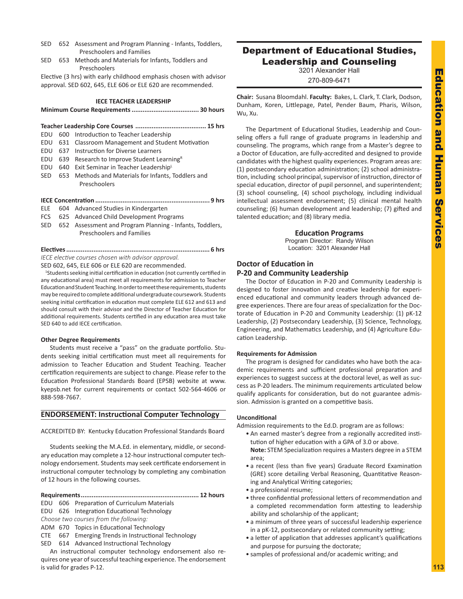- SED 652 Assessment and Program Planning Infants, Toddlers, Preschoolers and Families
- SED 653 Methods and Materials for Infants, Toddlers and Preschoolers

Elective (3 hrs) with early childhood emphasis chosen with advisor approval. SED 602, 645, ELE 606 or ELE 620 are recommended.

### **IECE TEACHER LEADERSHIP**

**Minimum Course Requirements..................................... 30 hours**

|  | EDU 600 Introduction to Teacher Leadership                  |  |  |  |
|--|-------------------------------------------------------------|--|--|--|
|  | EDU 631 Classroom Management and Student Motivation         |  |  |  |
|  | EDU 637 Instruction for Diverse Learners                    |  |  |  |
|  | EDU $639$ Research to Improve Student Learning <sup>R</sup> |  |  |  |
|  | EDU 640 Exit Seminar in Teacher Leadership <sup>L</sup>     |  |  |  |
|  | SED 653 Methods and Materials for Infants, Toddlers and     |  |  |  |
|  | Preschoolers                                                |  |  |  |

# **IECE Concentration ............................................................... 9 hrs**

- ELE 604 Advanced Studies in Kindergarten
- FCS 625 Advanced Child Development Programs
- SED 652 Assessment and Program Planning Infants, Toddlers, Preschoolers and Families

**Electives............................................................................... 6 hrs** *IECE elective courses chosen with advisor approval.* 

SED 602, 645, ELE 606 or ELE 620 are recommended.

<sup>1</sup>Students seeking initial certification in education (not currently certified in any educational area) must meet all requirements for admission to Teacher Education and Student Teaching. In order to meet these requirements, students may be required to complete additional undergraduate coursework. Students seeking initial certification in education must complete ELE 612 and 613 and should consult with their advisor and the Director of Teacher Education for additional requirements. Students certified in any education area must take SED 640 to add IECE certification.

# **Other Degree Requirements**

Students must receive a "pass" on the graduate portfolio. Students seeking initial certification must meet all requirements for admission to Teacher Education and Student Teaching. Teacher certification requirements are subject to change. Please refer to the Education Professional Standards Board (EPSB) website at www. kyepsb.net for current requirements or contact 502-564-4606 or 888-598-7667.

# **ENDORSEMENT: Instructional Computer Technology**

ACCREDITED BY: Kentucky Education Professional Standards Board

Students seeking the M.A.Ed. in elementary, middle, or secondary education may complete a 12-hour instructional computer technology endorsement. Students may seek certificate endorsement in instructional computer technology by completing any combination of 12 hours in the following courses.

### **Requirements................................................................. 12 hours**

- EDU 606 Preparation of Curriculum Materials
- EDU 626 Integration Educational Technology
- *Choose two courses from the following:*
- ADM 670 Topics in Educational Technology
- CTE 667 Emerging Trends in Instructional Technology
- SED 614 Advanced Instructional Technology

An instructional computer technology endorsement also requires one year of successful teaching experience. The endorsement is valid for grades P-12.

# Department of Educational Studies, Leadership and Counseling

3201 Alexander Hall

270-809-6471

**Chair:** Susana Bloomdahl. **Faculty:** Bakes, L. Clark, T. Clark, Dodson, Dunham, Koren, Littlepage, Patel, Pender Baum, Pharis, Wilson, Wu, Xu.

The Department of Educational Studies, Leadership and Counseling offers a full range of graduate programs in leadership and counseling. The programs, which range from a Master's degree to a Doctor of Education, are fully-accredited and designed to provide candidates with the highest quality experiences. Program areas are: (1) postsecondary education administration; (2) school administration, including school principal, supervisor of instruction, director of special education, director of pupil personnel, and superintendent; (3) school counseling, (4) school psychology, including individual intellectual assessment endorsement; (5) clinical mental health counseling; (6) human development and leadership; (7) gifted and talented education; and (8) library media.

# **Education Programs**

Program Director: Randy Wilson Location: 3201 Alexander Hall

# **Doctor of Education in P-20 and Community Leadership**

The Doctor of Education in P-20 and Community Leadership is designed to foster innovation and creative leadership for experienced educational and community leaders through advanced degree experiences. There are four areas of specialization for the Doctorate of Education in P-20 and Community Leadership: (1) pK-12 Leadership, (2) Postsecondary Leadership, (3) Science, Technology, Engineering, and Mathematics Leadership, and (4) Agriculture Education Leadership.

# **Requirements for Admission**

The program is designed for candidates who have both the academic requirements and sufficient professional preparation and experiences to suggest success at the doctoral level, as well as success as P-20 leaders. The minimum requirements articulated below qualify applicants for consideration, but do not guarantee admission. Admission is granted on a competitive basis.

# **Unconditional**

Admission requirements to the Ed.D. program are as follows:

- An earned master's degree from a regionally accredited institution of higher education with a GPA of 3.0 or above.
- **Note:** STEM Specialization requires a Masters degree in a STEM area;
- a recent (less than five years) Graduate Record Examination (GRE) score detailing Verbal Reasoning, Quantitative Reasoning and Analytical Writing categories;
- a professional resume;
- three confidential professional letters of recommendation and a completed recommendation form attesting to leadership ability and scholarship of the applicant;
- a minimum of three years of successful leadership experience in a pK-12, postsecondary or related community setting;
- a letter of application that addresses applicant's qualifications and purpose for pursuing the doctorate;
- samples of professional and/or academic writing; and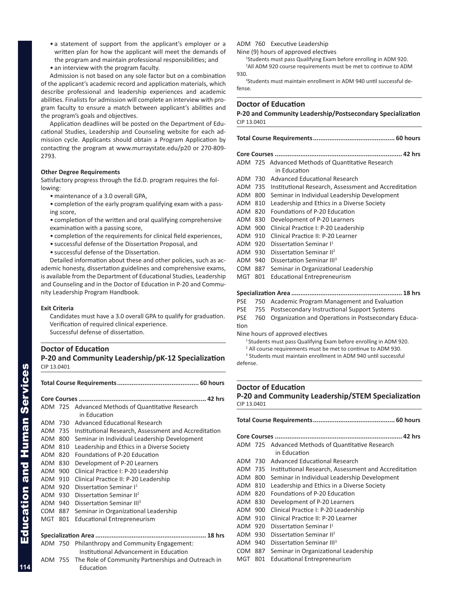- a statement of support from the applicant's employer or a written plan for how the applicant will meet the demands of the program and maintain professional responsibilities; and
- an interview with the program faculty.

Admission is not based on any sole factor but on a combination of the applicant's academic record and application materials, which describe professional and leadership experiences and academic abilities. Finalists for admission will complete an interview with program faculty to ensure a match between applicant's abilities and the program's goals and objectives.

Application deadlines will be posted on the Department of Educational Studies, Leadership and Counseling website for each admission cycle. Applicants should obtain a Program Application by contacting the program at www.murraystate.edu/p20 or 270-809- 2793.

# **Other Degree Requirements**

Satisfactory progress through the Ed.D. program requires the following:

- maintenance of a 3.0 overall GPA,
- completion of the early program qualifying exam with a passing score,
- completion of the written and oral qualifying comprehensive examination with a passing score,
- completion of the requirements for clinical field experiences,
- successful defense of the Dissertation Proposal, and
- successful defense of the Dissertation.

Detailed information about these and other policies, such as academic honesty, dissertation guidelines and comprehensive exams, is available from the Department of Educational Studies, Leadership and Counseling and in the Doctor of Education in P-20 and Community Leadership Program Handbook.

# **Exit Criteria**

Candidates must have a 3.0 overall GPA to qualify for graduation. Verification of required clinical experience. Successful defense of dissertation.

# **Doctor of Education P-20 and Community Leadership/pK-12 Specialization** CIP 13.0401

**Total Course Requirements............................................. 60 hours Core Courses ...................................................................... 42 hrs** ADM 725 Advanced Methods of Quantitative Research in Education ADM 730 Advanced Educational Research ADM 735 Institutional Research, Assessment and Accreditation ADM 800 Seminar in Individual Leadership Development ADM 810 Leadership and Ethics in a Diverse Society ADM 820 Foundations of P-20 Education ADM 830 Development of P-20 Learners ADM 900 Clinical Practice I: P-20 Leadership ADM 910 Clinical Practice II: P-20 Leadership ADM 920 Dissertation Seminar I1 ADM 930 Dissertation Seminar II2 ADM 940 Dissertation Seminar III<sup>3</sup> COM 887 Seminar in Organizational Leadership MGT 801 Educational Entrepreneurism **Specialization Area ............................................................. 18 hrs** ADM 750 Philanthropy and Community Engagement: Institutional Advancement in Education ADM 755 The Role of Community Partnerships and Outreach in Education

ADM 760 Executive Leadership

Nine (9) hours of approved electives

<sup>1</sup>Students must pass Qualifying Exam before enrolling in ADM 920.

<sup>2</sup>All ADM 920 course requirements must be met to continue to ADM 930.

3 Students must maintain enrollment in ADM 940 until successful defense.

# **Doctor of Education**

**P-20 and Community Leadership/Postsecondary Specialization** CIP 13.0401

**Total Course Requirements............................................. 60 hours**

|     | ADM 725 Advanced Methods of Quantitative Research<br>in Education                                    |  |  |  |
|-----|------------------------------------------------------------------------------------------------------|--|--|--|
|     | Advanced Educational Research                                                                        |  |  |  |
|     | Institutional Research, Assessment and Accreditation                                                 |  |  |  |
|     | Seminar in Individual Leadership Development                                                         |  |  |  |
|     | Leadership and Ethics in a Diverse Society                                                           |  |  |  |
|     | Foundations of P-20 Education                                                                        |  |  |  |
|     | Development of P-20 Learners                                                                         |  |  |  |
|     | Clinical Practice I: P-20 Leadership                                                                 |  |  |  |
| 910 | Clinical Practice II: P-20 Learner                                                                   |  |  |  |
| 920 | Dissertation Seminar I <sup>1</sup>                                                                  |  |  |  |
| 930 | Dissertation Seminar II <sup>2</sup>                                                                 |  |  |  |
| 940 | Dissertation Seminar III <sup>3</sup>                                                                |  |  |  |
| 887 | Seminar in Organizational Leadership                                                                 |  |  |  |
| 801 | <b>Educational Entrepreneurism</b>                                                                   |  |  |  |
|     | 730<br>ADM 735<br>800<br>ADM<br>ADM 810<br>ADM 820<br>ADM 830<br>ADM 900<br>ADM<br>ADM<br>ADM<br>COM |  |  |  |

# **Specialization Area ............................................................. 18 hrs**

PSE 750 Academic Program Management and Evaluation

- PSE 755 Postsecondary Instructional Support Systems
- PSE 760 Organization and Operations in Postsecondary Education

Nine hours of approved electives

<sup>1</sup> Students must pass Qualifying Exam before enrolling in ADM 920.

<sup>2</sup> All course requirements must be met to continue to ADM 930. 3 Students must maintain enrollment in ADM 940 until successful defense.

# **Doctor of Education P-20 and Community Leadership/STEM Specialization** CIP 13.0401

|         |     | ADM 725 Advanced Methods of Quantitative Research<br>in Education |  |  |
|---------|-----|-------------------------------------------------------------------|--|--|
| ADM 730 |     | Advanced Educational Research                                     |  |  |
| ADM 735 |     | Institutional Research, Assessment and Accreditation              |  |  |
| ADM 800 |     | Seminar in Individual Leadership Development                      |  |  |
| ADM 810 |     | Leadership and Ethics in a Diverse Society                        |  |  |
| ADM     | 820 | Foundations of P-20 Education                                     |  |  |
| ADM 830 |     | Development of P-20 Learners                                      |  |  |
| ADM 900 |     | Clinical Practice I: P-20 Leadership                              |  |  |
| ADM 910 |     | Clinical Practice II: P-20 Learner                                |  |  |
| ADM 920 |     | Dissertation Seminar I <sup>1</sup>                               |  |  |
| ADM 930 |     | Dissertation Seminar II <sup>2</sup>                              |  |  |
| ADM 940 |     | Dissertation Seminar III <sup>3</sup>                             |  |  |
| COM     | 887 | Seminar in Organizational Leadership                              |  |  |
| MGT     | 801 | Educational Entrepreneurism                                       |  |  |

**114**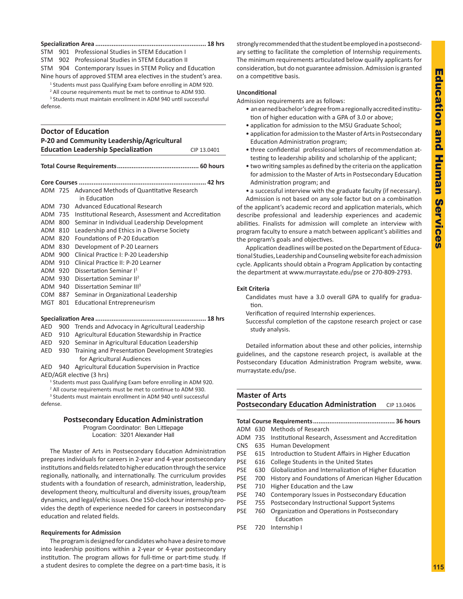### **Specialization Area ............................................................. 18 hrs**

STM 901 Professional Studies in STEM Education I

STM 902 Professional Studies in STEM Education II

STM 904 Contemporary Issues in STEM Policy and Education

Nine hours of approved STEM area electives in the student's area.

- <sup>1</sup> Students must pass Qualifying Exam before enrolling in ADM 920.
- <sup>2</sup> All course requirements must be met to continue to ADM 930.

3 Students must maintain enrollment in ADM 940 until successful defense.

# **Doctor of Education**

| P-20 and Community Leadership/Agricultural |             |
|--------------------------------------------|-------------|
| <b>Education Leadership Specialization</b> | CIP 13.0401 |
|                                            |             |

|--|

| ADM 725    |     | Advanced Methods of Quantitative Research            |  |
|------------|-----|------------------------------------------------------|--|
|            |     | in Education                                         |  |
| ADM 730    |     | Advanced Educational Research                        |  |
| ADM        | 735 | Institutional Research, Assessment and Accreditation |  |
| ADM        | 800 | Seminar in Individual Leadership Development         |  |
| ADM 810    |     | Leadership and Ethics in a Diverse Society           |  |
| ADM        | 820 | Foundations of P-20 Education                        |  |
| ADM        | 830 | Development of P-20 Learners                         |  |
| <b>ADM</b> | 900 | Clinical Practice I: P-20 Leadership                 |  |
| ADM 910    |     | Clinical Practice II: P-20 Learner                   |  |
| ADM 920    |     | Dissertation Seminar I <sup>1</sup>                  |  |
| ADM        | 930 | Dissertation Seminar II <sup>2</sup>                 |  |
| ADM 940    |     | Dissertation Seminar III <sup>3</sup>                |  |
| <b>COM</b> | 887 | Seminar in Organizational Leadership                 |  |
| <b>MGT</b> | 801 | <b>Educational Entrepreneurism</b>                   |  |
|            |     |                                                      |  |
|            |     |                                                      |  |
| AED        | 900 | Trends and Advocacy in Agricultural Leadership       |  |
| AED        | 910 | Agricultural Education Stewardship in Practice       |  |
| AED        | 920 | Seminar in Agricultural Education Leadership         |  |
| AED        | 930 | Training and Presentation Development Strategies     |  |
|            |     | for Agricultural Audiences                           |  |
|            |     |                                                      |  |

AED 940 Agricultural Education Supervision in Practice AED/AGR elective (3 hrs)

<sup>1</sup> Students must pass Qualifying Exam before enrolling in ADM 920.

<sup>2</sup> All course requirements must be met to continue to ADM 930.

3 Students must maintain enrollment in ADM 940 until successful

defense.

# **Postsecondary Education Administration**

Program Coordinator: Ben Littlepage Location: 3201 Alexander Hall

The Master of Arts in Postsecondary Education Administration prepares individuals for careers in 2-year and 4-year postsecondary institutions and fields related to higher education through the service regionally, nationally, and internationally. The curriculum provides students with a foundation of research, administration, leadership, development theory, multicultural and diversity issues, group/team dynamics, and legal/ethic issues. One 150-clock hour internship provides the depth of experience needed for careers in postsecondary education and related fields.

# **Requirements for Admission**

The program is designed for candidates who have a desire to move into leadership positions within a 2-year or 4-year postsecondary institution. The program allows for full-time or part-time study. If a student desires to complete the degree on a part-time basis, it is

strongly recommended that the student be employed in a postsecondary setting to facilitate the completion of Internship requirements. The minimum requirements articulated below qualify applicants for consideration, but do not guarantee admission. Admission is granted on a competitive basis.

# **Unconditional**

Admission requirements are as follows:

- an earned bachelor's degree from a regionally accredited institution of higher education with a GPA of 3.0 or above;
- application for admission to the MSU Graduate School;
- application for admission to the Master of Arts in Postsecondary Education Administration program;
- three confidential professional letters of recommendation attesting to leadership ability and scholarship of the applicant;
- two writing samples as defined by the criteria on the application for admission to the Master of Arts in Postsecondary Education Administration program; and
- a successful interview with the graduate faculty (if necessary).

Admission is not based on any sole factor but on a combination of the applicant's academic record and application materials, which describe professional and leadership experiences and academic abilities. Finalists for admission will complete an interview with program faculty to ensure a match between applicant's abilities and the program's goals and objectives.

Application deadlines will be posted on the Department of Educational Studies, Leadership and Counseling website for each admission cycle. Applicants should obtain a Program Application by contacting the department at www.murraystate.edu/pse or 270-809-2793.

# **Exit Criteria**

Candidates must have a 3.0 overall GPA to qualify for graduation.

Verification of required Internship experiences.

Successful completion of the capstone research project or case study analysis.

Detailed information about these and other policies, internship guidelines, and the capstone research project, is available at the Postsecondary Education Administration Program website, www. murraystate.edu/pse.

# **Master of Arts Postsecondary Education Administration** CIP 13.0406

| . 36 hours |     |                                                       |  |
|------------|-----|-------------------------------------------------------|--|
| ADM 630    |     | Methods of Research                                   |  |
| ADM 735    |     | Institutional Research, Assessment and Accreditation  |  |
| CNS.       |     | 635 Human Development                                 |  |
| PSE        | 615 | Introduction to Student Affairs in Higher Education   |  |
| PSE        | 616 | College Students in the United States                 |  |
| PSE.       | 630 | Globalization and Internalization of Higher Education |  |
| PSE.       | 700 | History and Foundations of American Higher Education  |  |
| PSE        | 710 | Higher Education and the Law                          |  |
| PSE        | 740 | Contemporary Issues in Postsecondary Education        |  |
| PSE        | 755 | <b>Postsecondary Instructional Support Systems</b>    |  |
| PSE        | 760 | Organization and Operations in Postsecondary          |  |
|            |     | Education                                             |  |
|            |     |                                                       |  |

PSE 720 Internship I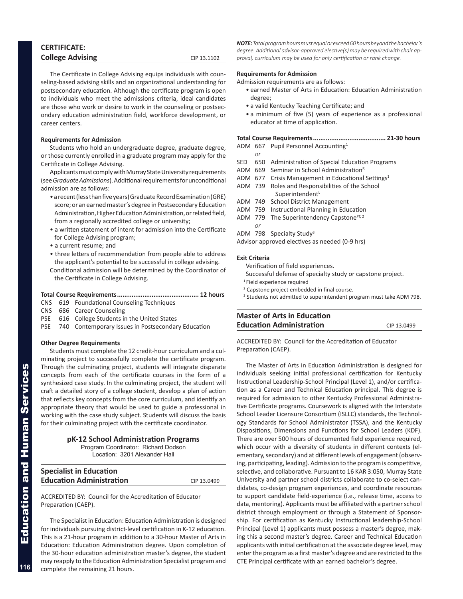| <b>College Advising</b> | CIP 13.1102 |
|-------------------------|-------------|
| <b>CERTIFICATE:</b>     |             |

The Certificate in College Advising equips individuals with counseling-based advising skills and an organizational understanding for postsecondary education. Although the certificate program is open to individuals who meet the admissions criteria, ideal candidates are those who work or desire to work in the counseling or postsecondary education administration field, workforce development, or career centers.

# **Requirements for Admission**

Students who hold an undergraduate degree, graduate degree, or those currently enrolled in a graduate program may apply for the Certificate in College Advising.

Applicants must comply with Murray State University requirements (see *Graduate Admissions*). Additional requirements for unconditional admission are as follows:

- a recent (less than five years) Graduate Record Examination (GRE) score; or an earned master's degree in Postsecondary Education Administration, Higher Education Administration, or related field, from a regionally accredited college or university;
- a written statement of intent for admission into the Certificate for College Advising program;
- a current resume; and
- three letters of recommendation from people able to address the applicant's potential to be successful in college advising.
- Conditional admission will be determined by the Coordinator of the Certificate in College Advising.

# **Total Course Requirements............................................. 12 hours**

- CNS 619 Foundational Counseling Techniques
- CNS 686 Career Counseling
- PSE 616 College Students in the United States
- PSE 740 Contemporary Issues in Postsecondary Education

### **Other Degree Requirements**

Students must complete the 12 credit-hour curriculum and a culminating project to successfully complete the certificate program. Through the culminating project, students will integrate disparate concepts from each of the certificate courses in the form of a synthesized case study. In the culminating project, the student will craft a detailed story of a college student, develop a plan of action that reflects key concepts from the core curriculum, and identify an appropriate theory that would be used to guide a professional in working with the case study subject. Students will discuss the basis for their culminating project with the certificate coordinator.

| pK-12 School Administration Programs |
|--------------------------------------|
| Program Coordinator: Richard Dodson  |
| Location: 3201 Alexander Hall        |

| <b>Specialist in Education</b>  |             |
|---------------------------------|-------------|
| <b>Education Administration</b> | CIP 13.0499 |

ACCREDITED BY: Council for the Accreditation of Educator Preparation (CAEP).

The Specialist in Education: Education Administration is designed for individuals pursuing district-level certification in K-12 education. This is a 21-hour program in addition to a 30-hour Master of Arts in Education: Education Administration degree. Upon completion of the 30-hour education administration master's degree, the student may reapply to the Education Administration Specialist program and complete the remaining 21 hours.

*NOTE: Total program hours must equal or exceed 60 hours beyond the bachelor's degree. Additional advisor-approved elective(s) may be required with chair approval, curriculum may be used for only certification or rank change.*

# **Requirements for Admission**

Admission requirements are as follows:

- earned Master of Arts in Education: Education Administration degree;
- a valid Kentucky Teaching Certificate; and
- a minimum of five (5) years of experience as a professional educator at time of application.

# **Total Course Requirements........................................ 21-30 hours**

- ADM 667 Pupil Personnel Accounting<sup>1</sup>
- SED 650 Administration of Special Education Programs
- ADM 669 Seminar in School Administration<sup>R</sup>
- ADM 677 Crisis Management in Educational Settings<sup>1</sup>
- ADM 739 Roles and Responsibilities of the School  $Superintendent<sup>L</sup>$
- ADM 749 School District Management
- ADM 759 Instructional Planning in Education
- ADM 779 The Superintendency Capstone $PT, 2$
- *or*
- ADM 798 Specialty Study<sup>3</sup>

Advisor approved electives as needed (0-9 hrs)

### **Exit Criteria**

*or*

Verification of field experiences.

- Successful defense of specialty study or capstone project.
- 1 Field experience required
- <sup>2</sup> Capstone project embedded in final course.
- <sup>3</sup> Students not admitted to superintendent program must take ADM 798.

# **Master of Arts in Education Education Administration** CIP 13.0499

ACCREDITED BY: Council for the Accreditation of Educator Preparation (CAEP).

The Master of Arts in Education Administration is designed for individuals seeking initial professional certification for Kentucky Instructional Leadership-School Principal (Level 1), and/or certification as a Career and Technical Education principal. This degree is required for admission to other Kentucky Professional Administrative Certificate programs. Coursework is aligned with the Interstate School Leader Licensure Consortium (ISLLC) standards, the Technology Standards for School Administrator (TSSA), and the Kentucky Dispositions, Dimensions and Functions for School Leaders (KDF). There are over 500 hours of documented field experience required, which occur with a diversity of students in different contexts (elementary, secondary) and at different levels of engagement (observing, participating, leading). Admission to the program is competitive, selective, and collaborative. Pursuant to 16 KAR 3:050, Murray State University and partner school districts collaborate to co-select candidates, co-design program experiences, and coordinate resources to support candidate field-experience (i.e., release time, access to data, mentoring). Applicants must be affiliated with a partner school district through employment or through a Statement of Sponsorship. For certification as Kentucky Instructional leadership-School Principal (Level 1) applicants must possess a master's degree, making this a second master's degree. Career and Technical Education applicants with initial certification at the associate degree level, may enter the program as a first master's degree and are restricted to the CTE Principal certificate with an earned bachelor's degree.

**116**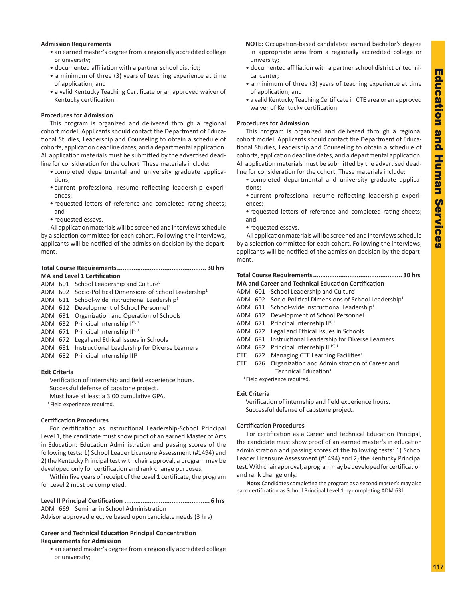# **Admission Requirements**

- an earned master's degree from a regionally accredited college or university;
- documented affiliation with a partner school district;
- a minimum of three (3) years of teaching experience at time of application; and
- a valid Kentucky Teaching Certificate or an approved waiver of Kentucky certification.

# **Procedures for Admission**

This program is organized and delivered through a regional cohort model. Applicants should contact the Department of Educational Studies, Leadership and Counseling to obtain a schedule of cohorts, application deadline dates, and a departmental application. All application materials must be submitted by the advertised deadline for consideration for the cohort. These materials include:

- completed departmental and university graduate applications;
- current professional resume reflecting leadership experiences;
- requested letters of reference and completed rating sheets; and
- requested essays.

All application materials will be screened and interviews schedule by a selection committee for each cohort. Following the interviews, applicants will be notified of the admission decision by the department.

# **Total Course Requirements................................................. 30 hrs MA and Level 1 Certification**

ADM 601 School Leadership and Culture<sup>L</sup>

# ADM 602 Socio-Political Dimensions of School Leadership<sup>1</sup>

- ADM 611 School-wide Instructional Leadership<sup>1</sup>
- ADM 612 Development of School Personnel<sup>1</sup>
- ADM 631 Organization and Operation of Schools
- ADM 632 Principal Internship  $I^{PT, 1}$
- ADM 671 Principal Internship  $H^{R,1}$
- ADM 672 Legal and Ethical Issues in Schools
- ADM 681 Instructional Leadership for Diverse Learners
- ADM 682 Principal Internship III<sup>1</sup>

# **Exit Criteria**

Verification of internship and field experience hours. Successful defense of capstone project. Must have at least a 3.00 cumulative GPA. <sup>1</sup> Field experience required.

# **Certification Procedures**

For certification as Instructional Leadership-School Principal Level 1, the candidate must show proof of an earned Master of Arts in Education: Education Administration and passing scores of the following tests: 1) School Leader Licensure Assessment (#1494) and 2) the Kentucky Principal test with chair approval, a program may be developed only for certification and rank change purposes.

Within five years of receipt of the Level 1 certificate, the program for Level 2 must be completed.

**Level II Principal Certification ............................................... 6 hrs** ADM 669 Seminar in School Administration

# Advisor approved elective based upon candidate needs (3 hrs)

# **Career and Technical Education Principal Concentration Requirements for Admission**

• an earned master's degree from a regionally accredited college or university;

- **NOTE:** Occupation-based candidates: earned bachelor's degree in appropriate area from a regionally accredited college or university;
- documented affiliation with a partner school district or technical center;
- a minimum of three (3) years of teaching experience at time of application; and
- a valid Kentucky Teaching Certificate in CTE area or an approved waiver of Kentucky certification.

# **Procedures for Admission**

This program is organized and delivered through a regional cohort model. Applicants should contact the Department of Educational Studies, Leadership and Counseling to obtain a schedule of cohorts, application deadline dates, and a departmental application. All application materials must be submitted by the advertised deadline for consideration for the cohort. These materials include:

• completed departmental and university graduate applications;

- current professional resume reflecting leadership experiences;
- requested letters of reference and completed rating sheets; and
- requested essays.

All application materials will be screened and interviews schedule by a selection committee for each cohort. Following the interviews, applicants will be notified of the admission decision by the department.

# **Total Course Requirements................................................. 30 hrs MA and Career and Technical Education Certification**

- ADM 601 School Leadership and Culture<sup>L</sup>
- ADM 602 Socio-Political Dimensions of School Leadership<sup>1</sup>
- ADM 611 School-wide Instructional Leadership<sup>1</sup>
- ADM 612 Development of School Personnel<sup>1</sup>
- ADM 671 Principal Internship  $H^{R,1}$
- ADM 672 Legal and Ethical Issues in Schools
- ADM 681 Instructional Leadership for Diverse Learners
- ADM 682 Principal Internship  $III^{PT, 1}$
- CTE 672 Managing CTE Learning Facilities<sup>1</sup>
- CTE 676 Organization and Administration of Career and Technical Education<sup>1</sup>

1 Field experience required.

# **Exit Criteria**

Verification of internship and field experience hours. Successful defense of capstone project.

# **Certification Procedures**

For certification as a Career and Technical Education Principal, the candidate must show proof of an earned master's in education administration and passing scores of the following tests: 1) School Leader Licensure Assessment (#1494) and 2) the Kentucky Principal test. With chair approval, a program may be developed for certification and rank change only.

**Note:** Candidates completing the program as a second master's may also earn certification as School Principal Level 1 by completing ADM 631.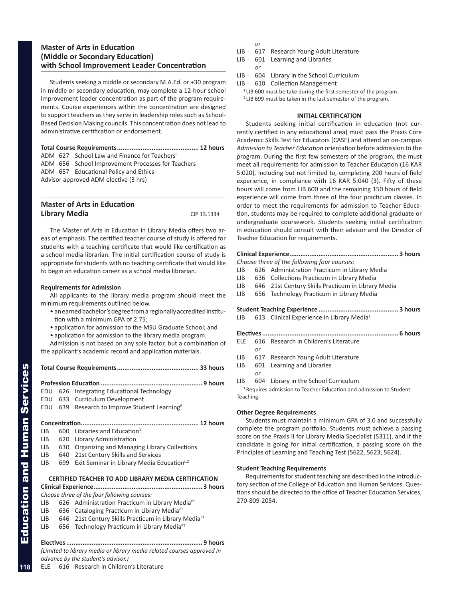# **Master of Arts in Education (Middle or Secondary Education) with School Improvement Leader Concentration**

Students seeking a middle or secondary M.A.Ed. or +30 program in middle or secondary education, may complete a 12-hour school improvement leader concentration as part of the program requirements. Course experiences within the concentration are designed to support teachers as they serve in leadership roles such as School-Based Decision Making councils. This concentration does not lead to administrative certification or endorsement.

**Total Course Requirements............................................. 12 hours**

ADM 627 School Law and Finance for Teachers<sup>L</sup>

ADM 656 School Improvement Processes for Teachers ADM 657 Educational Policy and Ethics Advisor approved ADM elective (3 hrs)

| <b>Master of Arts in Education</b> |             |
|------------------------------------|-------------|
| <b>Library Media</b>               | CIP 13.1334 |

The Master of Arts in Education in Library Media offers two areas of emphasis. The certified teacher course of study is offered for students with a teaching certificate that would like certification as a school media librarian. The initial certification course of study is appropriate for students with no teaching certificate that would like to begin an education career as a school media librarian.

# **Requirements for Admission**

All applicants to the library media program should meet the minimum requirements outlined below.

- an earned bachelor's degree from a regionally accredited institution with a minimum GPA of 2.75;
- application for admission to the MSU Graduate School; and
- application for admission to the library media program.

Admission is not based on any sole factor, but a combination of the applicant's academic record and application materials.

| EDU  |     | 626 Integrating Educational Technology                      |
|------|-----|-------------------------------------------------------------|
|      |     | EDU 633 Curriculum Development                              |
| EDU  |     | 639 Research to Improve Student Learning <sup>R</sup>       |
|      |     |                                                             |
|      |     |                                                             |
| LIB  |     | 600 Libraries and Education <sup>1</sup>                    |
| LIB  |     | 620 Library Administration                                  |
| LIB  |     | 630 Organizing and Managing Library Collections             |
| LIB  | 640 | 21st Century Skills and Services                            |
| LIB. | 699 | Exit Seminar in Library Media Education <sup>L,2</sup>      |
|      |     |                                                             |
|      |     | <b>CERTIFIED TEACHER TO ADD LIBRARY MEDIA CERTIFICATION</b> |
|      |     |                                                             |

# **Clinical Experience............................................................ 3 hours**

- *Choose three of the four following courses:*
- LIB 626 Administration Practicum in Library Media<sup>PT</sup>
- LIB 636 Cataloging Practicum in Library Media $P<sup>T</sup>$
- LIB 646 21st Century Skills Practicum in Library Media $P<sup>T</sup>$
- LIB 656 Technology Practicum in Library Media $P<sup>T</sup>$

**Electives........................................................................... 9 hours** *(Limited to library media or library media related courses approved in advance by the student's advisor.)* ELE 616 Research in Children's Literature

*or*

- LIB 617 Research Young Adult Literature
- LIB 601 Learning and Libraries
- *or*
- LIB 604 Library in the School Curriculum
- LIB 610 Collection Management
	- <sup>1</sup> LIB 600 must be take during the first semester of the program. <sup>2</sup> LIB 699 must be taken in the last semester of the program.

# **INITIAL CERTIFICATION**

Students seeking initial certification in education (not currently certified in any educational area) must pass the Praxis Core Academic Skills Test for Educators (CASE) and attend an on-campus *Admission to Teacher Education* orientation before admission to the program. During the first few semesters of the program, the must meet all requirements for admission to Teacher Education (16 KAR 5:020), including but not limited to, completing 200 hours of field experience, in compliance with 16 KAR 5:040 (3). Fifty of these hours will come from LIB 600 and the remaining 150 hours of field experience will come from three of the four practicum classes. In order to meet the requirements for admission to Teacher Education, students may be required to complete additional graduate or undergraduate coursework. Students seeking initial certification in education should consult with their advisor and the Director of Teacher Education for requirements.

|     |    | Choose three of the following four courses:                                   |
|-----|----|-------------------------------------------------------------------------------|
| LIB |    | 626 Administration Practicum in Library Media                                 |
| LIB |    | 636 Collections Practicum in Library Media                                    |
|     |    | LIB 646 21st Century Skills Practicum in Library Media                        |
| LIB |    | 656 Technology Practicum in Library Media                                     |
|     |    |                                                                               |
|     |    |                                                                               |
|     |    | LIB $613$ Clinical Experience in Library Media <sup>1</sup>                   |
|     |    |                                                                               |
|     |    |                                                                               |
| ELE |    | 616 Research in Children's Literature                                         |
|     | or |                                                                               |
| LIB |    | 617 Research Young Adult Literature                                           |
| LIB |    | 601 Learning and Libraries                                                    |
|     | or |                                                                               |
| LIB |    | 604 Library in the School Curriculum                                          |
|     |    | <sup>1</sup> Requires admission to Teacher Education and admission to Student |

Teaching.

# **Other Degree Requirements**

Students must maintain a minimum GPA of 3.0 and successfully complete the program portfolio. Students must achieve a passing score on the Praxis II for Library Media Specialist (5311), and if the candidate is going for initial certification, a passing score on the Principles of Learning and Teaching Test (5622, 5623, 5624).

# **Student Teaching Requirements**

Requirements for student teaching are described in the introductory section of the College of Education and Human Services. Questions should be directed to the office of Teacher Education Services, 270-809-2054.

**118**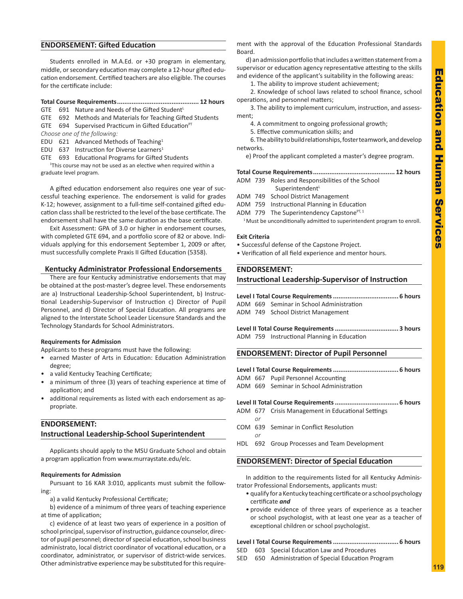# **ENDORSEMENT: Gifted Education**

Students enrolled in M.A.Ed. or +30 program in elementary, middle, or secondary education may complete a 12-hour gifted education endorsement. Certified teachers are also eligible. The courses for the certificate include:

# **Total Course Requirements............................................. 12 hours**

- GTE 691 Nature and Needs of the Gifted Student<sup>L</sup>
- GTE 692 Methods and Materials for Teaching Gifted Students GTE 694 Supervised Practicum in Gifted Education $PT$
- *Choose one of the following:*
- EDU 621 Advanced Methods of Teaching<sup>1</sup>
- EDU 637 Instruction for Diverse Learners<sup>1</sup>
- GTE 693 Educational Programs for Gifted Students

<sup>1</sup>This course may not be used as an elective when required within a graduate level program.

A gifted education endorsement also requires one year of successful teaching experience. The endorsement is valid for grades K-12; however, assignment to a full-time self-contained gifted education class shall be restricted to the level of the base certificate. The endorsement shall have the same duration as the base certificate.

Exit Assessment: GPA of 3.0 or higher in endorsement courses, with completed GTE 694, and a portfolio score of 82 or above. Individuals applying for this endorsement September 1, 2009 or after, must successfully complete Praxis II Gifted Education (5358).

# **Kentucky Administrator Professional Endorsements**

There are four Kentucky administrative endorsements that may be obtained at the post-master's degree level. These endorsements are a) Instructional Leadership-School Superintendent, b) Instructional Leadership-Supervisor of Instruction c) Director of Pupil Personnel, and d) Director of Special Education. All programs are aligned to the Interstate School Leader Licensure Standards and the Technology Standards for School Administrators.

# **Requirements for Admission**

Applicants to these programs must have the following:

- earned Master of Arts in Education: Education Administration degree;
- a valid Kentucky Teaching Certificate;
- a minimum of three (3) years of teaching experience at time of application; and
- additional requirements as listed with each endorsement as appropriate.

# **ENDORSEMENT: Instructional Leadership-School Superintendent**

Applicants should apply to the MSU Graduate School and obtain a program application from www.murraystate.edu/elc.

# **Requirements for Admission**

Pursuant to 16 KAR 3:010, applicants must submit the following:

a) a valid Kentucky Professional Certificate;

b) evidence of a minimum of three years of teaching experience at time of application;

c) evidence of at least two years of experience in a position of school principal, supervisor of instruction, guidance counselor, director of pupil personnel; director of special education, school business administrato, local district coordinator of vocational education, or a coordinator, administrator, or supervisor of district-wide services. Other administrative experience may be substituted for this requirement with the approval of the Education Professional Standards Board.

d) an admission portfolio that includes a written statement from a supervisor or education agency representative attesting to the skills and evidence of the applicant's suitability in the following areas:

1. The ability to improve student achievement;

2. Knowledge of school laws related to school finance, school operations, and personnel matters;

3. The ability to implement curriculum, instruction, and assessment;

- 4. A commitment to ongoing professional growth;
- 5. Effective communication skills; and

6. The ability to build relationships, foster teamwork, and develop networks.

e) Proof the applicant completed a master's degree program.

# **Total Course Requirements............................................. 12 hours**

ADM 739 Roles and Responsibilities of the School

- Superintendent<sup>L</sup>
- ADM 749 School District Management
- ADM 759 Instructional Planning in Education
- ADM 779 The Superintendency Capstone $PT, 1$

<sup>1</sup> Must be unconditionally admitted to superintendent program to enroll.

### **Exit Criteria**

- Successful defense of the Capstone Project.
- Verification of all field experience and mentor hours.

# **ENDORSEMENT:**

# **Instructional Leadership-Supervisor of Instruction**

|  | ADM 669 Seminar in School Administration |
|--|------------------------------------------|
|  | ADM 749 School District Management       |

**Level II Total Course Requirements................................... 3 hours** ADM 759 Instructional Planning in Education

# **ENDORSEMENT: Director of Pupil Personnel**

|  | ADM 667 Pupil Personnel Accounting       |
|--|------------------------------------------|
|  | ADM 669 Seminar in School Administration |

# **Level II Total Course Requirements................................... 6 hours**

- ADM 677 Crisis Management in Educational Settings *or*
- COM 639 Seminar in Conflict Resolution

*or*

HDL 692 Group Processes and Team Development

# **ENDORSEMENT: Director of Special Education**

In addition to the requirements listed for all Kentucky Administrator Professional Endorsements, applicants must:

- qualify for a Kentucky teaching certificate or a school psychology certificate *and*
- provide evidence of three years of experience as a teacher or school psychologist, with at least one year as a teacher of exceptional children or school psychologist.

### **Level I Total Course Requirements.................................... 6 hours**

- SED 603 Special Education Law and Procedures
- SED 650 Administration of Special Education Program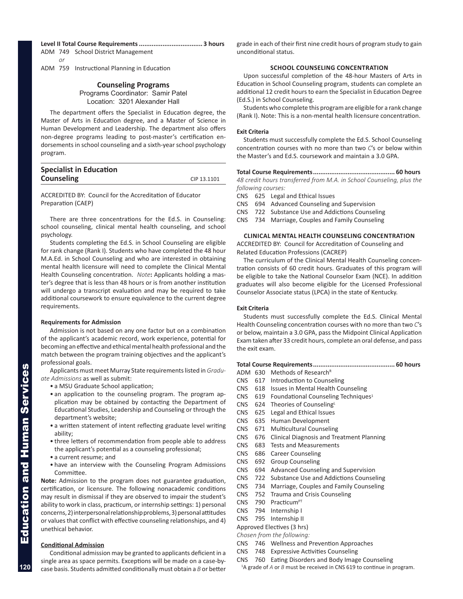# **Level II Total Course Requirements................................... 3 hours**

ADM 749 School District Management

*or* ADM 759 Instructional Planning in Education

# **Counseling Programs**

Programs Coordinator: Samir Patel Location: 3201 Alexander Hall

The department offers the Specialist in Education degree, the Master of Arts in Education degree, and a Master of Science in Human Development and Leadership. The department also offers non-degree programs leading to post-master's certification endorsements in school counseling and a sixth-year school psychology program.

| <b>Specialist in Education</b> |             |
|--------------------------------|-------------|
| <b>Counseling</b>              | CIP 13.1101 |

ACCREDITED BY: Council for the Accreditation of Educator Preparation (CAEP)

There are three concentrations for the Ed.S. in Counseling: school counseling, clinical mental health counseling, and school psychology.

Students completing the Ed.S. in School Counseling are eligible for rank change (Rank I). Students who have completed the 48 hour M.A.Ed. in School Counseling and who are interested in obtaining mental health licensure will need to complete the Clinical Mental Health Counseling concentration. *Note***:** Applicants holding a master's degree that is less than 48 hours or is from another institution will undergo a transcript evaluation and may be required to take additional coursework to ensure equivalence to the current degree requirements.

# **Requirements for Admission**

Admission is not based on any one factor but on a combination of the applicant's academic record, work experience, potential for becoming an effective and ethical mental health professional and the match between the program training objectives and the applicant's professional goals.

Applicants must meet Murray State requirements listed in *Graduate Admissions* as well as submit:

- a MSU Graduate School application;
- an application to the counseling program. The program application may be obtained by contacting the Department of Educational Studies, Leadership and Counseling or through the department's website;
- a written statement of intent reflecting graduate level writing ability;
- three letters of recommendation from people able to address the applicant's potential as a counseling professional;
- a current resume; and
- have an interview with the Counseling Program Admissions Committee.

**Note:** Admission to the program does not guarantee graduation, certification, or licensure. The following nonacademic conditions may result in dismissal if they are observed to impair the student's ability to work in class, practicum, or internship settings: 1) personal concerns, 2) interpersonal relationship problems, 3) personal attitudes or values that conflict with effective counseling relationships, and 4) unethical behavior.

# **Conditional Admission**

Conditional admission may be granted to applicants deficient in a single area as space permits. Exceptions will be made on a case-bycase basis. Students admitted conditionally must obtain a *B* or better grade in each of their first nine credit hours of program study to gain unconditional status.

# **school COUNSELING CONCENTRATION**

Upon successful completion of the 48-hour Masters of Arts in Education in School Counseling program, students can complete an additional 12 credit hours to earn the Specialist in Education Degree (Ed.S.) in School Counseling.

Students who complete this program are eligible for a rank change (Rank I). Note: This is a non-mental health licensure concentration.

# **Exit Criteria**

Students must successfully complete the Ed.S. School Counseling concentration courses with no more than two *C*'s or below within the Master's and Ed.S. coursework and maintain a 3.0 GPA.

**Total Course Requirements............................................. 60 hours** *48 credit hours transferred from M.A. in School Counseling, plus the following courses:*

CNS 625 Legal and Ethical Issues

CNS 694 Advanced Counseling and Supervision

CNS 722 Substance Use and Addictions Counseling

CNS 734 Marriage, Couples and Family Counseling

# **CLINICAL MENTAL HEALTH COUNSELING CONCENTRATION**

ACCREDITED BY: Council for Accreditation of Counseling and Related Education Professions (CACREP)

The curriculum of the Clinical Mental Health Counseling concentration consists of 60 credit hours. Graduates of this program will be eligible to take the National Counselor Exam (NCE). In addition graduates will also become eligible for the Licensed Professional Counselor Associate status (LPCA) in the state of Kentucky.

# **Exit Criteria**

Students must successfully complete the Ed.S. Clinical Mental Health Counseling concentration courses with no more than two *C*'s or below, maintain a 3.0 GPA, pass the Midpoint Clinical Application Exam taken after 33 credit hours, complete an oral defense, and pass the exit exam.

# **Total Course Requirements............................................. 60 hours**

- ADM 630 Methods of Research<sup>R</sup>
- CNS 617 Introduction to Counseling
- CNS 618 Issues in Mental Health Counseling
- CNS 619 Foundational Counseling Techniques<sup>1</sup>
- CNS 624 Theories of Counseling
- CNS 625 Legal and Ethical Issues
- CNS 635 Human Development
- CNS 671 Multicultural Counseling
- CNS 676 Clinical Diagnosis and Treatment Planning
- CNS 683 Tests and Measurements
- CNS 686 Career Counseling
- CNS 692 Group Counseling
- CNS 694 Advanced Counseling and Supervision
- CNS 722 Substance Use and Addictions Counseling
- CNS 734 Marriage, Couples and Family Counseling
- CNS 752 Trauma and Crisis Counseling
- CNS  $790$  Practicum<sup>PT</sup>
- CNS 794 Internship I
- CNS 795 Internship II

# Approved Electives (3 hrs)

- *Chosen from the following:*
- CNS 746 Wellness and Prevention Approaches
- CNS 748 Expressive Activities Counseling
- CNS 760 Eating Disorders and Body Image Counseling <sup>1</sup>A grade of *A* or *B* must be received in CNS 619 to continue in program.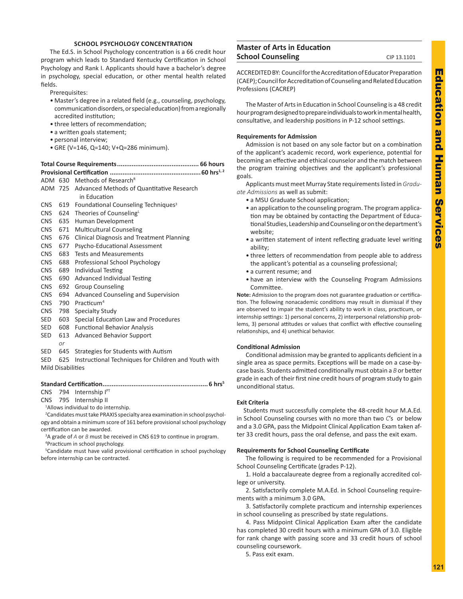# **SCHOOL PSYCHOLOGY CONCENTRATION**

The Ed.S. in School Psychology concentration is a 66 credit hour program which leads to Standard Kentucky Certification in School Psychology and Rank I. Applicants should have a bachelor's degree in psychology, special education, or other mental health related fields.

Prerequisites:

- Master's degree in a related field (e.g., counseling, psychology, communication disorders, or special education) from a regionally accredited institution;
- three letters of recommendation;
- a written goals statement;
- personal interview;
- GRE (V=146, Q=140; V+Q=286 minimum).

# **Total Course Requirements............................................. 66 hours**

**Provisional Certification ..................................................60 hrs1, 2** ADM 630 Methods of ResearchR

|  | ADIVI 030 IVIELIIOUS OI RESEAILII                       |
|--|---------------------------------------------------------|
|  | ADM 725 Advanced Methods of Quantitative Research       |
|  | in Education                                            |
|  | CNS 619 Foundational Counseling Techniques <sup>3</sup> |
|  | CNS 624 Theories of Counseling                          |
|  | CNS 635 Human Development                               |
|  | CNS 671 Multicultural Counseling                        |

- CNS 676 Clinical Diagnosis and Treatment Planning
- CNS 677 Psycho-Educational Assessment
- CNS 683 Tests and Measurements
- CNS 688 Professional School Psychology
- CNS 689 Individual Testing
- CNS 690 Advanced Individual Testing
- CNS 692 Group Counseling
- CNS 694 Advanced Counseling and Supervision
- CNS 790 Practicum4
- CNS 798 Specialty Study
- SED 603 Special Education Law and Procedures
- SED 608 Functional Behavior Analysis
- SED 613 Advanced Behavior Support
	- *or*
- SED 645 Strategies for Students with Autism

SED 625 Instructional Techniques for Children and Youth with Mild Disabilities

# **Standard Certification..........................................................6 hrs5**

CNS 794 Internship IPT

CNS 795 Internship II

1 Allows individual to do internship.

<sup>2</sup>Candidates must take PRAXIS specialty area examination in school psychology and obtain a minimum score of 161 before provisional school psychology certification can be awarded.

<sup>3</sup>A grade of *A* or *B* must be received in CNS 619 to continue in program.

4 Practicum in school psychology.

<sup>5</sup>Candidate must have valid provisional certification in school psychology before internship can be contracted.

# **Master of Arts in Education School Counseling** CIP 13.1101

ACCREDITED BY: Council for the Accreditation of Educator Preparation (CAEP); Council for Accreditation of Counseling and Related Education Professions (CACREP)

The Master of Arts in Education in School Counseling is a 48 credit hour program designed to prepare individuals to work in mental health, consultative, and leadership positions in P-12 school settings.

# **Requirements for Admission**

Admission is not based on any sole factor but on a combination of the applicant's academic record, work experience, potential for becoming an effective and ethical counselor and the match between the program training objectives and the applicant's professional goals.

Applicants must meet Murray State requirements listed in *Graduate Admissions* as well as submit:

- a MSU Graduate School application;
- an application to the counseling program. The program application may be obtained by contacting the Department of Educational Studies, Leadership and Counseling or on the department's website;
- a written statement of intent reflecting graduate level writing ability;
- three letters of recommendation from people able to address the applicant's potential as a counseling professional;
- a current resume; and
- have an interview with the Counseling Program Admissions Committee.

**Note:** Admission to the program does not guarantee graduation or certification. The following nonacademic conditions may result in dismissal if they are observed to impair the student's ability to work in class, practicum, or internship settings: 1) personal concerns, 2) interpersonal relationship problems, 3) personal attitudes or values that conflict with effective counseling relationships, and 4) unethical behavior.

# **Conditional Admission**

Conditional admission may be granted to applicants deficient in a single area as space permits. Exceptions will be made on a case-bycase basis. Students admitted conditionally must obtain a *B* or better grade in each of their first nine credit hours of program study to gain unconditional status.

# **Exit Criteria**

Students must successfully complete the 48-credit hour M.A.Ed. in School Counseling courses with no more than two *C*'s or below and a 3.0 GPA, pass the Midpoint Clinical Application Exam taken after 33 credit hours, pass the oral defense, and pass the exit exam.

# **Requirements for School Counseling Certificate**

The following is required to be recommended for a Provisional School Counseling Certificate (grades P-12).

1. Hold a baccalaureate degree from a regionally accredited college or university.

2. Satisfactorily complete M.A.Ed. in School Counseling requirements with a minimum 3.0 GPA.

3. Satisfactorily complete practicum and internship experiences in school counseling as prescribed by state regulations.

4. Pass Midpoint Clinical Application Exam after the candidate has completed 30 credit hours with a minimum GPA of 3.0. Eligible for rank change with passing score and 33 credit hours of school counseling coursework.

5. Pass exit exam.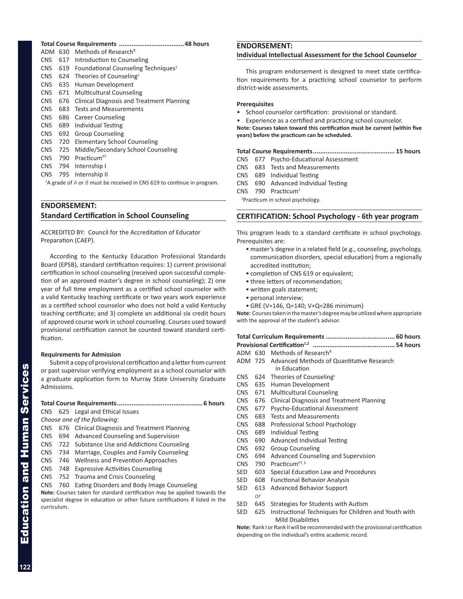**Total Course Requirements ....................................48 hours** ADM 630 Methods of Research<sup>R</sup> CNS 617 Introduction to Counseling CNS 619 Foundational Counseling Techniques<sup>1</sup> CNS 624 Theories of CounselingL CNS 635 Human Development CNS 671 Multicultural Counseling CNS 676 Clinical Diagnosis and Treatment Planning CNS 683 Tests and Measurements CNS 686 Career Counseling CNS 689 Individual Testing CNS 692 Group Counseling CNS 720 Elementary School Counseling CNS 725 Middle/Secondary School Counseling CNS 790 Practicum<sup>PT</sup> CNS 794 Internship I

CNS 795 Internship II

<sup>1</sup>A grade of *A* or *B* must be received in CNS 619 to continue in program.

# **ENDORSEMENT: Standard Certification in School Counseling**

ACCREDITED BY: Council for the Accreditation of Educator Preparation (CAEP).

According to the Kentucky Education Professional Standards Board (EPSB), standard certification requires: 1) current provisional certification in school counseling (received upon successful completion of an approved master's degree in school counseling); 2) one year of full time employment as a certified school counselor with a valid Kentucky teaching certificate or two years work experience as a certified school counselor who does not hold a valid Kentucky teaching certificate; and 3) complete an additional six credit hours of approved course work in school counseling. Courses used toward provisional certification cannot be counted toward standard certification.

# **Requirements for Admission**

Submit a copy of provisional certification and a letter from current or past supervisor verifying employment as a school counselor with a graduate application form to Murray State University Graduate Admissions.

# **Total Course Requirements............................................... 6 hours**

- CNS 625 Legal and Ethical Issues
- *Choose one of the following:*
- CNS 676 Clinical Diagnosis and Treatment Planning
- CNS 694 Advanced Counseling and Supervision
- CNS 722 Substance Use and Addictions Counseling
- CNS 734 Marriage, Couples and Family Counseling
- CNS 746 Wellness and Prevention Approaches
- CNS 748 Expressive Activities Counseling
- CNS 752 Trauma and Crisis Counseling
- CNS 760 Eating Disorders and Body Image Counseling

**Note:** Courses taken for standard certification may be applied towards the specialist degree in education or other future certifications if listed in the curriculum.

# **ENDORSEMENT: Individual Intellectual Assessment for the School Counselor**

This program endorsement is designed to meet state certification requirements for a practicing school counselor to perform district-wide assessments.

# **Prerequisites**

- School counselor certification: provisional or standard.
- Experience as a certified and practicing school counselor.

**Note: Courses taken toward this certification must be current (within five years) before the practicum can be scheduled.**

**Total Course Requirements............................................. 15 hours**

- CNS 677 Psycho-Educational Assessment
- CNS 683 Tests and Measurements
- CNS 689 Individual Testing
- CNS 690 Advanced Individual Testing
- CNS 790 Practicum1

1 Practicum in school psychology.

# **CERTIFICATION: School Psychology - 6th year program**

This program leads to a standard certificate in school psychology. Prerequisites are:

- master's degree in a related field (e.g., counseling, psychology, communication disorders, special education) from a regionally accredited institution;
- completion of CNS 619 or equivalent;
- three letters of recommendation;
- written goals statement;
- personal interview;
- GRE (V=146, Q=140; V+Q=286 minimum)

**Note:** Courses taken in the master's degree may be utilized where appropriate with the approval of the student's advisor.

|--|--|--|--|--|

- **Provisional Certification1,2 ............................................. 54 hours**
- ADM 630 Methods of Research<sup>R</sup>
- ADM 725 Advanced Methods of Quantitative Research in Education
- CNS 624 Theories of CounselingL
- CNS 635 Human Development
- CNS 671 Multicultural Counseling
- CNS 676 Clinical Diagnosis and Treatment Planning
- CNS 677 Psycho-Educational Assessment
- CNS 683 Tests and Measurements
- CNS 688 Professional School Psychology
- CNS 689 Individual Testing
- CNS 690 Advanced Individual Testing
- CNS 692 Group Counseling
- CNS 694 Advanced Counseling and Supervision
- CNS 790 Practicum<sup>PT, 3</sup>

*or*

- SED 603 Special Education Law and Procedures
- SED 608 Functional Behavior Analysis
- SED 613 Advanced Behavior Support
- SED 645 Strategies for Students with Autism
- SED 625 Instructional Techniques for Children and Youth with Mild Disabilities

**Note:** Rank I or Rank II will be recommended with the provisional certification depending on the individual's entire academic record.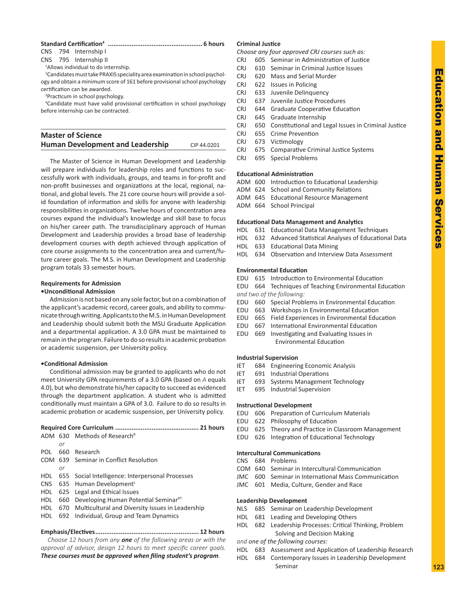# Education and Education and Human Services Human Service

# **Standard Certification4 .................................................... 6 hours**

CNS 794 Internship I

CNS 795 Internship II

1 Allows individual to do internship.

2 Candidates must take PRAXIS speciality area examination in school psychology and obtain a minimum score of 161 before provisional school psychology certification can be awarded.

3 Practicum in school psychology.

4 Candidate must have valid provisional certification in school psychology before internship can be contracted.

# **Master of Science Human Development and Leadership** CIP 44.0201

The Master of Science in Human Development and Leadership will prepare individuals for leadership roles and functions to successfully work with individuals, groups, and teams in for-profit and non-profit businesses and organizations at the local, regional, national, and global levels. The 21 core course hours will provide a solid foundation of information and skills for anyone with leadership responsibilities in organizations. Twelve hours of concentration area courses expand the individual's knowledge and skill base to focus on his/her career path. The transdisciplinary approach of Human Development and Leadership provides a broad base of leadership development courses with depth achieved through application of core course assignments to the concentration area and current/future career goals. The M.S. in Human Development and Leadership program totals 33 semester hours.

# **Requirements for Admission**

# **•Unconditional Admission**

Admission is not based on any sole factor, but on a combination of the applicant's academic record, career goals, and ability to communicate through writing. Applicants to the M.S. in Human Development and Leadership should submit both the MSU Graduate Application and a departmental application. A 3.0 GPA must be maintained to remain in the program. Failure to do so results in academic probation or academic suspension, per University policy.

# **•Conditional Admission**

Conditional admission may be granted to applicants who do not meet University GPA requirements of a 3.0 GPA (based on *A* equals 4.0), but who demonstrate his/her capacity to succeed as evidenced through the department application. A student who is admitted conditionally must maintain a GPA of 3.0. Failure to do so results in academic probation or academic suspension, per University policy.

|     |     | ADM 630 Methods of Research <sup>R</sup>                 |
|-----|-----|----------------------------------------------------------|
|     | or  |                                                          |
| POL | 660 | Research                                                 |
|     |     | COM 639 Seminar in Conflict Resolution                   |
|     | or  |                                                          |
|     |     | HDL 655 Social Intelligence: Interpersonal Processes     |
|     |     | CNS 635 Human Development <sup>L</sup>                   |
|     |     | HDL 625 Legal and Ethical Issues                         |
| HDL |     | 660 Developing Human Potential Seminar <sup>PT</sup>     |
|     |     | HDL 670 Multicultural and Diversity Issues in Leadership |
|     |     | HDL 692 Individual, Group and Team Dynamics              |
|     |     |                                                          |

# **Emphasis/Electives......................................................... 12 hours**

*Choose 12 hours from any one of the following areas or with the approval of advisor, design 12 hours to meet specific career goals. These courses must be approved when filing student's program.*

# **Criminal Justice**

*Choose any four approved CRJ courses such as:*

- CRJ 605 Seminar in Administration of Justice
- CRJ 610 Seminar in Criminal Justice Issues
- CRJ 620 Mass and Serial Murder
- CRJ 622 Issues in Policing
- CRJ 633 Juvenile Delinquency
- CRJ 637 Juvenile Justice Procedures
- CRJ 644 Graduate Cooperative Education
- CRJ 645 Graduate Internship
- CRJ 650 Constitutional and Legal Issues in Criminal Justice
- CRJ 655 Crime Prevention
- CRJ 673 Victimology
- CRJ 675 Comparative Criminal Justice Systems
- CRJ 695 Special Problems

# **Educational Administration**

- ADM 600 Introduction to Educational Leadership
- ADM 624 School and Community Relations
- ADM 645 Educational Resource Management
- ADM 664 School Principal

# **Educational Data Management and Analytics**

- HDL 631 Educational Data Management Techniques
- HDL 632 Advanced Statistical Analyses of Educational Data
- HDL 633 Educational Data Mining
- HDL 634 Observation and Interview Data Assessment

# **Environmental Education**

- EDU 615 Introduction to Environmental Education
- EDU 664 Techniques of Teaching Environmental Education *and two of the following:*
- EDU 660 Special Problems in Environmental Education
- EDU 663 Workshops in Environmental Education
- EDU 665 Field Experiences in Environmental Education
- EDU 667 International Environmental Education
- EDU 669 Investigating and Evaluating Issues in Environmental Education

# **Industrial Supervision**

- IET 684 Engineering Economic Analysis
- IET 691 Industrial Operations
- IET 693 Systems Management Technology
- IET 695 Industrial Supervision

# **Instructional Development**

- EDU 606 Preparation of Curriculum Materials
- EDU 622 Philosophy of Education
- EDU 625 Theory and Practice in Classroom Management
- EDU 626 Integration of Educational Technology

# **Intercultural Communications**

- CNS 684 Problems
- COM 640 Seminar in Intercultural Communication
- JMC 600 Seminar in International Mass Communication
- JMC 601 Media, Culture, Gender and Race

### **Leadership Development**

- NLS 685 Seminar on Leadership Development
- HDL 681 Leading and Developing Others
- HDL 682 Leadership Processes: Critical Thinking, Problem Solving and Decision Making
- *and one of the following courses:*
- HDL 683 Assessment and Application of Leadership Research
- HDL 684 Contemporary Issues in Leadership Development Seminar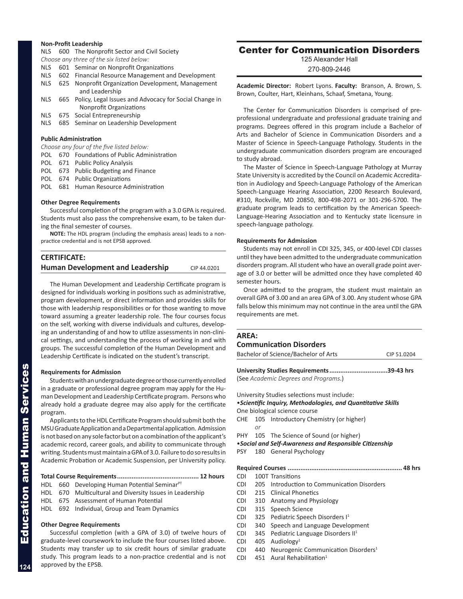# **Non-Profit Leadership**

|  |  | NLS 600 The Nonprofit Sector and Civil Society |  |
|--|--|------------------------------------------------|--|
|--|--|------------------------------------------------|--|

|       | NES 600 THE NONDROIL SECTOR AND CIVIL SOCIETY                                         |
|-------|---------------------------------------------------------------------------------------|
|       | Choose any three of the six listed below:                                             |
| NLS.  | 601 Seminar on Nonprofit Organizations                                                |
| NLS   | 602 Financial Resource Management and Development                                     |
| NLS.  | 625 Nonprofit Organization Development, Management<br>and Leadership                  |
| NLS.  | 665 Policy, Legal Issues and Advocacy for Social Change in<br>Nonprofit Organizations |
| NLS.  | 675 Social Entrepreneurship                                                           |
| NLS - | 685 Seminar on Leadership Development                                                 |
|       |                                                                                       |

# **Public Administration**

|  | Choose any four of the five listed below: |  |  |  |  |  |
|--|-------------------------------------------|--|--|--|--|--|
|--|-------------------------------------------|--|--|--|--|--|

|  | POL 670 Foundations of Public Administration |
|--|----------------------------------------------|
|  | POL 671 Public Policy Analysis               |
|  | POL 673 Public Budgeting and Finance         |
|  | POL 674 Public Organizations                 |
|  | POL 681 Human Resource Administration        |

# **Other Degree Requirements**

Successful completion of the program with a 3.0 GPA is required. Students must also pass the comprehensive exam, to be taken during the final semester of courses.

**NOTE:** The HDL program (including the emphasis areas) leads to a nonpractice credential and is not EPSB approved.

| <b>CERTIFICATE:</b>                     |             |
|-----------------------------------------|-------------|
| <b>Human Development and Leadership</b> | CIP 44.0201 |

The Human Development and Leadership Certificate program is designed for individuals working in positions such as administrative, program development, or direct information and provides skills for those with leadership responsibilities or for those wanting to move toward assuming a greater leadership role. The four courses focus on the self, working with diverse individuals and cultures, developing an understanding of and how to utilize assessments in non-clinical settings, and understanding the process of working in and with groups. The successful completion of the Human Development and Leadership Certificate is indicated on the student's transcript.

### **Requirements for Admission**

Students with an undergraduate degree or those currently enrolled in a graduate or professional degree program may apply for the Human Development and Leadership Certificate program. Persons who already hold a graduate degree may also apply for the certificate program.

Applicants to the HDL Certificate Program should submit both the MSU Graduate Application and a Departmental application. Admission is not based on any sole factor but on a combination of the applicant's academic record, career goals, and ability to communicate through writing. Students must maintain a GPA of 3.0. Failure to do so results in Academic Probation or Academic Suspension, per University policy.

**Total Course Requirements............................................. 12 hours**

- HDL 660 Developing Human Potential Seminar $PT$
- HDL 670 Multicultural and Diversity Issues in Leadership
- HDL 675 Assessment of Human Potential

HDL 692 Individual, Group and Team Dynamics

# **Other Degree Requirements**

Successful completion (with a GPA of 3.0) of twelve hours of graduate-level coursework to include the four courses listed above. Students may transfer up to six credit hours of similar graduate study. This program leads to a non-practice credential and is not approved by the EPSB.

# Center for Communication Disorders

125 Alexander Hall

270-809-2446

**Academic Director:** Robert Lyons. **Faculty:** Branson, A. Brown, S. Brown, Coulter, Hart, Kleinhans, Schaaf, Smetana, Young.

The Center for Communication Disorders is comprised of preprofessional undergraduate and professional graduate training and programs. Degrees offered in this program include a Bachelor of Arts and Bachelor of Science in Communication Disorders and a Master of Science in Speech-Language Pathology. Students in the undergraduate communication disorders program are encouraged to study abroad.

The Master of Science in Speech-Language Pathology at Murray State University is accredited by the Council on Academic Accreditation in Audiology and Speech-Language Pathology of the American Speech-Language Hearing Association, 2200 Research Boulevard, #310, Rockville, MD 20850, 800-498-2071 or 301-296-5700. The graduate program leads to certification by the American Speech-Language-Hearing Association and to Kentucky state licensure in speech-language pathology.

# **Requirements for Admission**

Students may not enroll in CDI 325, 345, or 400-level CDI classes until they have been admitted to the undergraduate communication disorders program. All student who have an overall grade point average of 3.0 or better will be admitted once they have completed 40 semester hours.

Once admitted to the program, the student must maintain an overall GPA of 3.00 and an area GPA of 3.00. Any student whose GPA falls below this minimum may not continue in the area until the GPA requirements are met.

| <b>AREA:</b><br><b>Communication Disorders</b> |                                                     |                                                                                                             |  |  |  |  |
|------------------------------------------------|-----------------------------------------------------|-------------------------------------------------------------------------------------------------------------|--|--|--|--|
|                                                | Bachelor of Science/Bachelor of Arts<br>CIP 51.0204 |                                                                                                             |  |  |  |  |
|                                                |                                                     | University Studies Requirements 39-43 hrs<br>(See Academic Degrees and Programs.)                           |  |  |  |  |
|                                                |                                                     | University Studies selections must include:<br>• Scientific Inquiry, Methodologies, and Quantitative Skills |  |  |  |  |
|                                                |                                                     | One biological science course                                                                               |  |  |  |  |
| <b>CHE</b>                                     | 105<br>or                                           | Introductory Chemistry (or higher)                                                                          |  |  |  |  |
|                                                |                                                     | PHY 105 The Science of Sound (or higher)                                                                    |  |  |  |  |
|                                                |                                                     | • Social and Self-Awareness and Responsible Citizenship                                                     |  |  |  |  |
| <b>PSY</b>                                     | 180                                                 | <b>General Psychology</b>                                                                                   |  |  |  |  |
|                                                |                                                     |                                                                                                             |  |  |  |  |
| <b>CDI</b>                                     |                                                     | 100T Transitions                                                                                            |  |  |  |  |
| CDI.                                           | 205                                                 | Introduction to Communication Disorders                                                                     |  |  |  |  |
| CDI.                                           |                                                     | 215 Clinical Phonetics                                                                                      |  |  |  |  |
| CDI.                                           |                                                     | 310 Anatomy and Physiology                                                                                  |  |  |  |  |
| <b>CDI</b>                                     | 315                                                 | Speech Science                                                                                              |  |  |  |  |
| <b>CDI</b>                                     | 325                                                 | Pediatric Speech Disorders I <sup>1</sup>                                                                   |  |  |  |  |
| <b>CDI</b>                                     | 340                                                 | Speech and Language Development                                                                             |  |  |  |  |
| <b>CDI</b>                                     | 345                                                 | Pediatric Language Disorders II <sup>1</sup>                                                                |  |  |  |  |
| <b>CDI</b>                                     | 405                                                 | Audiology <sup>1</sup>                                                                                      |  |  |  |  |
| CDI.                                           | 440                                                 | Neurogenic Communication Disorders <sup>1</sup>                                                             |  |  |  |  |
| <b>CDI</b>                                     | 451                                                 | Aural Rehabilitation <sup>1</sup>                                                                           |  |  |  |  |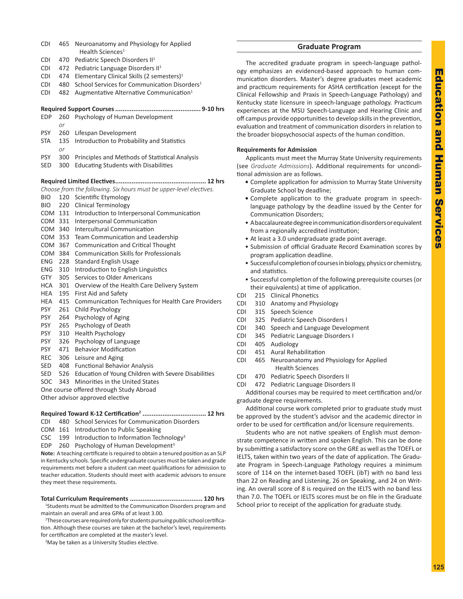| CDI        | 465 | Neuroanatomy and Physiology for Applied<br>Health Sciences <sup>1</sup> |
|------------|-----|-------------------------------------------------------------------------|
| CDI        | 470 | Pediatric Speech Disorders II <sup>1</sup>                              |
| CDI        | 472 |                                                                         |
| CDI        | 474 | Pediatric Language Disorders II <sup>1</sup>                            |
|            |     | Elementary Clinical Skills (2 semesters) <sup>1</sup>                   |
| CDI        | 480 | School Services for Communication Disorders <sup>1</sup>                |
| CDI        | 482 | Augmentative Alternative Communication <sup>1</sup>                     |
|            |     |                                                                         |
| <b>EDP</b> | 260 | Psychology of Human Development                                         |
|            | or  |                                                                         |
| <b>PSY</b> | 260 | Lifespan Development                                                    |
| STA        | 135 | Introduction to Probability and Statistics                              |
|            | or  |                                                                         |
| <b>PSY</b> | 300 | Principles and Methods of Statistical Analysis                          |
| SED        | 300 | <b>Educating Students with Disabilities</b>                             |
|            |     |                                                                         |
|            |     |                                                                         |
|            |     | Choose from the following. Six hours must be upper-level electives.     |
| <b>BIO</b> | 120 | Scientific Etymology                                                    |
| <b>BIO</b> | 220 | <b>Clinical Terminology</b>                                             |
| COM 131    |     | Introduction to Interpersonal Communication                             |
| COM 331    |     | Interpersonal Communication                                             |
| COM 340    |     | Intercultural Communication                                             |
| COM        | 353 | Team Communication and Leadership                                       |
| COM 367    |     | <b>Communication and Critical Thought</b>                               |
| COM 384    |     | <b>Communication Skills for Professionals</b>                           |
| ENG        | 228 | <b>Standard English Usage</b>                                           |
| ENG.       | 310 | Introduction to English Linguistics                                     |
| <b>GTY</b> | 305 | Services to Older Americans                                             |
| HCA        | 301 | Overview of the Health Care Delivery System                             |
| HEA        | 195 | First Aid and Safety                                                    |
| HEA        | 415 | Communication Techniques for Health Care Providers                      |
| <b>PSY</b> | 261 | Child Psychology                                                        |
| <b>PSY</b> | 264 | Psychology of Aging                                                     |
| <b>PSY</b> | 265 | Psychology of Death                                                     |
| <b>PSY</b> | 310 | <b>Health Psychology</b>                                                |
| <b>PSY</b> | 326 | Psychology of Language                                                  |
| <b>PSY</b> | 471 | <b>Behavior Modification</b>                                            |
| <b>REC</b> | 306 | Leisure and Aging                                                       |
| SED        | 408 | <b>Functional Behavior Analysis</b>                                     |
| SED        | 526 | Education of Young Children with Severe Disabilities                    |
| SOC        | 343 | Minorities in the United States                                         |
|            |     | One course offered through Study Abroad                                 |
|            |     | Other advisor approved elective                                         |
|            |     |                                                                         |
|            |     |                                                                         |
| CDI        | 480 | School Services for Communication Disorders                             |

- COM 161 Introduction to Public Speaking
- CSC  $199$  Introduction to Information Technology<sup>3</sup>

EDP 260 Psychology of Human Development<sup>3</sup>

**Note:** A teaching certificate is required to obtain a tenured position as an SLP in Kentucky schools. Specific undergraduate courses must be taken and grade requirements met before a student can meet qualifications for admission to teacher education. Students should meet with academic advisors to ensure they meet these requirements.

# **Total Curriculum Requirements ........................................ 120 hrs**

<sup>1</sup>Students must be admitted to the Communication Disorders program and maintain an overall and area GPAs of at least 3.00.

<sup>2</sup>These courses are required only for students pursuing public school certification. Although these courses are taken at the bachelor's level, requirements for certification are completed at the master's level.

<sup>3</sup>May be taken as a University Studies elective.

# **Graduate Program**

The accredited graduate program in speech-language pathology emphasizes an evidenced-based approach to human communication disorders. Master's degree graduates meet academic and practicum requirements for ASHA certification (except for the Clinical Fellowship and Praxis in Speech-Language Pathology) and Kentucky state licensure in speech-language pathology. Practicum experiences at the MSU Speech-Language and Hearing Clinic and off campus provide opportunities to develop skills in the prevention, evaluation and treatment of communication disorders in relation to the broader biopsychosocial aspects of the human condition.

# **Requirements for Admission**

Applicants must meet the Murray State University requirements (see *Graduate Admissions*). Additional requirements for unconditional admission are as follows.

- **•** Complete application for admission to Murray State University Graduate School by deadline;
- **•** Complete application to the graduate program in speechlanguage pathology by the deadline issued by the Center for Communication Disorders;
- A baccalaureate degree in communication disorders or equivalent from a regionally accredited institution;
- At least a 3.0 undergraduate grade point average.
- Submission of official Graduate Record Examination scores by program application deadline.
- Successful completion of courses in biology, physics or chemistry, and statistics.
- Successful completion of the following prerequisite courses (or their equivalents) at time of application.
- CDI 215 Clinical Phonetics
- CDI 310 Anatomy and Physiology
- CDI 315 Speech Science
- CDI 325 Pediatric Speech Disorders I
- CDI 340 Speech and Language Development
- CDI 345 Pediatric Language Disorders I
- CDI 405 Audiology
- CDI 451 Aural Rehabilitation
- CDI 465 Neuroanatomy and Physiology for Applied Health Sciences
- CDI 470 Pediatric Speech Disorders II
- CDI 472 Pediatric Language Disorders II

Additional courses may be required to meet certification and/or graduate degree requirements.

Additional course work completed prior to graduate study must be approved by the student's advisor and the academic director in order to be used for certification and/or licensure requirements.

Students who are not native speakers of English must demonstrate competence in written and spoken English. This can be done by submitting a satisfactory score on the GRE as well as the TOEFL or IELTS, taken within two years of the date of application. The Graduate Program in Speech-Language Pathology requires a minimum score of 114 on the internet-based TOEFL (ibT) with no band less than 22 on Reading and Listening, 26 on Speaking, and 24 on Writing. An overall score of 8 is required on the IELTS with no band less than 7.0. The TOEFL or IELTS scores must be on file in the Graduate School prior to receipt of the application for graduate study.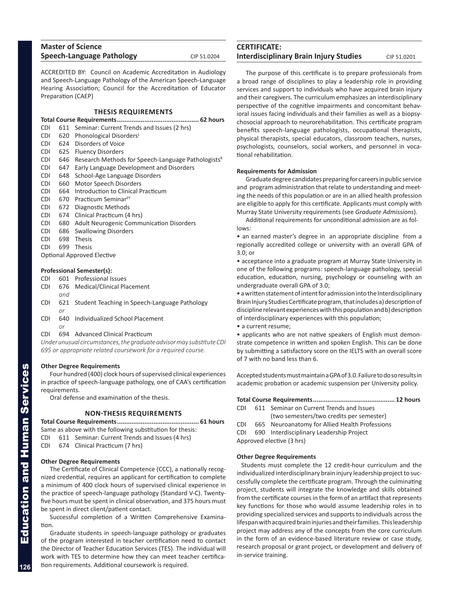| <b>Master of Science</b>  |             |
|---------------------------|-------------|
| Speech-Language Pathology | CIP 51.0204 |

ACCREDITED BY: Council on Academic Accreditation in Audiology and Speech-Language Pathology of the American Speech-Language Hearing Association; Council for the Accreditation of Educator Preparation (CAEP)

# **THESIS REQUIREMENTS**

| CDI.       | 611 | Seminar: Current Trends and Issues (2 hrs)                     |  |  |  |
|------------|-----|----------------------------------------------------------------|--|--|--|
| <b>CDI</b> | 620 | Phonological Disorders <sup>L</sup>                            |  |  |  |
| <b>CDI</b> | 624 | Disorders of Voice                                             |  |  |  |
| <b>CDI</b> | 625 | <b>Fluency Disorders</b>                                       |  |  |  |
| <b>CDI</b> | 646 | Research Methods for Speech-Language Pathologists <sup>R</sup> |  |  |  |
| <b>CDI</b> | 647 | Early Language Development and Disorders                       |  |  |  |
| <b>CDI</b> | 648 | School-Age Language Disorders                                  |  |  |  |
| <b>CDI</b> | 660 | Motor Speech Disorders                                         |  |  |  |
| <b>CDI</b> | 664 | Introduction to Clinical Practicum                             |  |  |  |
| <b>CDI</b> | 670 | Practicum Seminar <sup>PT</sup>                                |  |  |  |
| <b>CDI</b> | 672 | Diagnostic Methods                                             |  |  |  |
| CDI.       | 674 | Clinical Practicum (4 hrs)                                     |  |  |  |
| CDI.       | 680 | <b>Adult Neurogenic Communication Disorders</b>                |  |  |  |
| CDI.       | 686 | <b>Swallowing Disorders</b>                                    |  |  |  |
| CDI.       | 698 | <b>Thesis</b>                                                  |  |  |  |
| CDI.       | 699 | <b>Thesis</b>                                                  |  |  |  |
|            |     | <b>Optional Approved Elective</b>                              |  |  |  |
|            |     |                                                                |  |  |  |

# **Professional Semester(s):**

- CDI 601 Professional Issues
- CDI 676 Medical/Clinical Placement *and*
- CDI 621 Student Teaching in Speech-Language Pathology *or*
- CDI 640 Individualized School Placement *or*
- CDI 694 Advanced Clinical Practicum

*Under unusual circumstances, the graduate advisor may substitute CDI 695 or appropriate related coursework for a required course.*

# **Other Degree Requirements**

Four hundred (400) clock hours of supervised clinical experiences in practice of speech-language pathology, one of CAA's certification requirements.

Oral defense and examination of the thesis.

# **NON-THESIS REQUIREMENTS**

**Total Course Requirements............................................. 61 hours** Same as above with the following substitution for thesis:

- CDI 611 Seminar: Current Trends and Issues (4 hrs)
- CDI 674 Clinical Practicum (7 hrs)

# **Other Degree Requirements**

The Certificate of Clinical Competence (CCC), a nationally recognized credential, requires an applicant for certification to complete a minimum of 400 clock hours of supervised clinical experience in the practice of speech-language pathology (Standard V-C). Twentyfive hours must be spent in clinical observation, and 375 hours must be spent in direct client/patient contact.

Successful completion of a Written Comprehensive Examination.

Graduate students in speech-language pathology or graduates of the program interested in teacher certification need to contact the Director of Teacher Education Services (TES). The individual will work with TES to determine how they can meet teacher certification requirements. Additional coursework is required.

# **CERTIFICATE: Interdisciplinary Brain Injury Studies** CIP 51.0201

The purpose of this certificate is to prepare professionals from a broad range of disciplines to play a leadership role in providing services and support to individuals who have acquired brain injury and their caregivers. The curriculum emphasizes an interdisciplinary perspective of the cognitive impairments and concomitant behavioral issues facing individuals and their families as well as a biopsychosocial approach to neurorehabilitation. This certificate program benefits speech-language pathologists, occupational therapists, physical therapists, special educators, classroom teachers, nurses, psychologists, counselors, social workers, and personnel in vocational rehabilitation.

# **Requirements for Admission**

Graduate degree candidates preparing for careers in public service and program administration that relate to understanding and meeting the needs of this population or are in an allied health profession are eligible to apply for this certificate. Applicants must comply with Murray State University requirements (see *Graduate Admissions*).

Additional requirements for unconditional admission are as follows:

• an earned master's degree in an appropriate discipline from a regionally accredited college or university with an overall GPA of 3.0; or

• acceptance into a graduate program at Murray State University in one of the following programs: speech-language pathology, special education, education, nursing, psychology or counseling with an undergraduate overall GPA of 3.0;

• a written statement of intent for admission into the Interdisciplinary Brain Injury Studies Certificate program, that includes a) description of discipline relevant experiences with this population and b) description of interdisciplinary experiences with this population;

• a current resume;

• applicants who are not native speakers of English must demonstrate competence in written and spoken English. This can be done by submitting a satisfactory score on the IELTS with an overall score of 7 with no band less than 6.

Accepted students must maintain a GPA of 3.0. Failure to do so results in academic probation or academic suspension per University policy.

# **Total Course Requirements............................................. 12 hours**

- CDI 611 Seminar on Current Trends and Issues (two semesters/two credits per semester)
- CDI 665 Neuroanatomy for Allied Health Professions
- CDI 690 Interdisciplinary Leadership Project
- Approved elective (3 hrs)

# **Other Degree Requirements**

Students must complete the 12 credit-hour curriculum and the individualized interdisciplinary brain injury leadership project to successfully complete the certificate program. Through the culminating project, students will integrate the knowledge and skills obtained from the certificate courses in the form of an artifact that represents key functions for those who would assume leadership roles in to providing specialized services and supports to individuals across the lifespan with acquired brain injuries and their families. This leadership project may address any of the concepts from the core curriculum in the form of an evidence-based literature review or case study, research proposal or grant project, or development and delivery of in-service training.